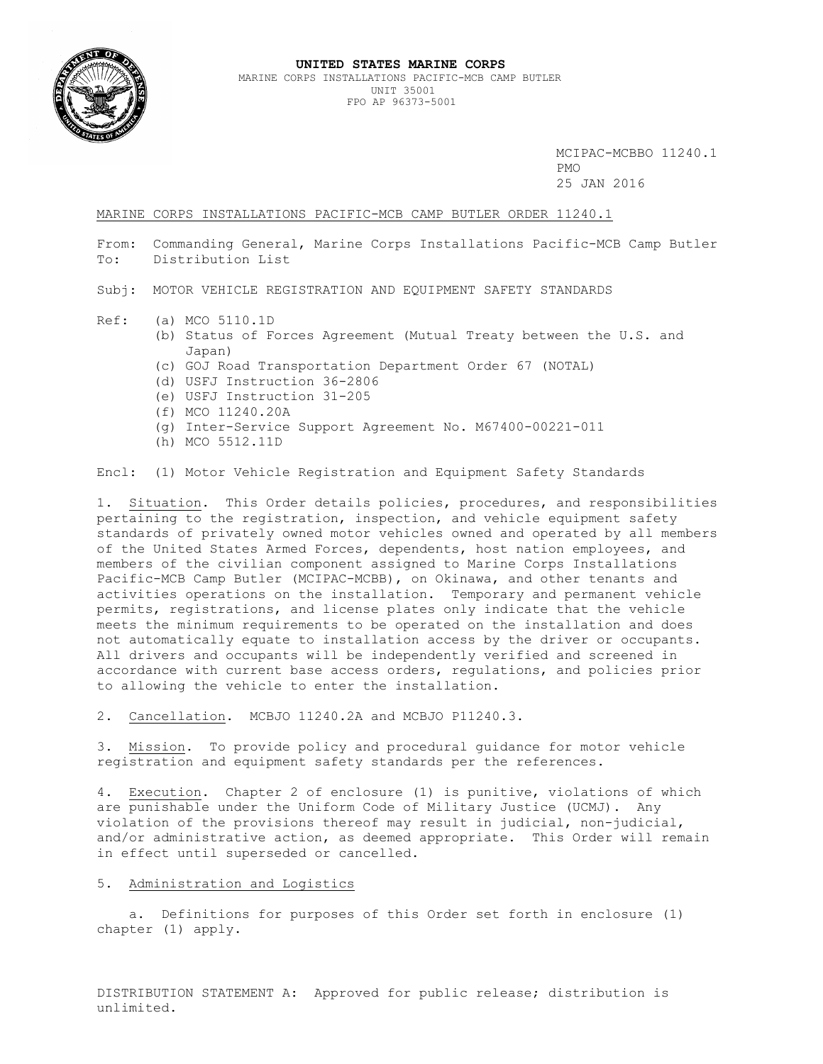

MARINE CORPS INSTALLATIONS PACIFIC-MCB CAMP BUTLER ORDER 11240.1

From: Commanding General, Marine Corps Installations Pacific-MCB Camp Butler To: Distribution List

Subj: MOTOR VEHICLE REGISTRATION AND EQUIPMENT SAFETY STANDARDS

- Ref: (a) MCO 5110.1D
	- (b) Status of Forces Agreement (Mutual Treaty between the U.S. and Japan)
		- (c) GOJ Road Transportation Department Order 67 (NOTAL)
		- (d) USFJ Instruction 36-2806
		- (e) USFJ Instruction 31-205
		- (f) MCO 11240.20A
		- (g) Inter-Service Support Agreement No. M67400-00221-011
		- (h) MCO 5512.11D

Encl: (1) Motor Vehicle Registration and Equipment Safety Standards

1.Situation. This Order details policies, procedures, and responsibilities pertaining to the registration, inspection, and vehicle equipment safety standards of privately owned motor vehicles owned and operated by all members of the United States Armed Forces, dependents, host nation employees, and members of the civilian component assigned to Marine Corps Installations Pacific-MCB Camp Butler (MCIPAC-MCBB), on Okinawa, and other tenants and activities operations on the installation. Temporary and permanent vehicle permits, registrations, and license plates only indicate that the vehicle meets the minimum requirements to be operated on the installation and does not automatically equate to installation access by the driver or occupants. All drivers and occupants will be independently verified and screened in accordance with current base access orders, regulations, and policies prior to allowing the vehicle to enter the installation.

2. Cancellation. MCBJO 11240.2A and MCBJO P11240.3.

3. Mission. To provide policy and procedural guidance for motor vehicle registration and equipment safety standards per the references.

4. Execution. Chapter 2 of enclosure (1) is punitive, violations of which are punishable under the Uniform Code of Military Justice (UCMJ). Any violation of the provisions thereof may result in judicial, non-judicial, and/or administrative action, as deemed appropriate. This Order will remain in effect until superseded or cancelled.

## 5. Administration and Logistics

 a. Definitions for purposes of this Order set forth in enclosure (1) chapter (1) apply.

DISTRIBUTION STATEMENT A: Approved for public release; distribution is unlimited.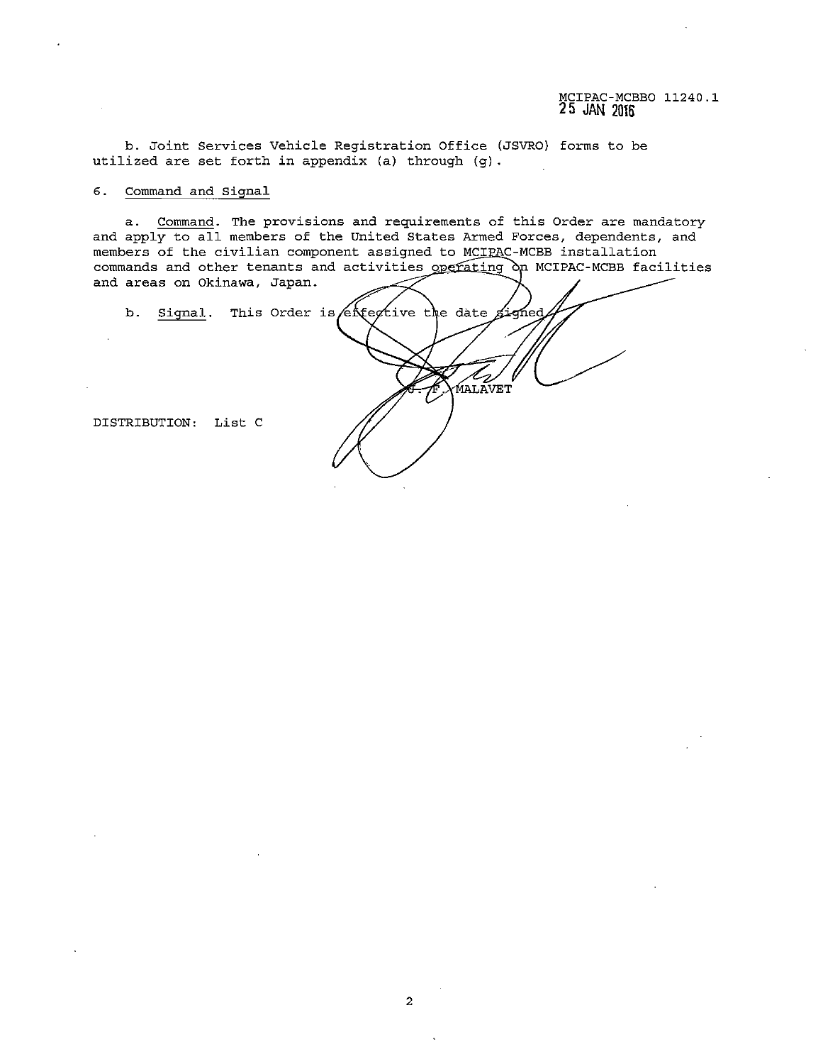b. Joint Services Vehicle Registration Office (JSVRO) forms to be utilized are set forth in appendix (a) through (g).

#### **6. Command and Signal**

**a. Command. The provisions and requirements of this Order are mandatory**  and apply to all members of the United States Armed Forces, dependents, and members of the civilian component assigned to MCIRAC-MCBB installation commands and other tenants and activities operating on MCIPAC-MCBB facilities **and areas on Okinawa, Japan.** 

b. Signal. This Order is extertive the date signed MALĀVET DISTRIBUTION: List C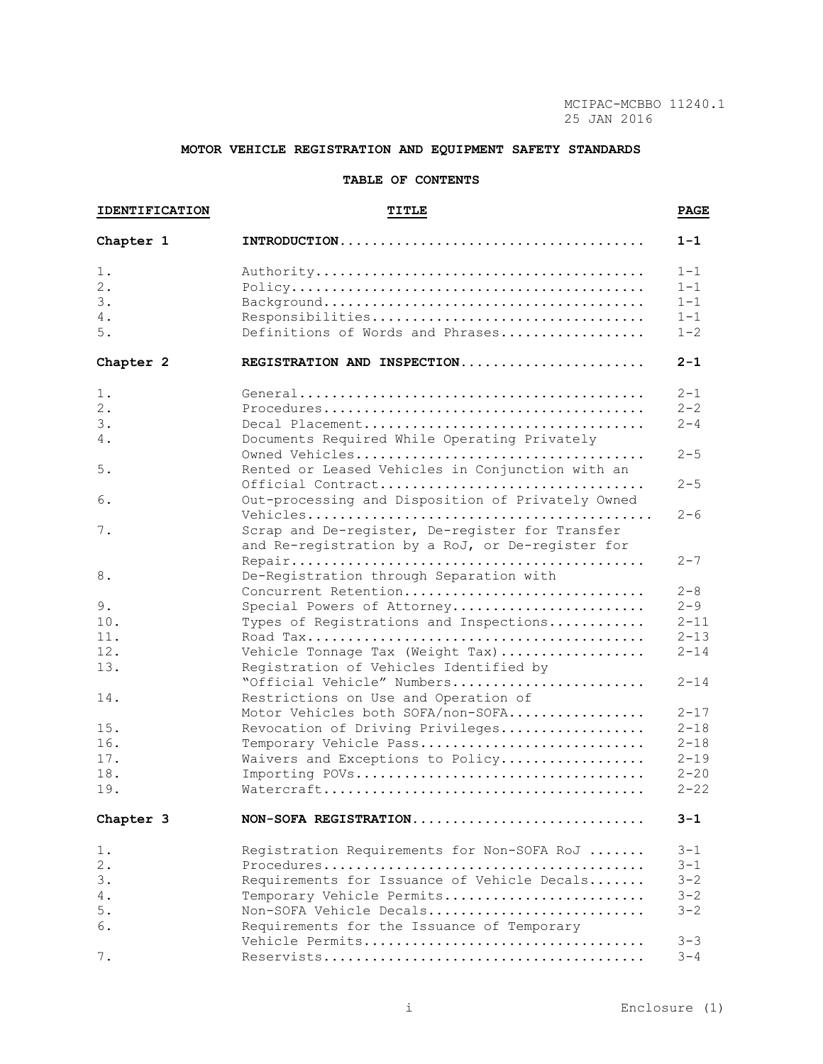# **MOTOR VEHICLE REGISTRATION AND EQUIPMENT SAFETY STANDARDS**

# **TABLE OF CONTENTS**

| <b>IDENTIFICATION</b> |  | <b>TITLE</b>                                                                                        |          |  |  |
|-----------------------|--|-----------------------------------------------------------------------------------------------------|----------|--|--|
| Chapter 1             |  |                                                                                                     | $1 - 1$  |  |  |
| 1.                    |  |                                                                                                     | $1 - 1$  |  |  |
| 2.                    |  |                                                                                                     | $1 - 1$  |  |  |
| 3.                    |  |                                                                                                     | $1 - 1$  |  |  |
| 4.                    |  | Responsibilities                                                                                    | $1 - 1$  |  |  |
| 5.                    |  | Definitions of Words and Phrases                                                                    | $1 - 2$  |  |  |
| Chapter 2             |  | REGISTRATION AND INSPECTION                                                                         | $2 - 1$  |  |  |
| 1.                    |  |                                                                                                     | $2 - 1$  |  |  |
| $2$ .                 |  |                                                                                                     | $2 - 2$  |  |  |
| 3.                    |  | Decal Placement                                                                                     | $2 - 4$  |  |  |
| 4.                    |  | Documents Required While Operating Privately                                                        |          |  |  |
| 5.                    |  | Rented or Leased Vehicles in Conjunction with an                                                    | $2 - 5$  |  |  |
|                       |  | Official Contract                                                                                   | $2 - 5$  |  |  |
| 6.                    |  | Out-processing and Disposition of Privately Owned                                                   | $2 - 6$  |  |  |
| 7.                    |  | Scrap and De-register, De-register for Transfer<br>and Re-registration by a RoJ, or De-register for |          |  |  |
| 8.                    |  | De-Registration through Separation with                                                             | $2 - 7$  |  |  |
|                       |  | Concurrent Retention                                                                                | $2 - 8$  |  |  |
| 9.                    |  | Special Powers of Attorney                                                                          | $2 - 9$  |  |  |
| 10.                   |  | Types of Registrations and Inspections                                                              | $2 - 11$ |  |  |
| 11.                   |  |                                                                                                     | $2 - 13$ |  |  |
| 12.                   |  | Vehicle Tonnage Tax (Weight Tax)                                                                    | $2 - 14$ |  |  |
| 13.                   |  | Registration of Vehicles Identified by                                                              |          |  |  |
|                       |  | "Official Vehicle" Numbers                                                                          | $2 - 14$ |  |  |
| 14.                   |  | Restrictions on Use and Operation of                                                                |          |  |  |
|                       |  | Motor Vehicles both SOFA/non-SOFA                                                                   | $2 - 17$ |  |  |
| 15.                   |  | Revocation of Driving Privileges                                                                    | $2 - 18$ |  |  |
| 16.                   |  | Temporary Vehicle Pass                                                                              | $2 - 18$ |  |  |
| 17.                   |  | Waivers and Exceptions to Policy                                                                    | $2 - 19$ |  |  |
| 18.                   |  |                                                                                                     | $2 - 20$ |  |  |
| 19.                   |  |                                                                                                     | $2 - 22$ |  |  |
| Chapter 3             |  | NON-SOFA REGISTRATION                                                                               | 3-1      |  |  |
| $1$ .                 |  | Registration Requirements for Non-SOFA RoJ                                                          | $3 - 1$  |  |  |
| 2.                    |  |                                                                                                     | $3 - 1$  |  |  |
| 3.                    |  | Requirements for Issuance of Vehicle Decals                                                         | $3 - 2$  |  |  |
| 4.                    |  | Temporary Vehicle Permits                                                                           | $3 - 2$  |  |  |
| 5.                    |  | Non-SOFA Vehicle Decals                                                                             | $3 - 2$  |  |  |
| 6.                    |  | Requirements for the Issuance of Temporary                                                          |          |  |  |
|                       |  | Vehicle Permits                                                                                     | $3 - 3$  |  |  |
| 7.                    |  |                                                                                                     | $3 - 4$  |  |  |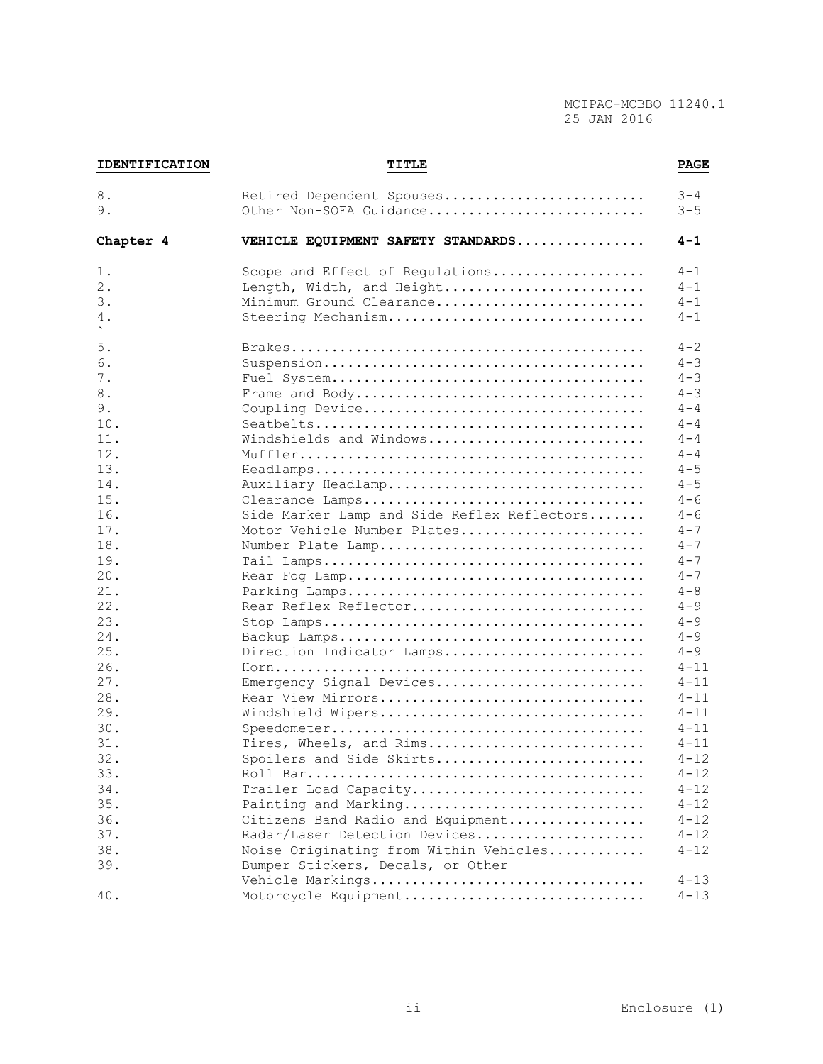| 8.        | Retired Dependent Spouses                   | $3 - 4$  |
|-----------|---------------------------------------------|----------|
| 9.        | Other Non-SOFA Guidance                     | $3 - 5$  |
| Chapter 4 | VEHICLE EQUIPMENT SAFETY STANDARDS          | $4 - 1$  |
| 1.        | Scope and Effect of Regulations             | $4 - 1$  |
| 2.        | Length, Width, and Height                   | $4 - 1$  |
| 3.        | Minimum Ground Clearance                    | $4 - 1$  |
| 4.        | Steering Mechanism                          | $4 - 1$  |
| 5.        |                                             | $4 - 2$  |
| 6.        |                                             | $4 - 3$  |
| 7.        |                                             | $4 - 3$  |
| 8.        |                                             | $4 - 3$  |
| 9.        | Coupling Device                             | $4 - 4$  |
| 10.       |                                             | $4 - 4$  |
| 11.       | Windshields and Windows                     | $4 - 4$  |
| 12.       |                                             | $4 - 4$  |
| 13.       |                                             | $4 - 5$  |
| 14.       | Auxiliary Headlamp                          | $4 - 5$  |
| 15.       | Clearance Lamps                             | $4 - 6$  |
| 16.       | Side Marker Lamp and Side Reflex Reflectors | $4 - 6$  |
| 17.       | Motor Vehicle Number Plates                 | $4 - 7$  |
| 18.       | Number Plate Lamp                           | $4 - 7$  |
| 19.       |                                             | $4 - 7$  |
| 20.       |                                             | $4 - 7$  |
| 21.       |                                             | $4 - 8$  |
| 22.       | Rear Reflex Reflector                       | $4 - 9$  |
| 23.       |                                             | $4 - 9$  |
| 24.       |                                             | $4 - 9$  |
| 25.       | Direction Indicator Lamps                   | $4 - 9$  |
| 26.       |                                             | $4 - 11$ |
| 27.       | Emergency Signal Devices                    | $4 - 11$ |
| 28.       | Rear View Mirrors                           | $4 - 11$ |
| 29.       | Windshield Wipers                           | $4 - 11$ |
| 30.       |                                             | $4 - 11$ |
| 31.       | Tires, Wheels, and Rims                     | $4 - 11$ |
| 32.       | Spoilers and Side Skirts                    | $4 - 12$ |
| 33.       |                                             | $4 - 12$ |
| 34.       | Trailer Load Capacity                       | $4 - 12$ |
| 35.       | Painting and Marking                        | $4 - 12$ |
| 36.       | Citizens Band Radio and Equipment           | $4 - 12$ |
| 37.       | Radar/Laser Detection Devices               | $4 - 12$ |
| 38.       | Noise Originating from Within Vehicles      | $4 - 12$ |
| 39.       | Bumper Stickers, Decals, or Other           |          |
|           | Vehicle Markings                            | $4 - 13$ |
| 40.       | Motorcycle Equipment                        | $4 - 13$ |

**IDENTIFICATION TITLE PAGE**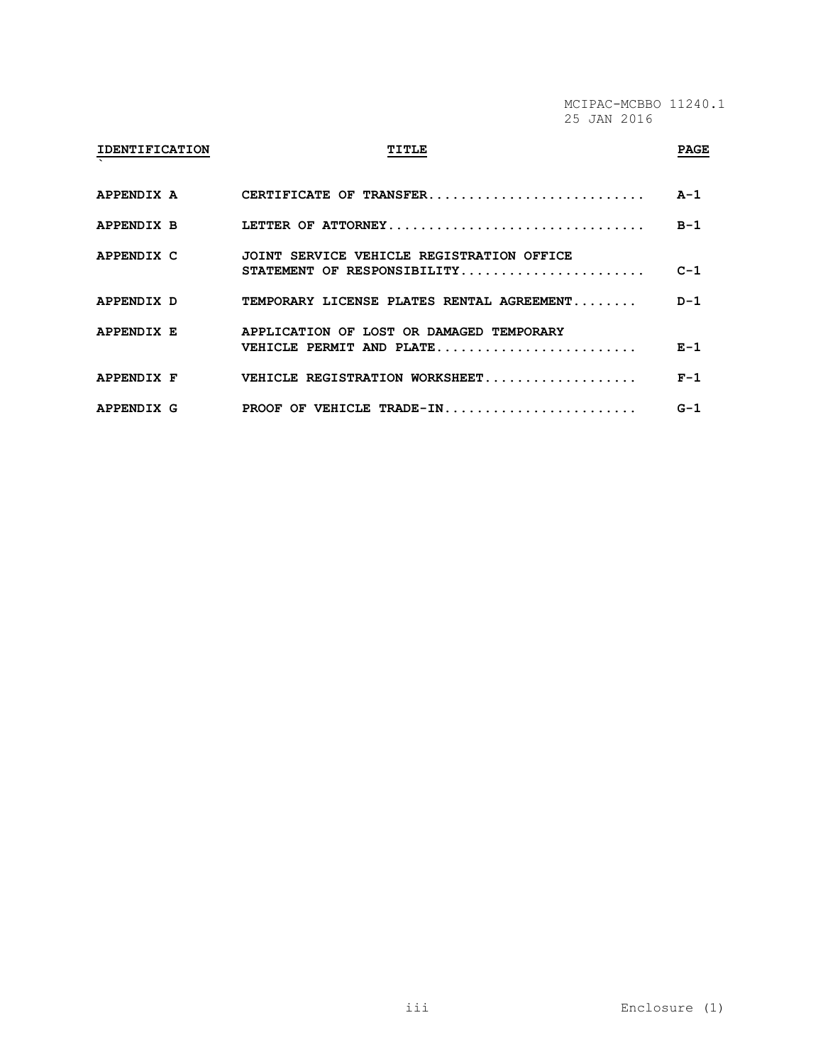# **IDENTIFICATION TITLE PAGE ` APPENDIX A CERTIFICATE OF TRANSFER........................... A-1 APPENDIX B LETTER OF ATTORNEY................................ B-1 APPENDIX C JOINT SERVICE VEHICLE REGISTRATION OFFICE STATEMENT OF RESPONSIBILITY....................... C-1 APPENDIX D TEMPORARY LICENSE PLATES RENTAL AGREEMENT........ D-1 APPENDIX E APPLICATION OF LOST OR DAMAGED TEMPORARY VEHICLE PERMIT AND PLATE......................... E-1 APPENDIX F VEHICLE REGISTRATION WORKSHEET................... F-1 APPENDIX G PROOF OF VEHICLE TRADE-IN........................ G-1**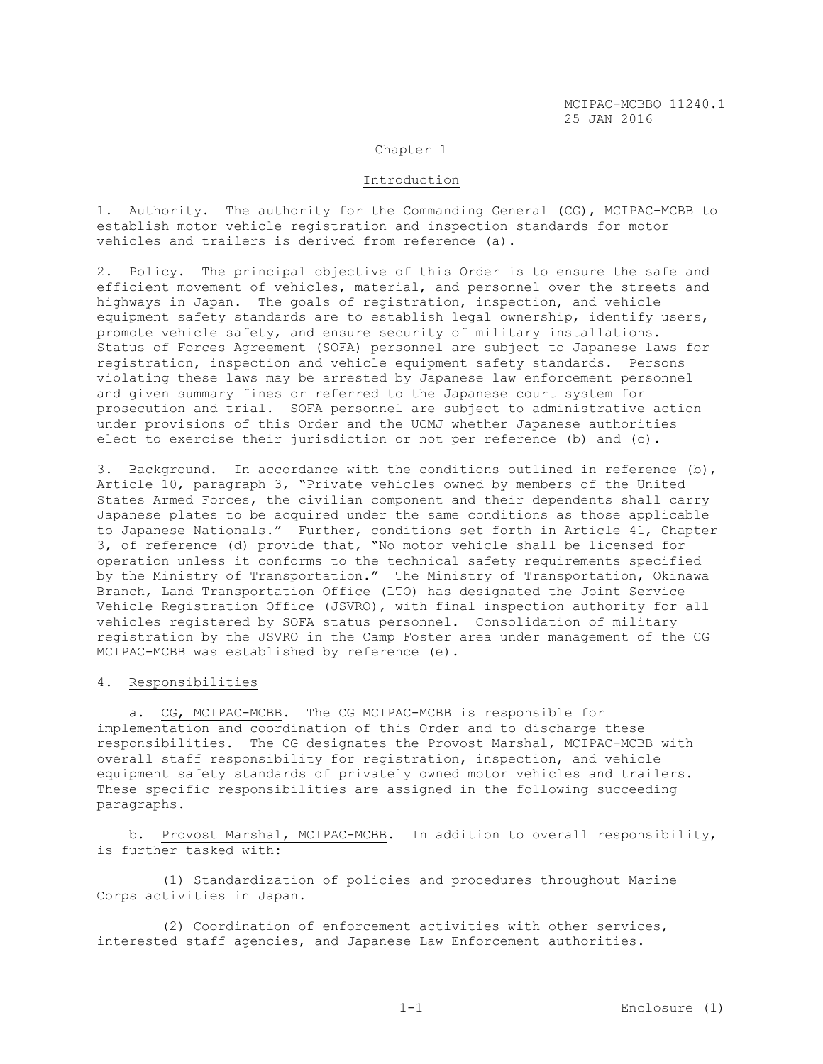#### Chapter 1

#### Introduction

1. Authority. The authority for the Commanding General (CG), MCIPAC-MCBB to establish motor vehicle registration and inspection standards for motor vehicles and trailers is derived from reference (a).

2. Policy. The principal objective of this Order is to ensure the safe and efficient movement of vehicles, material, and personnel over the streets and highways in Japan. The goals of registration, inspection, and vehicle equipment safety standards are to establish legal ownership, identify users, promote vehicle safety, and ensure security of military installations. Status of Forces Agreement (SOFA) personnel are subject to Japanese laws for registration, inspection and vehicle equipment safety standards. Persons violating these laws may be arrested by Japanese law enforcement personnel and given summary fines or referred to the Japanese court system for prosecution and trial. SOFA personnel are subject to administrative action under provisions of this Order and the UCMJ whether Japanese authorities elect to exercise their jurisdiction or not per reference (b) and (c).

3. Background. In accordance with the conditions outlined in reference  $(b)$ , Article 10, paragraph 3, "Private vehicles owned by members of the United States Armed Forces, the civilian component and their dependents shall carry Japanese plates to be acquired under the same conditions as those applicable to Japanese Nationals." Further, conditions set forth in Article 41, Chapter 3, of reference (d) provide that, "No motor vehicle shall be licensed for operation unless it conforms to the technical safety requirements specified by the Ministry of Transportation." The Ministry of Transportation, Okinawa Branch, Land Transportation Office (LTO) has designated the Joint Service Vehicle Registration Office (JSVRO), with final inspection authority for all vehicles registered by SOFA status personnel. Consolidation of military registration by the JSVRO in the Camp Foster area under management of the CG MCIPAC-MCBB was established by reference (e).

# 4. Responsibilities

 a. CG, MCIPAC-MCBB. The CG MCIPAC-MCBB is responsible for implementation and coordination of this Order and to discharge these responsibilities. The CG designates the Provost Marshal, MCIPAC-MCBB with overall staff responsibility for registration, inspection, and vehicle equipment safety standards of privately owned motor vehicles and trailers. These specific responsibilities are assigned in the following succeeding paragraphs.

 b. Provost Marshal, MCIPAC-MCBB. In addition to overall responsibility, is further tasked with:

 (1) Standardization of policies and procedures throughout Marine Corps activities in Japan.

 (2) Coordination of enforcement activities with other services, interested staff agencies, and Japanese Law Enforcement authorities.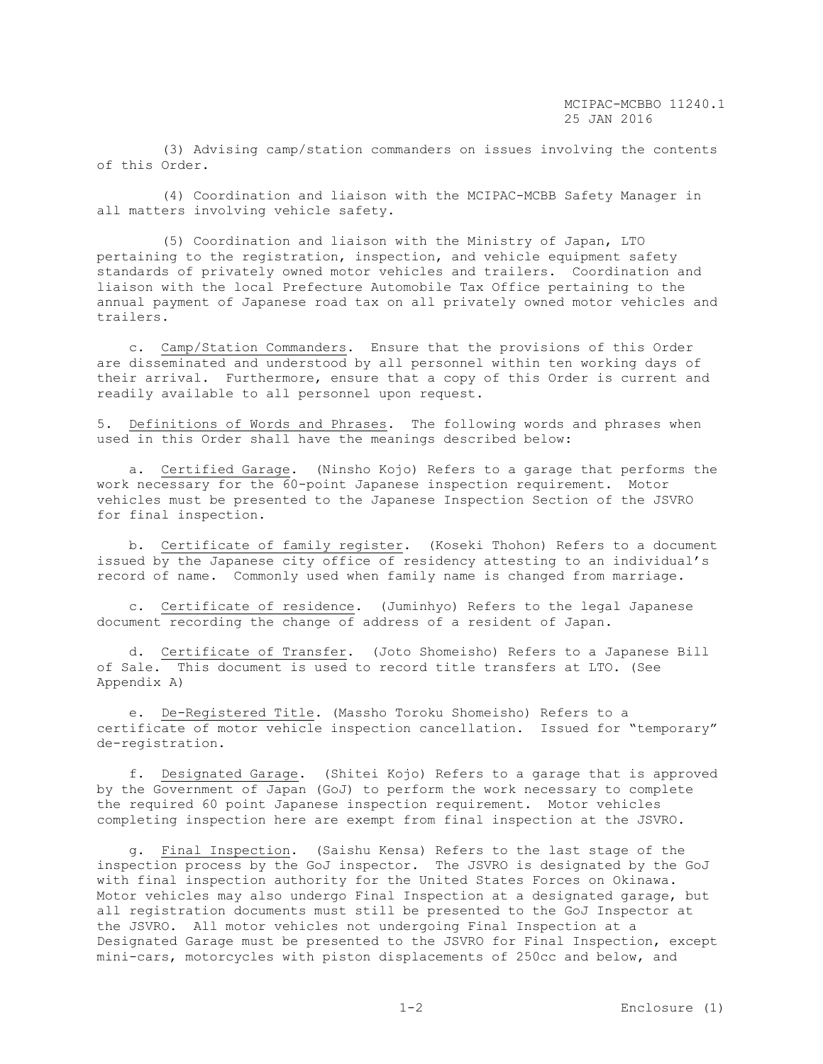(3) Advising camp/station commanders on issues involving the contents of this Order.

 (4) Coordination and liaison with the MCIPAC-MCBB Safety Manager in all matters involving vehicle safety.

 (5) Coordination and liaison with the Ministry of Japan, LTO pertaining to the registration, inspection, and vehicle equipment safety standards of privately owned motor vehicles and trailers. Coordination and liaison with the local Prefecture Automobile Tax Office pertaining to the annual payment of Japanese road tax on all privately owned motor vehicles and trailers.

 c. Camp/Station Commanders. Ensure that the provisions of this Order are disseminated and understood by all personnel within ten working days of their arrival. Furthermore, ensure that a copy of this Order is current and readily available to all personnel upon request.

5. Definitions of Words and Phrases. The following words and phrases when used in this Order shall have the meanings described below:

 a. Certified Garage. (Ninsho Kojo) Refers to a garage that performs the work necessary for the 60-point Japanese inspection requirement. Motor vehicles must be presented to the Japanese Inspection Section of the JSVRO for final inspection.

 b. Certificate of family register. (Koseki Thohon) Refers to a document issued by the Japanese city office of residency attesting to an individual's record of name. Commonly used when family name is changed from marriage.

 c. Certificate of residence. (Juminhyo) Refers to the legal Japanese document recording the change of address of a resident of Japan.

 d. Certificate of Transfer. (Joto Shomeisho) Refers to a Japanese Bill of Sale. This document is used to record title transfers at LTO. (See Appendix A)

 e. De-Registered Title. (Massho Toroku Shomeisho) Refers to a certificate of motor vehicle inspection cancellation. Issued for "temporary" de-registration.

 f. Designated Garage. (Shitei Kojo) Refers to a garage that is approved by the Government of Japan (GoJ) to perform the work necessary to complete the required 60 point Japanese inspection requirement. Motor vehicles completing inspection here are exempt from final inspection at the JSVRO.

 g. Final Inspection. (Saishu Kensa) Refers to the last stage of the inspection process by the GoJ inspector. The JSVRO is designated by the GoJ with final inspection authority for the United States Forces on Okinawa. Motor vehicles may also undergo Final Inspection at a designated garage, but all registration documents must still be presented to the GoJ Inspector at the JSVRO. All motor vehicles not undergoing Final Inspection at a Designated Garage must be presented to the JSVRO for Final Inspection, except mini-cars, motorcycles with piston displacements of 250cc and below, and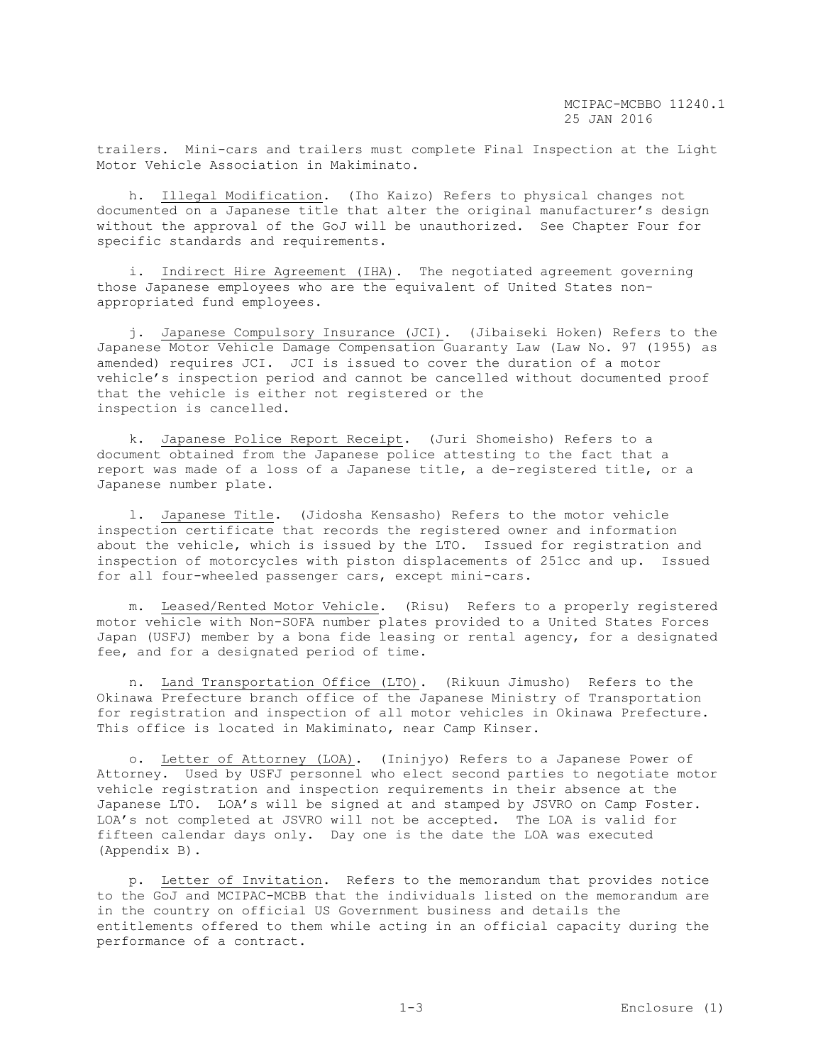trailers. Mini-cars and trailers must complete Final Inspection at the Light Motor Vehicle Association in Makiminato.

 h. Illegal Modification. (Iho Kaizo) Refers to physical changes not documented on a Japanese title that alter the original manufacturer's design without the approval of the GoJ will be unauthorized. See Chapter Four for specific standards and requirements.

 i. Indirect Hire Agreement (IHA). The negotiated agreement governing those Japanese employees who are the equivalent of United States nonappropriated fund employees.

 j. Japanese Compulsory Insurance (JCI). (Jibaiseki Hoken) Refers to the Japanese Motor Vehicle Damage Compensation Guaranty Law (Law No. 97 (1955) as amended) requires JCI. JCI is issued to cover the duration of a motor vehicle's inspection period and cannot be cancelled without documented proof that the vehicle is either not registered or the inspection is cancelled.

 k. Japanese Police Report Receipt. (Juri Shomeisho) Refers to a document obtained from the Japanese police attesting to the fact that a report was made of a loss of a Japanese title, a de-registered title, or a Japanese number plate.

 l. Japanese Title. (Jidosha Kensasho) Refers to the motor vehicle inspection certificate that records the registered owner and information about the vehicle, which is issued by the LTO. Issued for registration and inspection of motorcycles with piston displacements of 251cc and up. Issued for all four-wheeled passenger cars, except mini-cars.

 m. Leased/Rented Motor Vehicle. (Risu) Refers to a properly registered motor vehicle with Non-SOFA number plates provided to a United States Forces Japan (USFJ) member by a bona fide leasing or rental agency, for a designated fee, and for a designated period of time.

 n. Land Transportation Office (LTO). (Rikuun Jimusho) Refers to the Okinawa Prefecture branch office of the Japanese Ministry of Transportation for registration and inspection of all motor vehicles in Okinawa Prefecture. This office is located in Makiminato, near Camp Kinser.

o. Letter of Attorney (LOA). (Ininjyo) Refers to a Japanese Power of Attorney. Used by USFJ personnel who elect second parties to negotiate motor vehicle registration and inspection requirements in their absence at the Japanese LTO. LOA's will be signed at and stamped by JSVRO on Camp Foster. LOA's not completed at JSVRO will not be accepted. The LOA is valid for fifteen calendar days only. Day one is the date the LOA was executed (Appendix B).

 p. Letter of Invitation. Refers to the memorandum that provides notice to the GoJ and MCIPAC-MCBB that the individuals listed on the memorandum are in the country on official US Government business and details the entitlements offered to them while acting in an official capacity during the performance of a contract.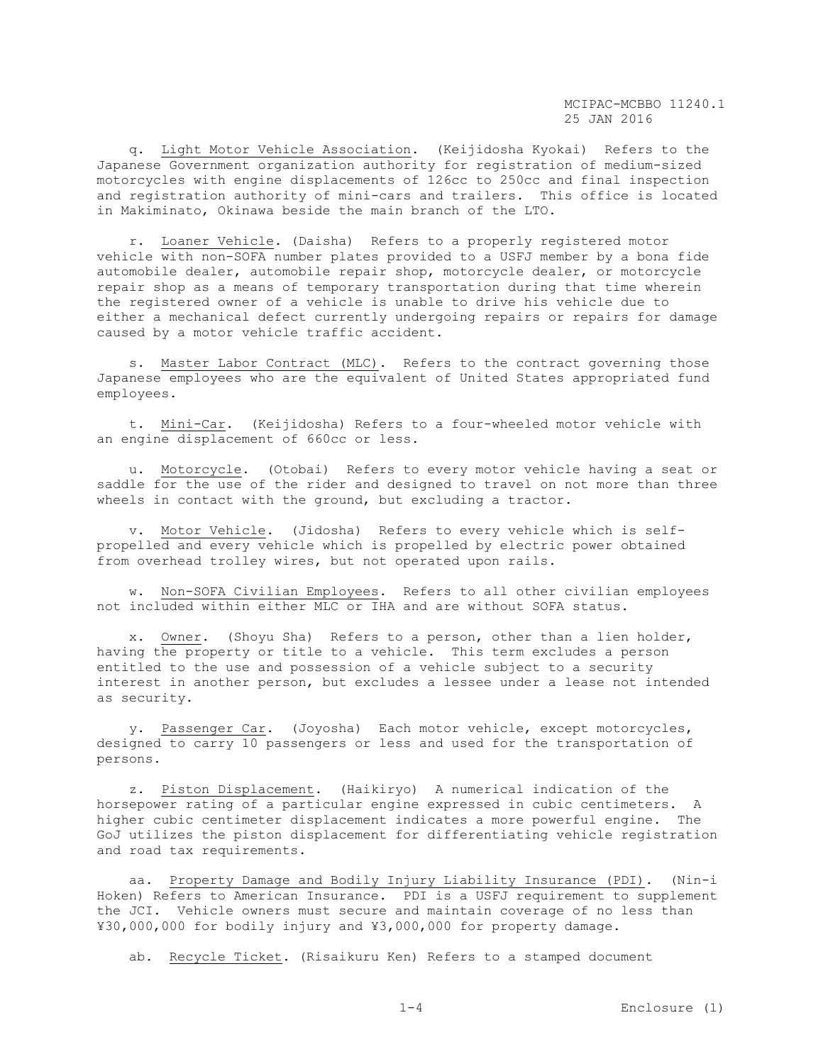q. Light Motor Vehicle Association. (Keijidosha Kyokai) Refers to the Japanese Government organization authority for registration of medium-sized motorcycles with engine displacements of 126cc to 250cc and final inspection and registration authority of mini-cars and trailers. This office is located in Makiminato, Okinawa beside the main branch of the LTO.

 r. Loaner Vehicle. (Daisha) Refers to a properly registered motor vehicle with non-SOFA number plates provided to a USFJ member by a bona fide automobile dealer, automobile repair shop, motorcycle dealer, or motorcycle repair shop as a means of temporary transportation during that time wherein the registered owner of a vehicle is unable to drive his vehicle due to either a mechanical defect currently undergoing repairs or repairs for damage caused by a motor vehicle traffic accident.

 s. Master Labor Contract (MLC). Refers to the contract governing those Japanese employees who are the equivalent of United States appropriated fund employees.

 t. Mini-Car. (Keijidosha) Refers to a four-wheeled motor vehicle with an engine displacement of 660cc or less.

 u. Motorcycle. (Otobai) Refers to every motor vehicle having a seat or saddle for the use of the rider and designed to travel on not more than three wheels in contact with the ground, but excluding a tractor.

 v. Motor Vehicle. (Jidosha) Refers to every vehicle which is selfpropelled and every vehicle which is propelled by electric power obtained from overhead trolley wires, but not operated upon rails.

 w. Non-SOFA Civilian Employees. Refers to all other civilian employees not included within either MLC or IHA and are without SOFA status.

 x. Owner. (Shoyu Sha) Refers to a person, other than a lien holder, having the property or title to a vehicle. This term excludes a person entitled to the use and possession of a vehicle subject to a security interest in another person, but excludes a lessee under a lease not intended as security.

 y. Passenger Car. (Joyosha) Each motor vehicle, except motorcycles, designed to carry 10 passengers or less and used for the transportation of persons.

 z. Piston Displacement. (Haikiryo) A numerical indication of the horsepower rating of a particular engine expressed in cubic centimeters. A higher cubic centimeter displacement indicates a more powerful engine. The GoJ utilizes the piston displacement for differentiating vehicle registration and road tax requirements.

 aa. Property Damage and Bodily Injury Liability Insurance (PDI). (Nin-i Hoken) Refers to American Insurance. PDI is a USFJ requirement to supplement the JCI. Vehicle owners must secure and maintain coverage of no less than ¥30,000,000 for bodily injury and ¥3,000,000 for property damage.

ab. Recycle Ticket. (Risaikuru Ken) Refers to a stamped document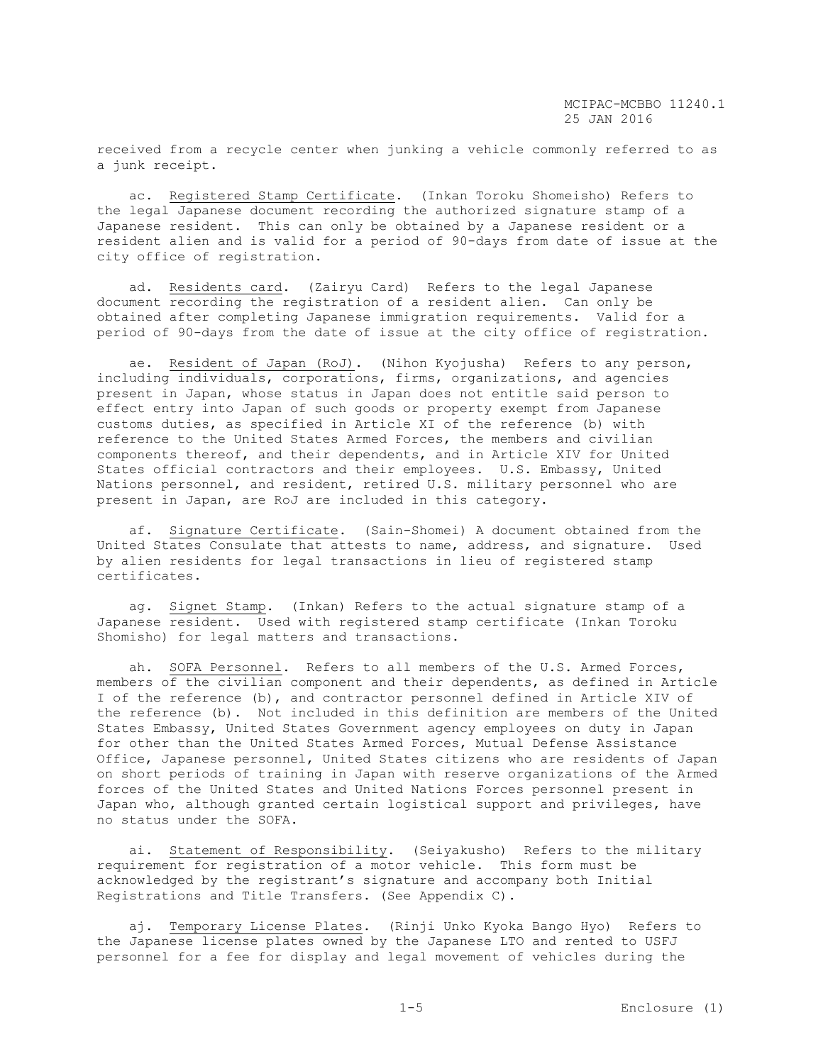received from a recycle center when junking a vehicle commonly referred to as a junk receipt.

 ac. Registered Stamp Certificate. (Inkan Toroku Shomeisho) Refers to the legal Japanese document recording the authorized signature stamp of a Japanese resident. This can only be obtained by a Japanese resident or a resident alien and is valid for a period of 90-days from date of issue at the city office of registration.

 ad. Residents card. (Zairyu Card) Refers to the legal Japanese document recording the registration of a resident alien. Can only be obtained after completing Japanese immigration requirements. Valid for a period of 90-days from the date of issue at the city office of registration.

 ae. Resident of Japan (RoJ). (Nihon Kyojusha) Refers to any person, including individuals, corporations, firms, organizations, and agencies present in Japan, whose status in Japan does not entitle said person to effect entry into Japan of such goods or property exempt from Japanese customs duties, as specified in Article XI of the reference (b) with reference to the United States Armed Forces, the members and civilian components thereof, and their dependents, and in Article XIV for United States official contractors and their employees. U.S. Embassy, United Nations personnel, and resident, retired U.S. military personnel who are present in Japan, are RoJ are included in this category.

 af. Signature Certificate. (Sain-Shomei) A document obtained from the United States Consulate that attests to name, address, and signature. Used by alien residents for legal transactions in lieu of registered stamp certificates.

 ag. Signet Stamp. (Inkan) Refers to the actual signature stamp of a Japanese resident. Used with registered stamp certificate (Inkan Toroku Shomisho) for legal matters and transactions.

 ah. SOFA Personnel. Refers to all members of the U.S. Armed Forces, members of the civilian component and their dependents, as defined in Article I of the reference (b), and contractor personnel defined in Article XIV of the reference (b). Not included in this definition are members of the United States Embassy, United States Government agency employees on duty in Japan for other than the United States Armed Forces, Mutual Defense Assistance Office, Japanese personnel, United States citizens who are residents of Japan on short periods of training in Japan with reserve organizations of the Armed forces of the United States and United Nations Forces personnel present in Japan who, although granted certain logistical support and privileges, have no status under the SOFA.

 ai. Statement of Responsibility. (Seiyakusho) Refers to the military requirement for registration of a motor vehicle. This form must be acknowledged by the registrant's signature and accompany both Initial Registrations and Title Transfers. (See Appendix C).

 aj. Temporary License Plates. (Rinji Unko Kyoka Bango Hyo) Refers to the Japanese license plates owned by the Japanese LTO and rented to USFJ personnel for a fee for display and legal movement of vehicles during the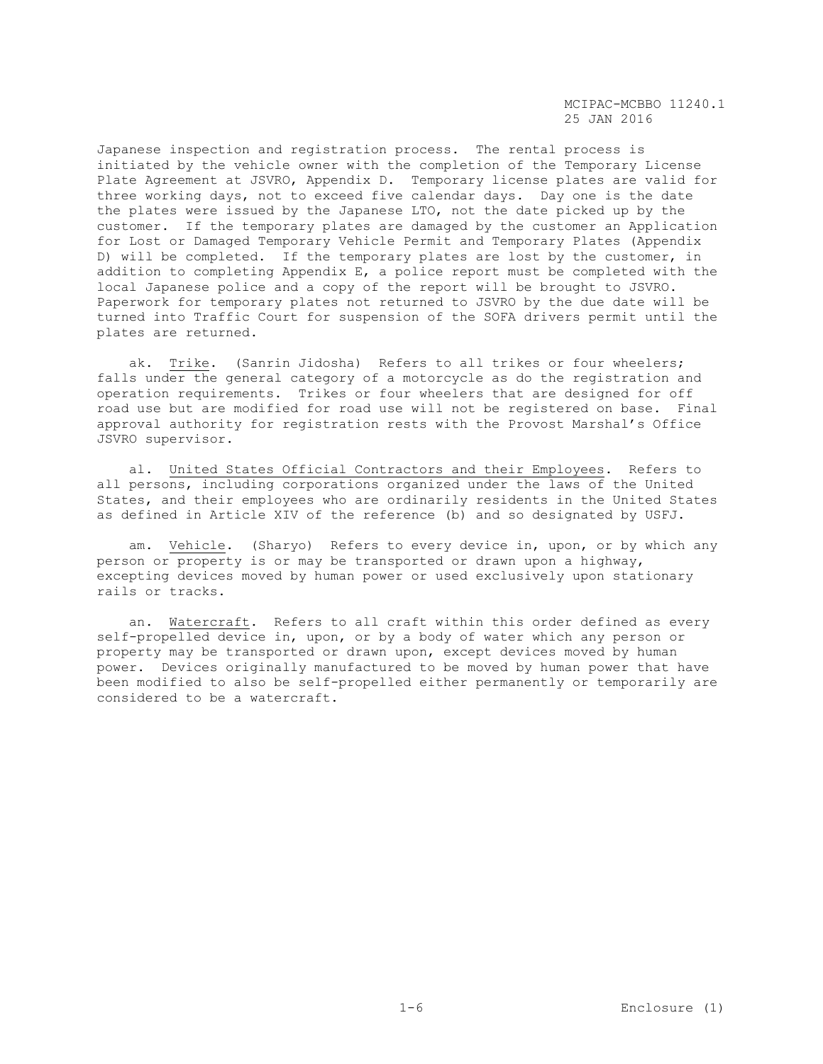Japanese inspection and registration process. The rental process is initiated by the vehicle owner with the completion of the Temporary License Plate Agreement at JSVRO, Appendix D. Temporary license plates are valid for three working days, not to exceed five calendar days. Day one is the date the plates were issued by the Japanese LTO, not the date picked up by the customer. If the temporary plates are damaged by the customer an Application for Lost or Damaged Temporary Vehicle Permit and Temporary Plates (Appendix D) will be completed. If the temporary plates are lost by the customer, in addition to completing Appendix E, a police report must be completed with the local Japanese police and a copy of the report will be brought to JSVRO. Paperwork for temporary plates not returned to JSVRO by the due date will be turned into Traffic Court for suspension of the SOFA drivers permit until the plates are returned.

 ak. Trike. (Sanrin Jidosha) Refers to all trikes or four wheelers; falls under the general category of a motorcycle as do the registration and operation requirements. Trikes or four wheelers that are designed for off road use but are modified for road use will not be registered on base. Final approval authority for registration rests with the Provost Marshal's Office JSVRO supervisor.

 al. United States Official Contractors and their Employees. Refers to all persons, including corporations organized under the laws of the United States, and their employees who are ordinarily residents in the United States as defined in Article XIV of the reference (b) and so designated by USFJ.

am. Vehicle. (Sharyo) Refers to every device in, upon, or by which any person or property is or may be transported or drawn upon a highway, excepting devices moved by human power or used exclusively upon stationary rails or tracks.

 an. Watercraft. Refers to all craft within this order defined as every self-propelled device in, upon, or by a body of water which any person or property may be transported or drawn upon, except devices moved by human power. Devices originally manufactured to be moved by human power that have been modified to also be self-propelled either permanently or temporarily are considered to be a watercraft.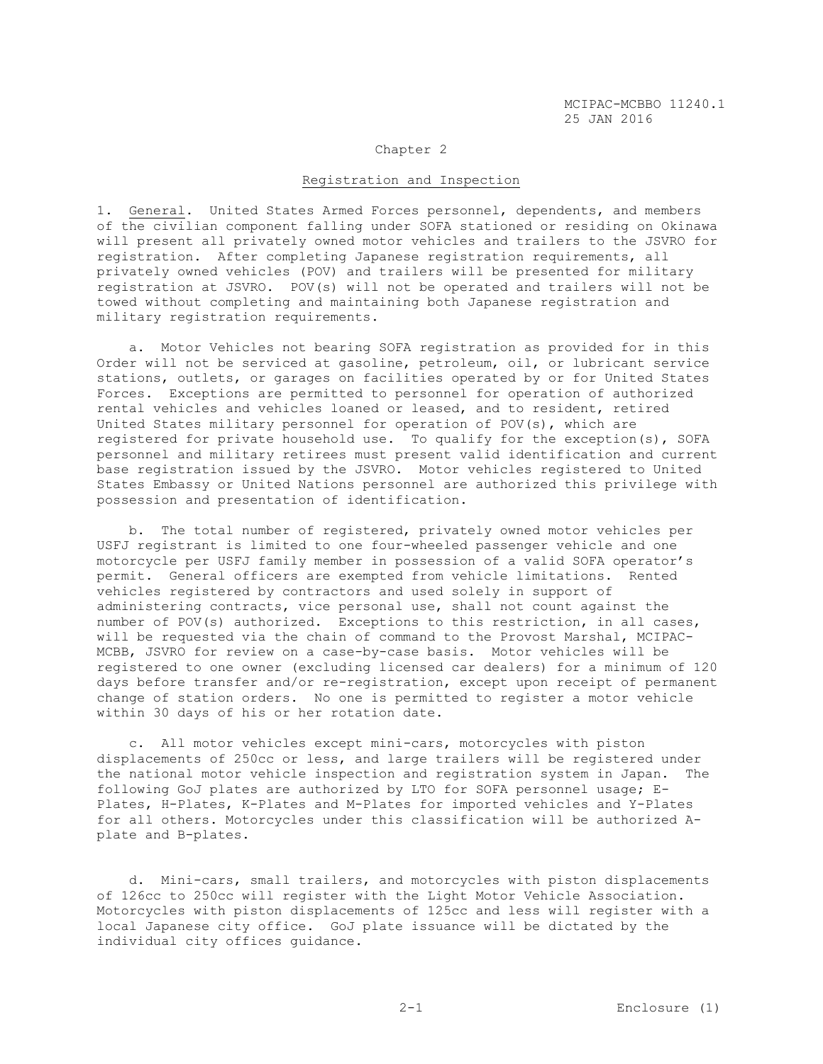#### Chapter 2

#### Registration and Inspection

1. General. United States Armed Forces personnel, dependents, and members of the civilian component falling under SOFA stationed or residing on Okinawa will present all privately owned motor vehicles and trailers to the JSVRO for registration. After completing Japanese registration requirements, all privately owned vehicles (POV) and trailers will be presented for military registration at JSVRO. POV(s) will not be operated and trailers will not be towed without completing and maintaining both Japanese registration and military registration requirements.

 a. Motor Vehicles not bearing SOFA registration as provided for in this Order will not be serviced at gasoline, petroleum, oil, or lubricant service stations, outlets, or garages on facilities operated by or for United States Forces. Exceptions are permitted to personnel for operation of authorized rental vehicles and vehicles loaned or leased, and to resident, retired United States military personnel for operation of POV(s), which are registered for private household use. To qualify for the exception(s), SOFA personnel and military retirees must present valid identification and current base registration issued by the JSVRO. Motor vehicles registered to United States Embassy or United Nations personnel are authorized this privilege with possession and presentation of identification.

 b. The total number of registered, privately owned motor vehicles per USFJ registrant is limited to one four-wheeled passenger vehicle and one motorcycle per USFJ family member in possession of a valid SOFA operator's permit. General officers are exempted from vehicle limitations. Rented vehicles registered by contractors and used solely in support of administering contracts, vice personal use, shall not count against the number of POV(s) authorized. Exceptions to this restriction, in all cases, will be requested via the chain of command to the Provost Marshal, MCIPAC-MCBB, JSVRO for review on a case-by-case basis. Motor vehicles will be registered to one owner (excluding licensed car dealers) for a minimum of 120 days before transfer and/or re-registration, except upon receipt of permanent change of station orders. No one is permitted to register a motor vehicle within 30 days of his or her rotation date.

 c. All motor vehicles except mini-cars, motorcycles with piston displacements of 250cc or less, and large trailers will be registered under the national motor vehicle inspection and registration system in Japan. The following GoJ plates are authorized by LTO for SOFA personnel usage; E-Plates, H-Plates, K-Plates and M-Plates for imported vehicles and Y-Plates for all others. Motorcycles under this classification will be authorized Aplate and B-plates.

 d. Mini-cars, small trailers, and motorcycles with piston displacements of 126cc to 250cc will register with the Light Motor Vehicle Association. Motorcycles with piston displacements of 125cc and less will register with a local Japanese city office. GoJ plate issuance will be dictated by the individual city offices guidance.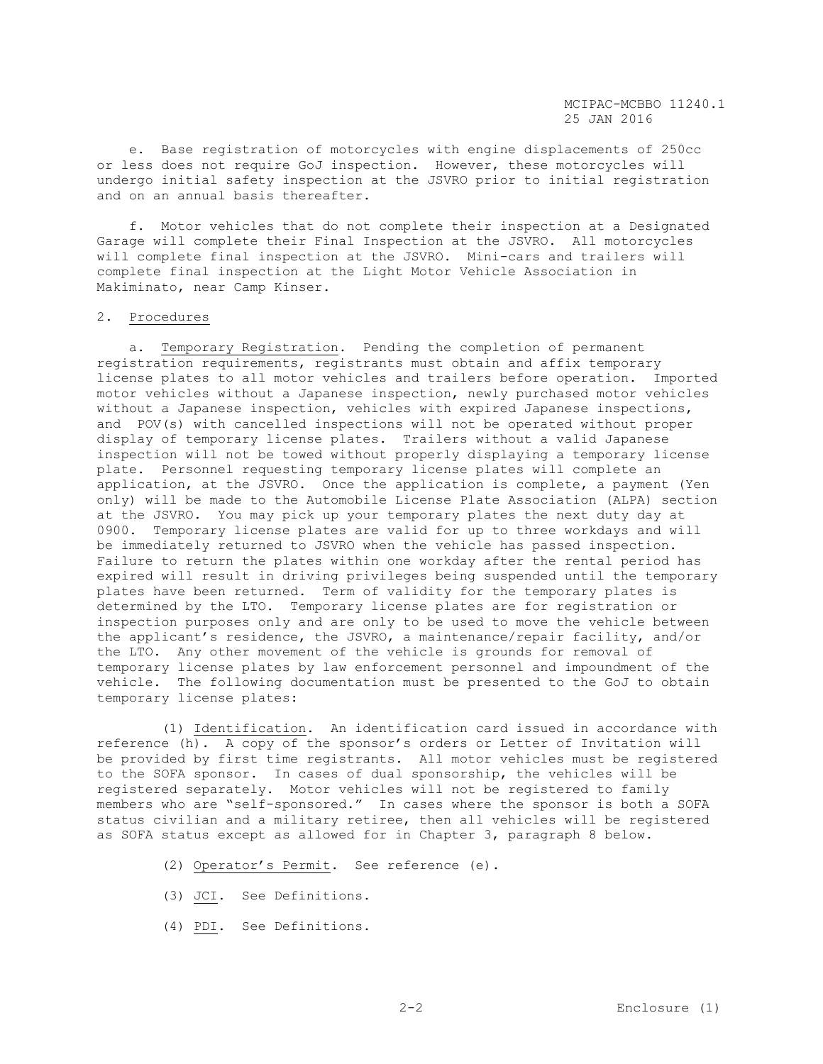e. Base registration of motorcycles with engine displacements of 250cc or less does not require GoJ inspection. However, these motorcycles will undergo initial safety inspection at the JSVRO prior to initial registration and on an annual basis thereafter.

 f. Motor vehicles that do not complete their inspection at a Designated Garage will complete their Final Inspection at the JSVRO. All motorcycles will complete final inspection at the JSVRO. Mini-cars and trailers will complete final inspection at the Light Motor Vehicle Association in Makiminato, near Camp Kinser.

#### 2. Procedures

 a. Temporary Registration. Pending the completion of permanent registration requirements, registrants must obtain and affix temporary license plates to all motor vehicles and trailers before operation. Imported motor vehicles without a Japanese inspection, newly purchased motor vehicles without a Japanese inspection, vehicles with expired Japanese inspections, and POV(s) with cancelled inspections will not be operated without proper display of temporary license plates. Trailers without a valid Japanese inspection will not be towed without properly displaying a temporary license plate. Personnel requesting temporary license plates will complete an application, at the JSVRO. Once the application is complete, a payment (Yen only) will be made to the Automobile License Plate Association (ALPA) section at the JSVRO. You may pick up your temporary plates the next duty day at 0900. Temporary license plates are valid for up to three workdays and will be immediately returned to JSVRO when the vehicle has passed inspection. Failure to return the plates within one workday after the rental period has expired will result in driving privileges being suspended until the temporary plates have been returned. Term of validity for the temporary plates is determined by the LTO. Temporary license plates are for registration or inspection purposes only and are only to be used to move the vehicle between the applicant's residence, the JSVRO, a maintenance/repair facility, and/or the LTO. Any other movement of the vehicle is grounds for removal of temporary license plates by law enforcement personnel and impoundment of the vehicle. The following documentation must be presented to the GoJ to obtain temporary license plates:

 (1) Identification. An identification card issued in accordance with reference (h). A copy of the sponsor's orders or Letter of Invitation will be provided by first time registrants. All motor vehicles must be registered to the SOFA sponsor. In cases of dual sponsorship, the vehicles will be registered separately. Motor vehicles will not be registered to family members who are "self-sponsored." In cases where the sponsor is both a SOFA status civilian and a military retiree, then all vehicles will be registered as SOFA status except as allowed for in Chapter 3, paragraph 8 below.

- (2) Operator's Permit. See reference (e).
- (3) JCI. See Definitions.
- (4) PDI. See Definitions.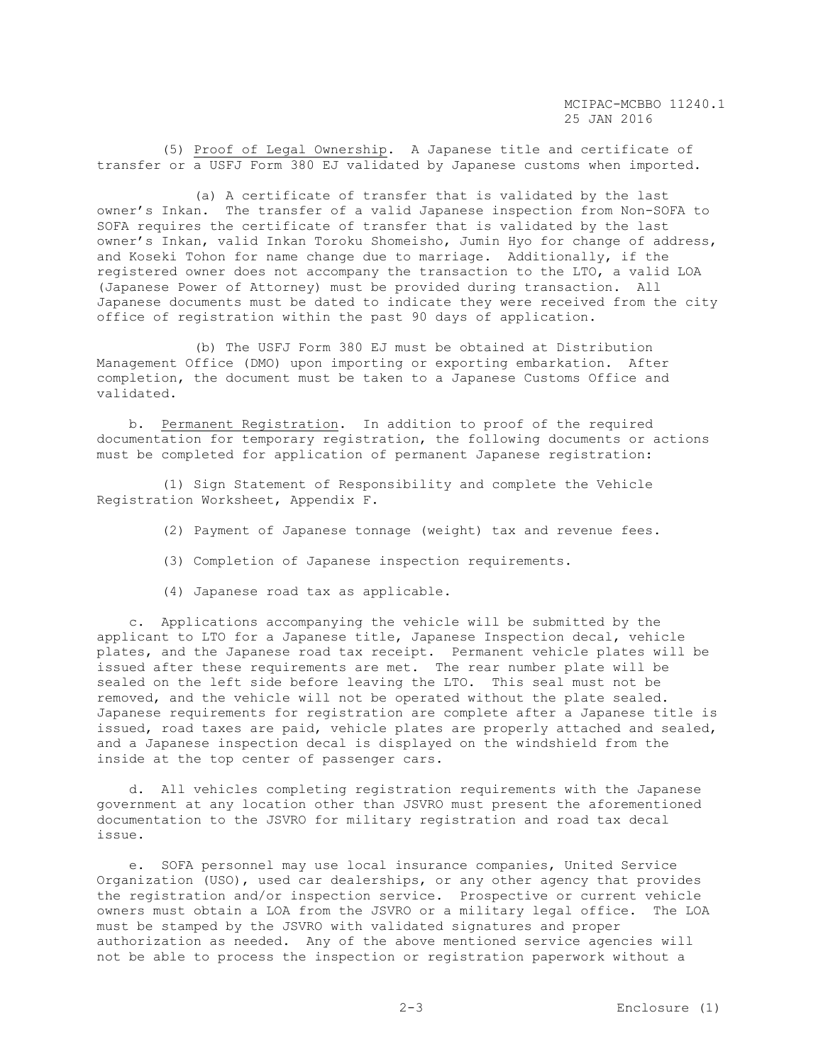(5) Proof of Legal Ownership. A Japanese title and certificate of transfer or a USFJ Form 380 EJ validated by Japanese customs when imported.

 (a) A certificate of transfer that is validated by the last owner's Inkan. The transfer of a valid Japanese inspection from Non-SOFA to SOFA requires the certificate of transfer that is validated by the last owner's Inkan, valid Inkan Toroku Shomeisho, Jumin Hyo for change of address, and Koseki Tohon for name change due to marriage. Additionally, if the registered owner does not accompany the transaction to the LTO, a valid LOA (Japanese Power of Attorney) must be provided during transaction. All Japanese documents must be dated to indicate they were received from the city office of registration within the past 90 days of application.

 (b) The USFJ Form 380 EJ must be obtained at Distribution Management Office (DMO) upon importing or exporting embarkation. After completion, the document must be taken to a Japanese Customs Office and validated.

 b. Permanent Registration. In addition to proof of the required documentation for temporary registration, the following documents or actions must be completed for application of permanent Japanese registration:

 (1) Sign Statement of Responsibility and complete the Vehicle Registration Worksheet, Appendix F.

- (2) Payment of Japanese tonnage (weight) tax and revenue fees.
- (3) Completion of Japanese inspection requirements.
- (4) Japanese road tax as applicable.

 c. Applications accompanying the vehicle will be submitted by the applicant to LTO for a Japanese title, Japanese Inspection decal, vehicle plates, and the Japanese road tax receipt. Permanent vehicle plates will be issued after these requirements are met. The rear number plate will be sealed on the left side before leaving the LTO. This seal must not be removed, and the vehicle will not be operated without the plate sealed. Japanese requirements for registration are complete after a Japanese title is issued, road taxes are paid, vehicle plates are properly attached and sealed, and a Japanese inspection decal is displayed on the windshield from the inside at the top center of passenger cars.

 d. All vehicles completing registration requirements with the Japanese government at any location other than JSVRO must present the aforementioned documentation to the JSVRO for military registration and road tax decal issue.

 e. SOFA personnel may use local insurance companies, United Service Organization (USO), used car dealerships, or any other agency that provides the registration and/or inspection service. Prospective or current vehicle owners must obtain a LOA from the JSVRO or a military legal office. The LOA must be stamped by the JSVRO with validated signatures and proper authorization as needed. Any of the above mentioned service agencies will not be able to process the inspection or registration paperwork without a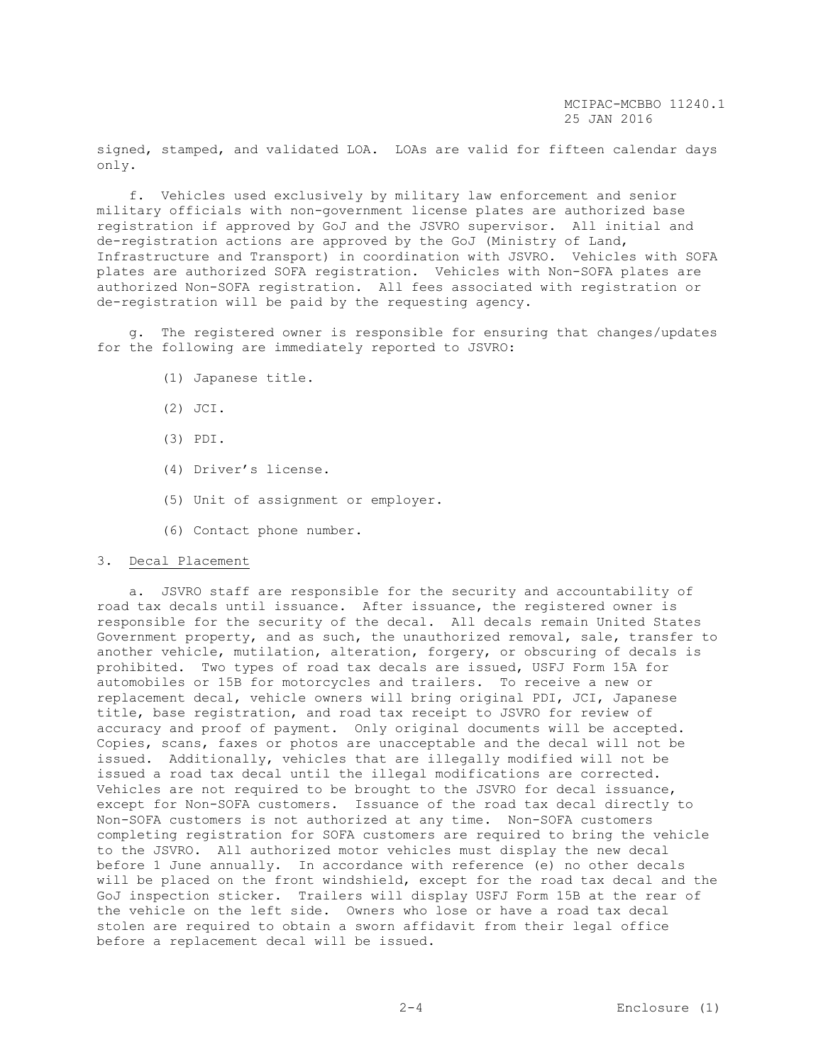signed, stamped, and validated LOA. LOAs are valid for fifteen calendar days only.

 f. Vehicles used exclusively by military law enforcement and senior military officials with non-government license plates are authorized base registration if approved by GoJ and the JSVRO supervisor. All initial and de-registration actions are approved by the GoJ (Ministry of Land, Infrastructure and Transport) in coordination with JSVRO. Vehicles with SOFA plates are authorized SOFA registration. Vehicles with Non-SOFA plates are authorized Non-SOFA registration. All fees associated with registration or de-registration will be paid by the requesting agency.

 g. The registered owner is responsible for ensuring that changes/updates for the following are immediately reported to JSVRO:

- (1) Japanese title.
- (2) JCI.
- (3) PDI.
- (4) Driver's license.
- (5) Unit of assignment or employer.
- (6) Contact phone number.

# 3. Decal Placement

 a. JSVRO staff are responsible for the security and accountability of road tax decals until issuance. After issuance, the registered owner is responsible for the security of the decal. All decals remain United States Government property, and as such, the unauthorized removal, sale, transfer to another vehicle, mutilation, alteration, forgery, or obscuring of decals is prohibited. Two types of road tax decals are issued, USFJ Form 15A for automobiles or 15B for motorcycles and trailers. To receive a new or replacement decal, vehicle owners will bring original PDI, JCI, Japanese title, base registration, and road tax receipt to JSVRO for review of accuracy and proof of payment. Only original documents will be accepted. Copies, scans, faxes or photos are unacceptable and the decal will not be issued. Additionally, vehicles that are illegally modified will not be issued a road tax decal until the illegal modifications are corrected. Vehicles are not required to be brought to the JSVRO for decal issuance, except for Non-SOFA customers. Issuance of the road tax decal directly to Non-SOFA customers is not authorized at any time. Non-SOFA customers completing registration for SOFA customers are required to bring the vehicle to the JSVRO. All authorized motor vehicles must display the new decal before 1 June annually. In accordance with reference (e) no other decals will be placed on the front windshield, except for the road tax decal and the GoJ inspection sticker. Trailers will display USFJ Form 15B at the rear of the vehicle on the left side. Owners who lose or have a road tax decal stolen are required to obtain a sworn affidavit from their legal office before a replacement decal will be issued.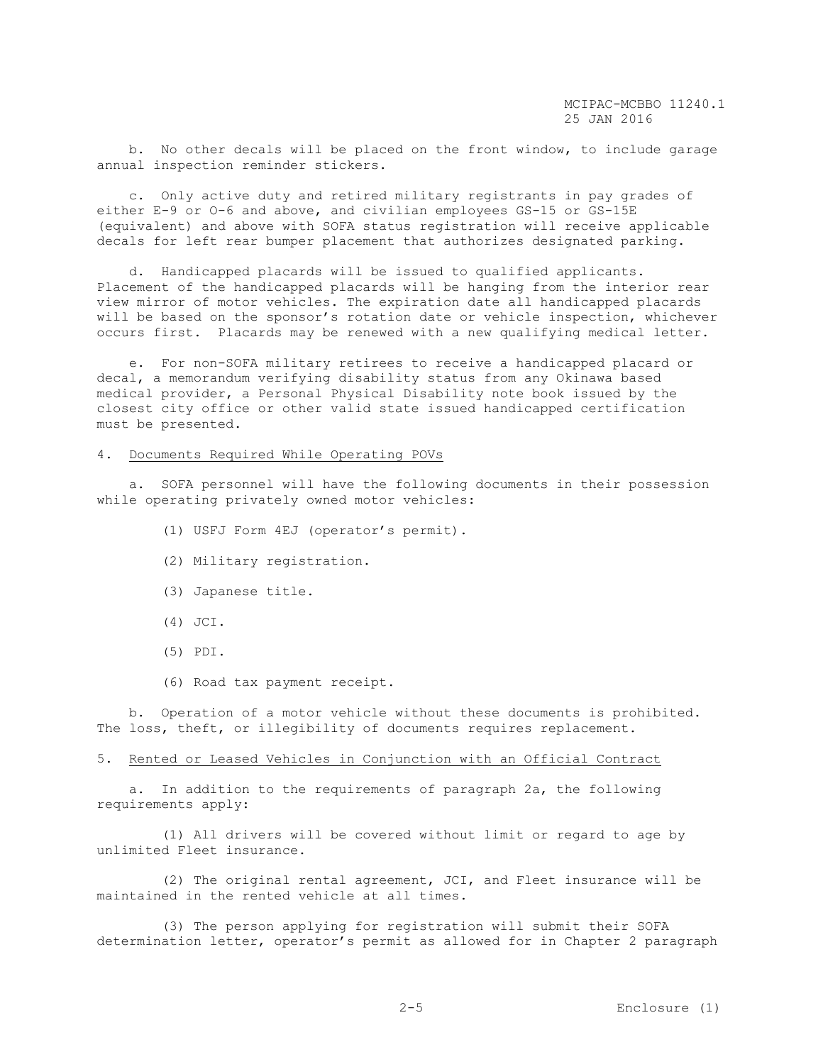b. No other decals will be placed on the front window, to include garage annual inspection reminder stickers.

 c. Only active duty and retired military registrants in pay grades of either E-9 or O-6 and above, and civilian employees GS-15 or GS-15E (equivalent) and above with SOFA status registration will receive applicable decals for left rear bumper placement that authorizes designated parking.

 d. Handicapped placards will be issued to qualified applicants. Placement of the handicapped placards will be hanging from the interior rear view mirror of motor vehicles. The expiration date all handicapped placards will be based on the sponsor's rotation date or vehicle inspection, whichever occurs first. Placards may be renewed with a new qualifying medical letter.

 e. For non-SOFA military retirees to receive a handicapped placard or decal, a memorandum verifying disability status from any Okinawa based medical provider, a Personal Physical Disability note book issued by the closest city office or other valid state issued handicapped certification must be presented.

# 4. Documents Required While Operating POVs

 a. SOFA personnel will have the following documents in their possession while operating privately owned motor vehicles:

- (1) USFJ Form 4EJ (operator's permit).
- (2) Military registration.
- (3) Japanese title.
- (4) JCI.
- (5) PDI.
- (6) Road tax payment receipt.

 b. Operation of a motor vehicle without these documents is prohibited. The loss, theft, or illegibility of documents requires replacement.

#### 5. Rented or Leased Vehicles in Conjunction with an Official Contract

 a. In addition to the requirements of paragraph 2a, the following requirements apply:

 (1) All drivers will be covered without limit or regard to age by unlimited Fleet insurance.

 (2) The original rental agreement, JCI, and Fleet insurance will be maintained in the rented vehicle at all times.

 (3) The person applying for registration will submit their SOFA determination letter, operator's permit as allowed for in Chapter 2 paragraph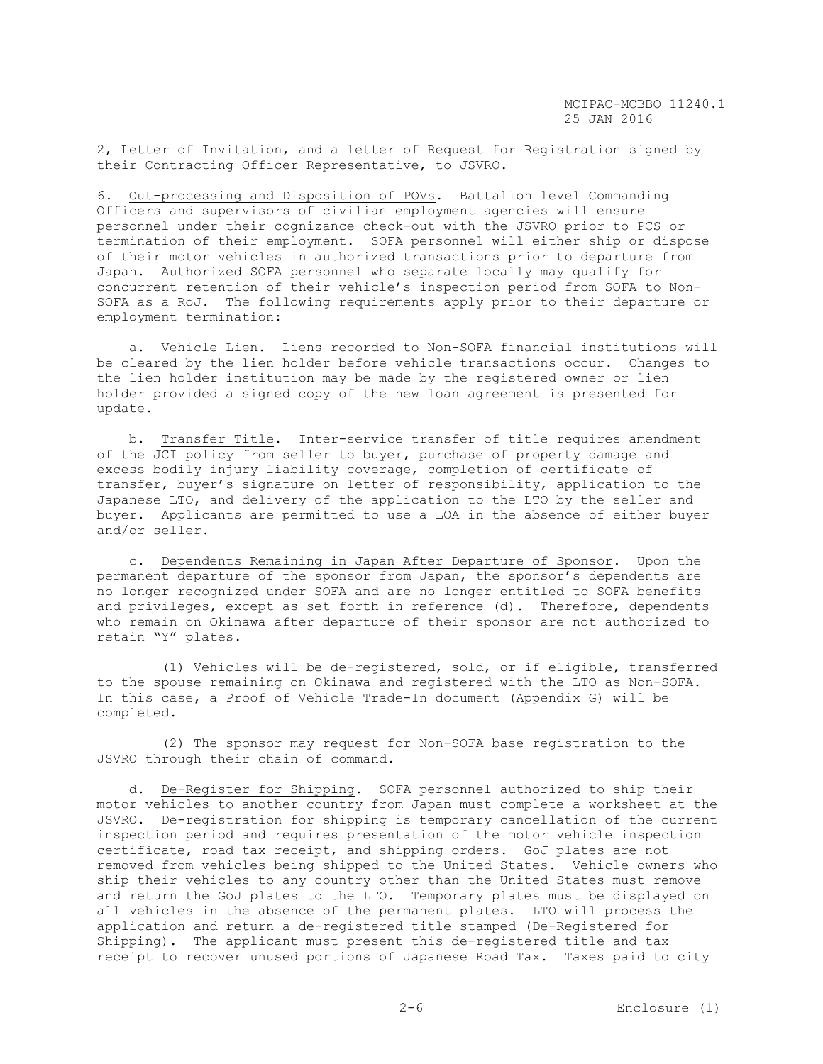2, Letter of Invitation, and a letter of Request for Registration signed by their Contracting Officer Representative, to JSVRO.

6. Out-processing and Disposition of POVs. Battalion level Commanding Officers and supervisors of civilian employment agencies will ensure personnel under their cognizance check-out with the JSVRO prior to PCS or termination of their employment. SOFA personnel will either ship or dispose of their motor vehicles in authorized transactions prior to departure from Japan. Authorized SOFA personnel who separate locally may qualify for concurrent retention of their vehicle's inspection period from SOFA to Non-SOFA as a RoJ. The following requirements apply prior to their departure or employment termination:

 a. Vehicle Lien. Liens recorded to Non-SOFA financial institutions will be cleared by the lien holder before vehicle transactions occur. Changes to the lien holder institution may be made by the registered owner or lien holder provided a signed copy of the new loan agreement is presented for update.

 b. Transfer Title. Inter-service transfer of title requires amendment of the JCI policy from seller to buyer, purchase of property damage and excess bodily injury liability coverage, completion of certificate of transfer, buyer's signature on letter of responsibility, application to the Japanese LTO, and delivery of the application to the LTO by the seller and buyer. Applicants are permitted to use a LOA in the absence of either buyer and/or seller.

 c. Dependents Remaining in Japan After Departure of Sponsor. Upon the permanent departure of the sponsor from Japan, the sponsor's dependents are no longer recognized under SOFA and are no longer entitled to SOFA benefits and privileges, except as set forth in reference (d). Therefore, dependents who remain on Okinawa after departure of their sponsor are not authorized to retain "Y" plates.

 (1) Vehicles will be de-registered, sold, or if eligible, transferred to the spouse remaining on Okinawa and registered with the LTO as Non-SOFA. In this case, a Proof of Vehicle Trade-In document (Appendix G) will be completed.

 (2) The sponsor may request for Non-SOFA base registration to the JSVRO through their chain of command.

 d. De-Register for Shipping. SOFA personnel authorized to ship their motor vehicles to another country from Japan must complete a worksheet at the JSVRO. De-registration for shipping is temporary cancellation of the current inspection period and requires presentation of the motor vehicle inspection certificate, road tax receipt, and shipping orders. GoJ plates are not removed from vehicles being shipped to the United States. Vehicle owners who ship their vehicles to any country other than the United States must remove and return the GoJ plates to the LTO. Temporary plates must be displayed on all vehicles in the absence of the permanent plates. LTO will process the application and return a de-registered title stamped (De-Registered for Shipping). The applicant must present this de-registered title and tax receipt to recover unused portions of Japanese Road Tax. Taxes paid to city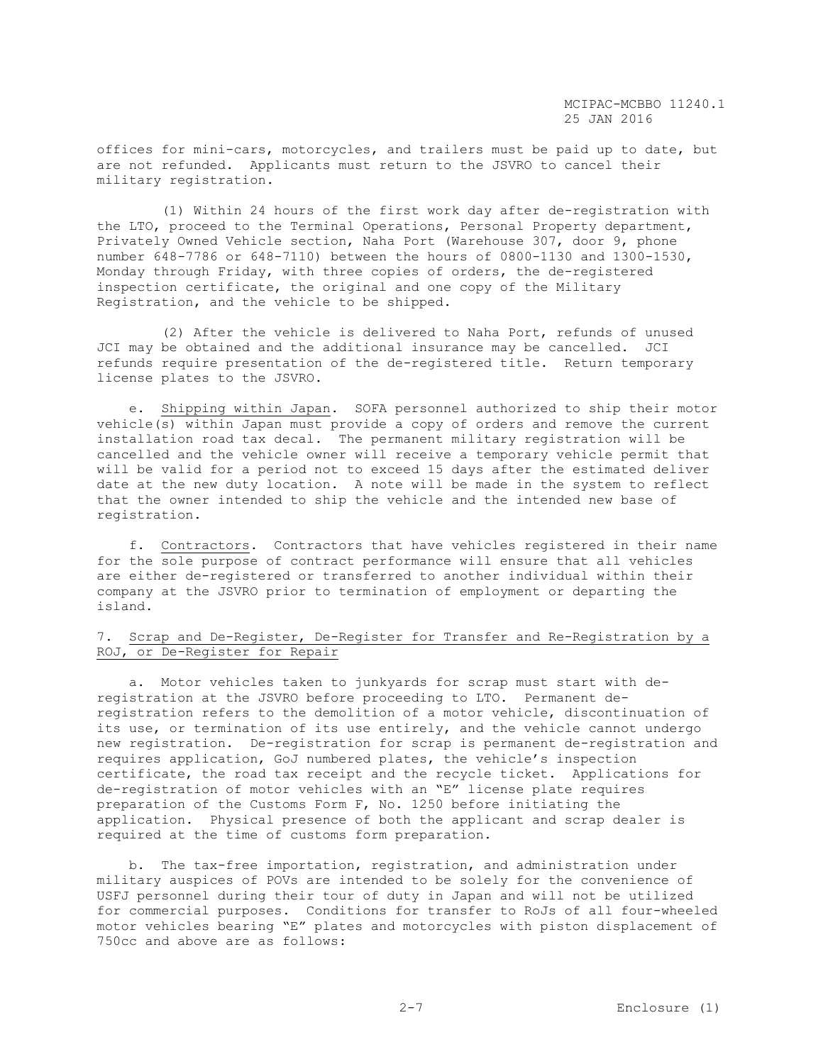offices for mini-cars, motorcycles, and trailers must be paid up to date, but are not refunded. Applicants must return to the JSVRO to cancel their military registration.

 (1) Within 24 hours of the first work day after de-registration with the LTO, proceed to the Terminal Operations, Personal Property department, Privately Owned Vehicle section, Naha Port (Warehouse 307, door 9, phone number 648-7786 or 648-7110) between the hours of 0800-1130 and 1300-1530, Monday through Friday, with three copies of orders, the de-registered inspection certificate, the original and one copy of the Military Registration, and the vehicle to be shipped.

 (2) After the vehicle is delivered to Naha Port, refunds of unused JCI may be obtained and the additional insurance may be cancelled. JCI refunds require presentation of the de-registered title. Return temporary license plates to the JSVRO.

 e. Shipping within Japan. SOFA personnel authorized to ship their motor vehicle(s) within Japan must provide a copy of orders and remove the current installation road tax decal. The permanent military registration will be cancelled and the vehicle owner will receive a temporary vehicle permit that will be valid for a period not to exceed 15 days after the estimated deliver date at the new duty location. A note will be made in the system to reflect that the owner intended to ship the vehicle and the intended new base of registration.

 f. Contractors. Contractors that have vehicles registered in their name for the sole purpose of contract performance will ensure that all vehicles are either de-registered or transferred to another individual within their company at the JSVRO prior to termination of employment or departing the island.

# 7. Scrap and De-Register, De-Register for Transfer and Re-Registration by a ROJ, or De-Register for Repair

 a. Motor vehicles taken to junkyards for scrap must start with deregistration at the JSVRO before proceeding to LTO. Permanent deregistration refers to the demolition of a motor vehicle, discontinuation of its use, or termination of its use entirely, and the vehicle cannot undergo new registration. De-registration for scrap is permanent de-registration and requires application, GoJ numbered plates, the vehicle's inspection certificate, the road tax receipt and the recycle ticket. Applications for de-registration of motor vehicles with an "E" license plate requires preparation of the Customs Form F, No. 1250 before initiating the application. Physical presence of both the applicant and scrap dealer is required at the time of customs form preparation.

 b. The tax-free importation, registration, and administration under military auspices of POVs are intended to be solely for the convenience of USFJ personnel during their tour of duty in Japan and will not be utilized for commercial purposes. Conditions for transfer to RoJs of all four-wheeled motor vehicles bearing "E" plates and motorcycles with piston displacement of 750cc and above are as follows: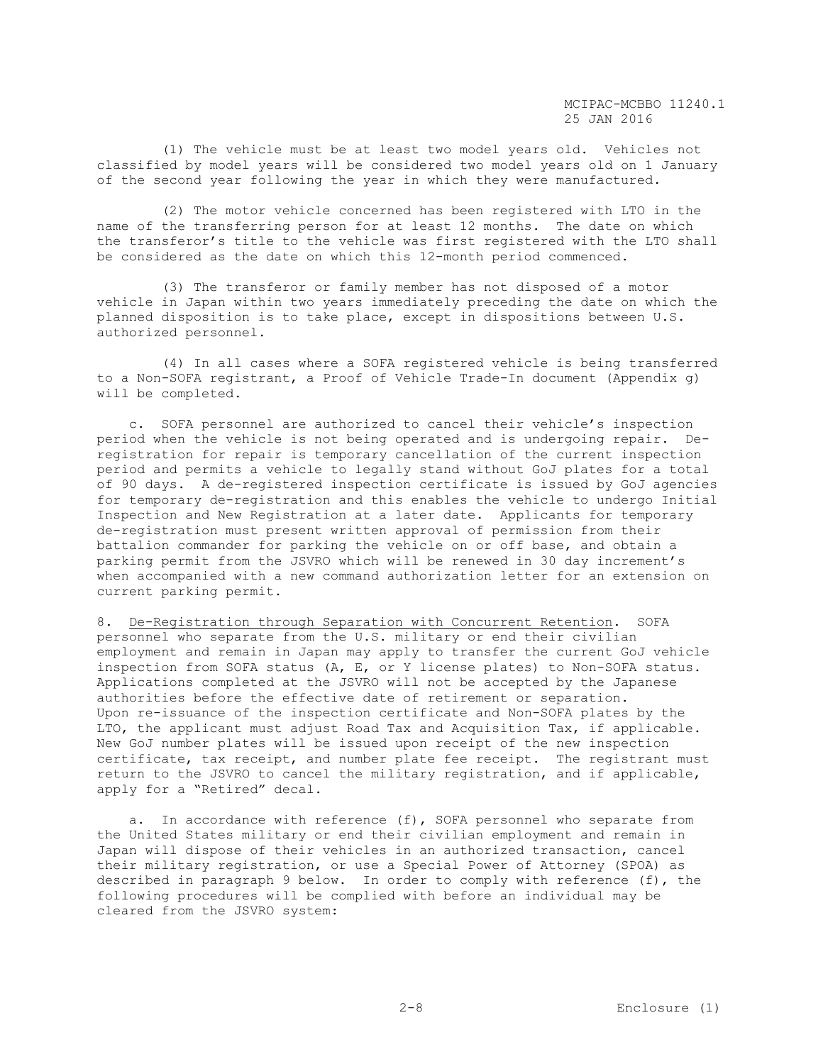(1) The vehicle must be at least two model years old. Vehicles not classified by model years will be considered two model years old on 1 January of the second year following the year in which they were manufactured.

 (2) The motor vehicle concerned has been registered with LTO in the name of the transferring person for at least 12 months. The date on which the transferor's title to the vehicle was first registered with the LTO shall be considered as the date on which this 12-month period commenced.

 (3) The transferor or family member has not disposed of a motor vehicle in Japan within two years immediately preceding the date on which the planned disposition is to take place, except in dispositions between U.S. authorized personnel.

 (4) In all cases where a SOFA registered vehicle is being transferred to a Non-SOFA registrant, a Proof of Vehicle Trade-In document (Appendix g) will be completed.

 c. SOFA personnel are authorized to cancel their vehicle's inspection period when the vehicle is not being operated and is undergoing repair. Deregistration for repair is temporary cancellation of the current inspection period and permits a vehicle to legally stand without GoJ plates for a total of 90 days. A de-registered inspection certificate is issued by GoJ agencies for temporary de-registration and this enables the vehicle to undergo Initial Inspection and New Registration at a later date. Applicants for temporary de-registration must present written approval of permission from their battalion commander for parking the vehicle on or off base, and obtain a parking permit from the JSVRO which will be renewed in 30 day increment's when accompanied with a new command authorization letter for an extension on current parking permit.

8. De-Registration through Separation with Concurrent Retention. SOFA personnel who separate from the U.S. military or end their civilian employment and remain in Japan may apply to transfer the current GoJ vehicle inspection from SOFA status (A, E, or Y license plates) to Non-SOFA status. Applications completed at the JSVRO will not be accepted by the Japanese authorities before the effective date of retirement or separation. Upon re-issuance of the inspection certificate and Non-SOFA plates by the LTO, the applicant must adjust Road Tax and Acquisition Tax, if applicable. New GoJ number plates will be issued upon receipt of the new inspection certificate, tax receipt, and number plate fee receipt. The registrant must return to the JSVRO to cancel the military registration, and if applicable, apply for a "Retired" decal.

a. In accordance with reference  $(f)$ , SOFA personnel who separate from the United States military or end their civilian employment and remain in Japan will dispose of their vehicles in an authorized transaction, cancel their military registration, or use a Special Power of Attorney (SPOA) as described in paragraph 9 below. In order to comply with reference (f), the following procedures will be complied with before an individual may be cleared from the JSVRO system: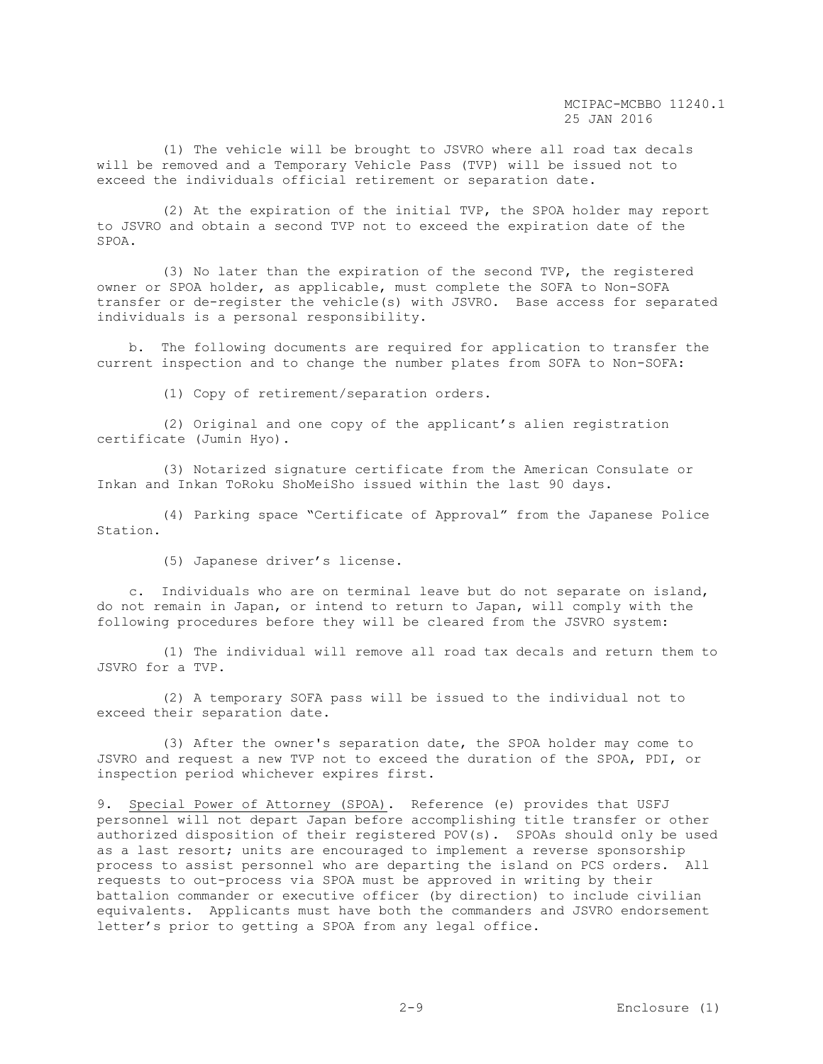(1) The vehicle will be brought to JSVRO where all road tax decals will be removed and a Temporary Vehicle Pass (TVP) will be issued not to exceed the individuals official retirement or separation date.

 (2) At the expiration of the initial TVP, the SPOA holder may report to JSVRO and obtain a second TVP not to exceed the expiration date of the SPOA.

 (3) No later than the expiration of the second TVP, the registered owner or SPOA holder, as applicable, must complete the SOFA to Non-SOFA transfer or de-register the vehicle(s) with JSVRO. Base access for separated individuals is a personal responsibility.

 b. The following documents are required for application to transfer the current inspection and to change the number plates from SOFA to Non-SOFA:

(1) Copy of retirement/separation orders.

 (2) Original and one copy of the applicant's alien registration certificate (Jumin Hyo).

 (3) Notarized signature certificate from the American Consulate or Inkan and Inkan ToRoku ShoMeiSho issued within the last 90 days.

 (4) Parking space "Certificate of Approval" from the Japanese Police Station.

(5) Japanese driver's license.

 c. Individuals who are on terminal leave but do not separate on island, do not remain in Japan, or intend to return to Japan, will comply with the following procedures before they will be cleared from the JSVRO system:

 (1) The individual will remove all road tax decals and return them to JSVRO for a TVP.

 (2) A temporary SOFA pass will be issued to the individual not to exceed their separation date.

 (3) After the owner's separation date, the SPOA holder may come to JSVRO and request a new TVP not to exceed the duration of the SPOA, PDI, or inspection period whichever expires first.

9. Special Power of Attorney (SPOA). Reference (e) provides that USFJ personnel will not depart Japan before accomplishing title transfer or other authorized disposition of their registered POV(s). SPOAs should only be used as a last resort; units are encouraged to implement a reverse sponsorship process to assist personnel who are departing the island on PCS orders. All requests to out-process via SPOA must be approved in writing by their battalion commander or executive officer (by direction) to include civilian equivalents. Applicants must have both the commanders and JSVRO endorsement letter's prior to getting a SPOA from any legal office.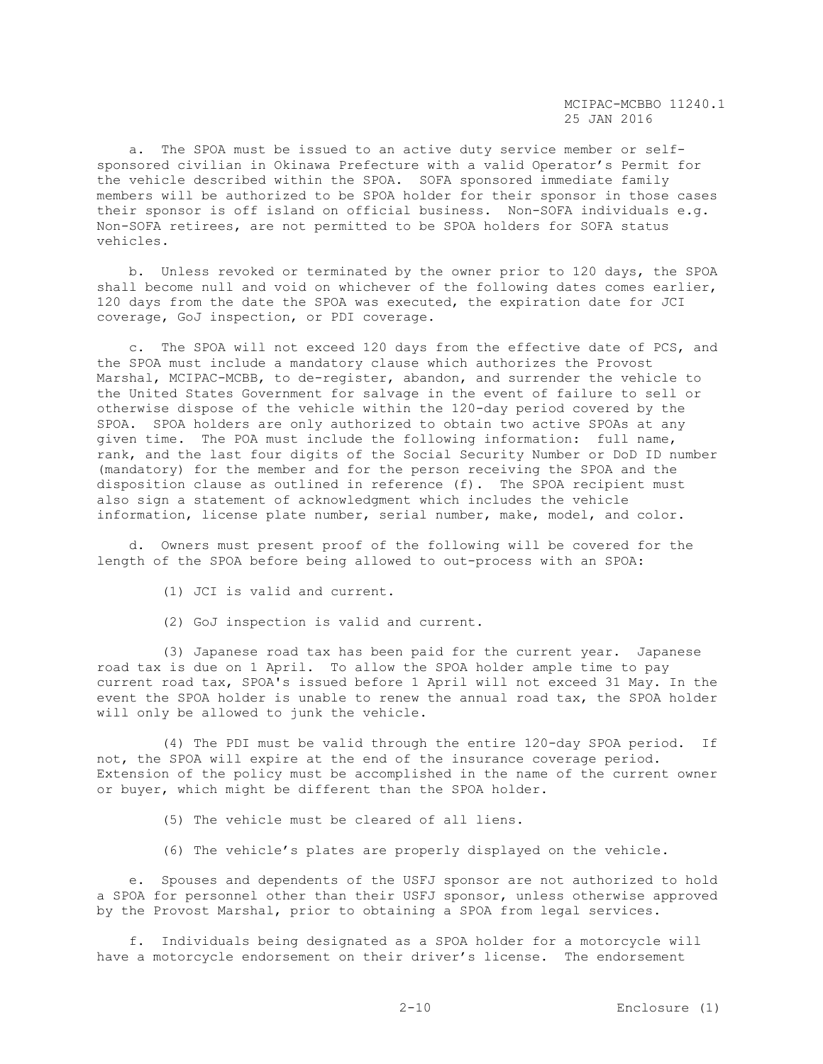a. The SPOA must be issued to an active duty service member or selfsponsored civilian in Okinawa Prefecture with a valid Operator's Permit for the vehicle described within the SPOA. SOFA sponsored immediate family members will be authorized to be SPOA holder for their sponsor in those cases their sponsor is off island on official business. Non-SOFA individuals e.g. Non-SOFA retirees, are not permitted to be SPOA holders for SOFA status vehicles.

 b. Unless revoked or terminated by the owner prior to 120 days, the SPOA shall become null and void on whichever of the following dates comes earlier, 120 days from the date the SPOA was executed, the expiration date for JCI coverage, GoJ inspection, or PDI coverage.

 c. The SPOA will not exceed 120 days from the effective date of PCS, and the SPOA must include a mandatory clause which authorizes the Provost Marshal, MCIPAC-MCBB, to de-register, abandon, and surrender the vehicle to the United States Government for salvage in the event of failure to sell or otherwise dispose of the vehicle within the 120-day period covered by the SPOA. SPOA holders are only authorized to obtain two active SPOAs at any given time. The POA must include the following information: full name, rank, and the last four digits of the Social Security Number or DoD ID number (mandatory) for the member and for the person receiving the SPOA and the disposition clause as outlined in reference (f). The SPOA recipient must also sign a statement of acknowledgment which includes the vehicle information, license plate number, serial number, make, model, and color.

 d. Owners must present proof of the following will be covered for the length of the SPOA before being allowed to out-process with an SPOA:

- (1) JCI is valid and current.
- (2) GoJ inspection is valid and current.

 (3) Japanese road tax has been paid for the current year. Japanese road tax is due on 1 April. To allow the SPOA holder ample time to pay current road tax, SPOA's issued before 1 April will not exceed 31 May. In the event the SPOA holder is unable to renew the annual road tax, the SPOA holder will only be allowed to junk the vehicle.

 (4) The PDI must be valid through the entire 120-day SPOA period. If not, the SPOA will expire at the end of the insurance coverage period. Extension of the policy must be accomplished in the name of the current owner or buyer, which might be different than the SPOA holder.

(5) The vehicle must be cleared of all liens.

(6) The vehicle's plates are properly displayed on the vehicle.

 e. Spouses and dependents of the USFJ sponsor are not authorized to hold a SPOA for personnel other than their USFJ sponsor, unless otherwise approved by the Provost Marshal, prior to obtaining a SPOA from legal services.

 f. Individuals being designated as a SPOA holder for a motorcycle will have a motorcycle endorsement on their driver's license. The endorsement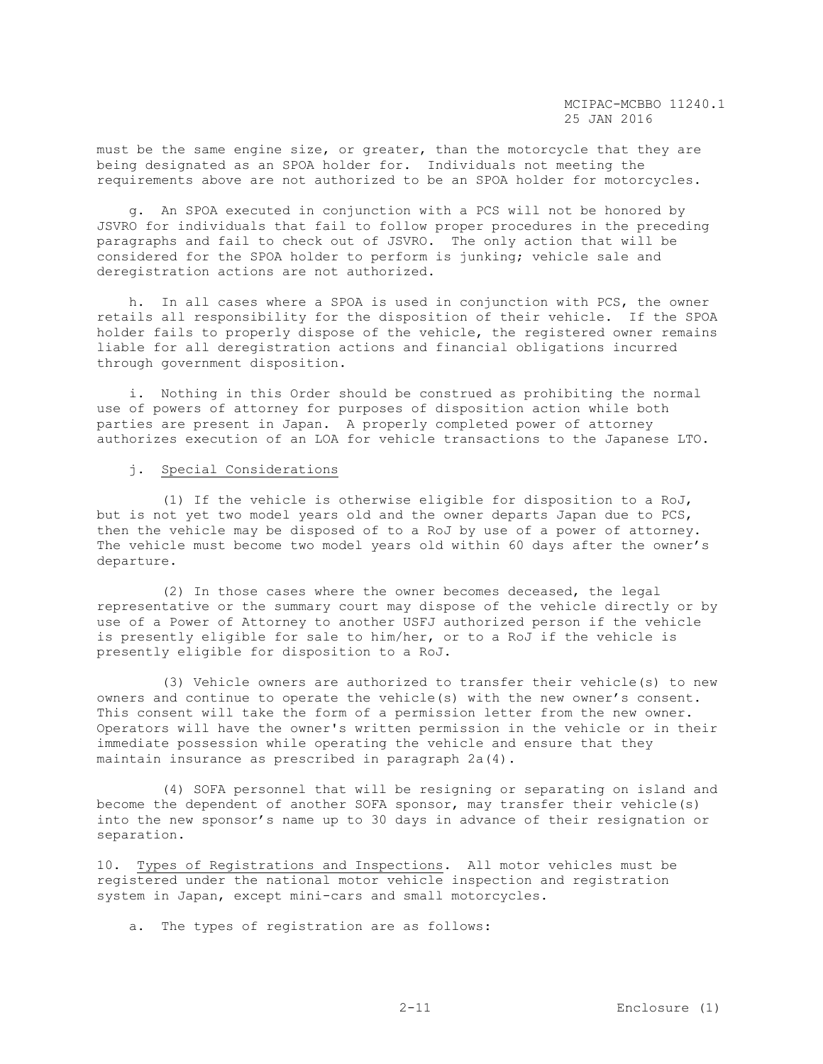must be the same engine size, or greater, than the motorcycle that they are being designated as an SPOA holder for. Individuals not meeting the requirements above are not authorized to be an SPOA holder for motorcycles.

 g. An SPOA executed in conjunction with a PCS will not be honored by JSVRO for individuals that fail to follow proper procedures in the preceding paragraphs and fail to check out of JSVRO. The only action that will be considered for the SPOA holder to perform is junking; vehicle sale and deregistration actions are not authorized.

 h. In all cases where a SPOA is used in conjunction with PCS, the owner retails all responsibility for the disposition of their vehicle. If the SPOA holder fails to properly dispose of the vehicle, the registered owner remains liable for all deregistration actions and financial obligations incurred through government disposition.

 i. Nothing in this Order should be construed as prohibiting the normal use of powers of attorney for purposes of disposition action while both parties are present in Japan. A properly completed power of attorney authorizes execution of an LOA for vehicle transactions to the Japanese LTO.

# j. Special Considerations

 (1) If the vehicle is otherwise eligible for disposition to a RoJ, but is not yet two model years old and the owner departs Japan due to PCS, then the vehicle may be disposed of to a RoJ by use of a power of attorney. The vehicle must become two model years old within 60 days after the owner's departure.

 (2) In those cases where the owner becomes deceased, the legal representative or the summary court may dispose of the vehicle directly or by use of a Power of Attorney to another USFJ authorized person if the vehicle is presently eligible for sale to him/her, or to a RoJ if the vehicle is presently eligible for disposition to a RoJ.

 (3) Vehicle owners are authorized to transfer their vehicle(s) to new owners and continue to operate the vehicle(s) with the new owner's consent. This consent will take the form of a permission letter from the new owner. Operators will have the owner's written permission in the vehicle or in their immediate possession while operating the vehicle and ensure that they maintain insurance as prescribed in paragraph 2a(4).

 (4) SOFA personnel that will be resigning or separating on island and become the dependent of another SOFA sponsor, may transfer their vehicle(s) into the new sponsor's name up to 30 days in advance of their resignation or separation.

10. Types of Registrations and Inspections. All motor vehicles must be registered under the national motor vehicle inspection and registration system in Japan, except mini-cars and small motorcycles.

a. The types of registration are as follows: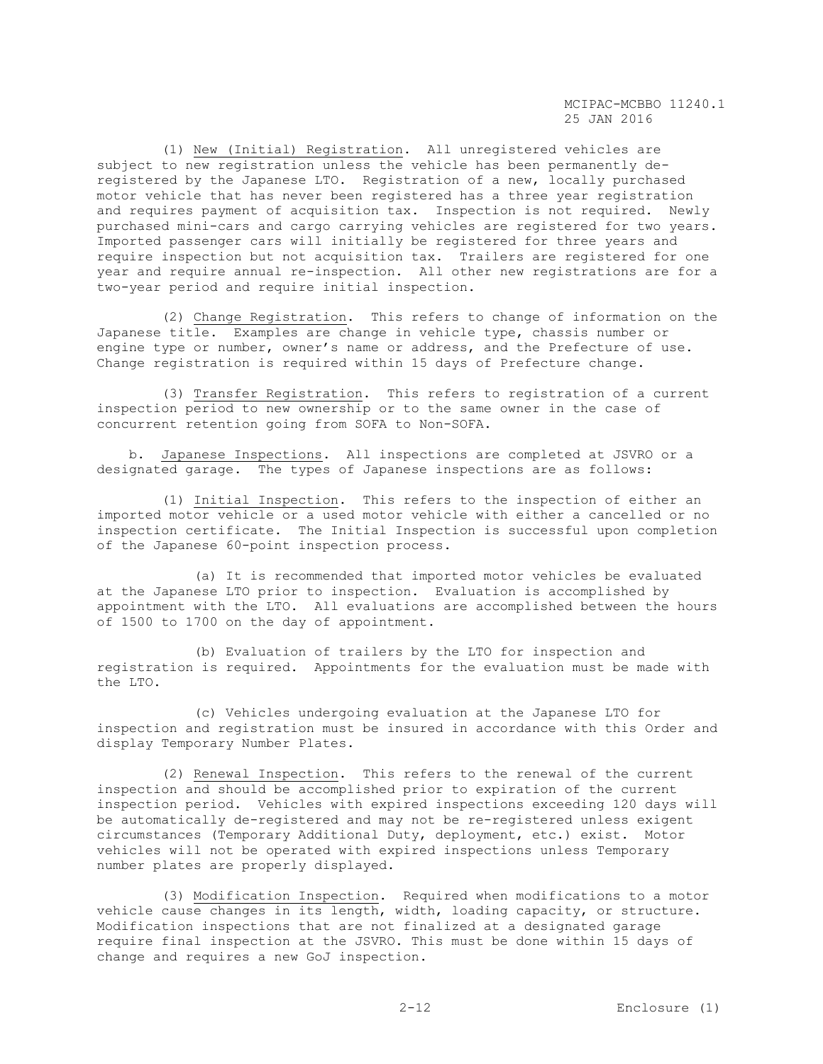(1) New (Initial) Registration. All unregistered vehicles are subject to new registration unless the vehicle has been permanently deregistered by the Japanese LTO. Registration of a new, locally purchased motor vehicle that has never been registered has a three year registration and requires payment of acquisition tax. Inspection is not required. Newly purchased mini-cars and cargo carrying vehicles are registered for two years. Imported passenger cars will initially be registered for three years and require inspection but not acquisition tax. Trailers are registered for one year and require annual re-inspection. All other new registrations are for a two-year period and require initial inspection.

 (2) Change Registration. This refers to change of information on the Japanese title. Examples are change in vehicle type, chassis number or engine type or number, owner's name or address, and the Prefecture of use. Change registration is required within 15 days of Prefecture change.

 (3) Transfer Registration. This refers to registration of a current inspection period to new ownership or to the same owner in the case of concurrent retention going from SOFA to Non-SOFA.

 b. Japanese Inspections. All inspections are completed at JSVRO or a designated garage. The types of Japanese inspections are as follows:

 (1) Initial Inspection. This refers to the inspection of either an imported motor vehicle or a used motor vehicle with either a cancelled or no inspection certificate. The Initial Inspection is successful upon completion of the Japanese 60-point inspection process.

 (a) It is recommended that imported motor vehicles be evaluated at the Japanese LTO prior to inspection. Evaluation is accomplished by appointment with the LTO. All evaluations are accomplished between the hours of 1500 to 1700 on the day of appointment.

 (b) Evaluation of trailers by the LTO for inspection and registration is required. Appointments for the evaluation must be made with the LTO.

 (c) Vehicles undergoing evaluation at the Japanese LTO for inspection and registration must be insured in accordance with this Order and display Temporary Number Plates.

 (2) Renewal Inspection. This refers to the renewal of the current inspection and should be accomplished prior to expiration of the current inspection period. Vehicles with expired inspections exceeding 120 days will be automatically de-registered and may not be re-registered unless exigent circumstances (Temporary Additional Duty, deployment, etc.) exist. Motor vehicles will not be operated with expired inspections unless Temporary number plates are properly displayed.

 (3) Modification Inspection. Required when modifications to a motor vehicle cause changes in its length, width, loading capacity, or structure. Modification inspections that are not finalized at a designated garage require final inspection at the JSVRO. This must be done within 15 days of change and requires a new GoJ inspection.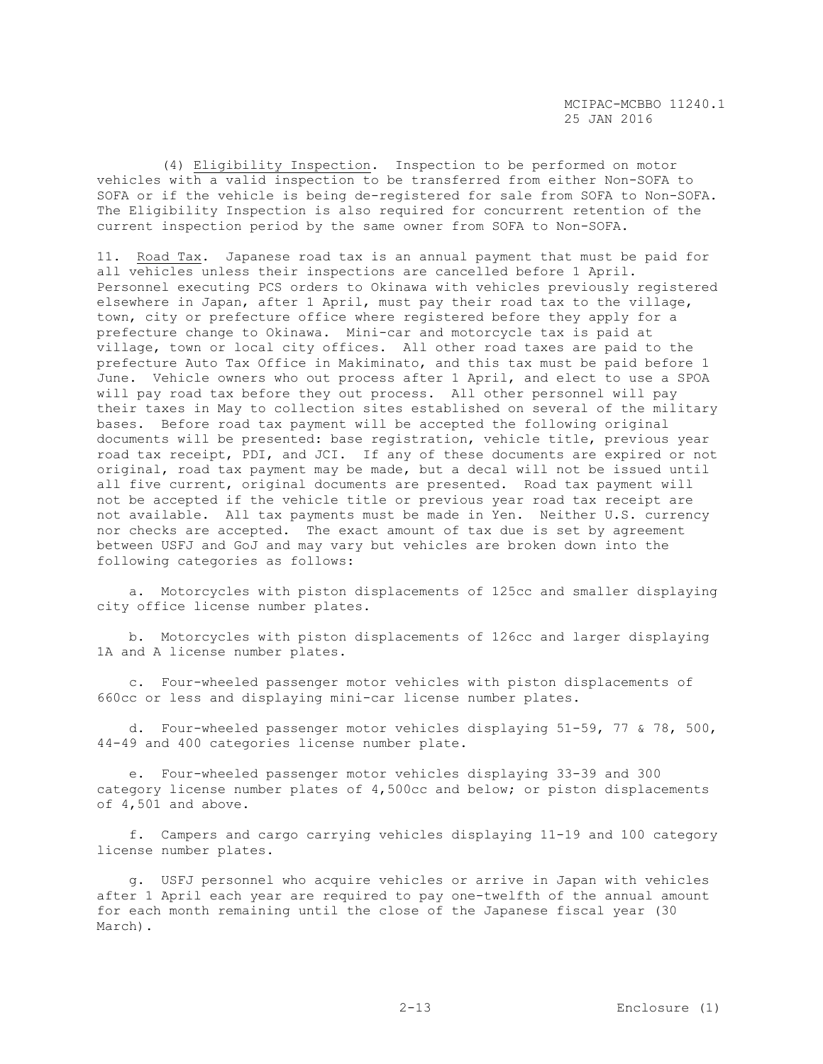(4) Eligibility Inspection. Inspection to be performed on motor vehicles with a valid inspection to be transferred from either Non-SOFA to SOFA or if the vehicle is being de-registered for sale from SOFA to Non-SOFA. The Eligibility Inspection is also required for concurrent retention of the current inspection period by the same owner from SOFA to Non-SOFA.

11. Road Tax. Japanese road tax is an annual payment that must be paid for all vehicles unless their inspections are cancelled before 1 April. Personnel executing PCS orders to Okinawa with vehicles previously registered elsewhere in Japan, after 1 April, must pay their road tax to the village, town, city or prefecture office where registered before they apply for a prefecture change to Okinawa. Mini-car and motorcycle tax is paid at village, town or local city offices. All other road taxes are paid to the prefecture Auto Tax Office in Makiminato, and this tax must be paid before 1 June. Vehicle owners who out process after 1 April, and elect to use a SPOA will pay road tax before they out process. All other personnel will pay their taxes in May to collection sites established on several of the military bases. Before road tax payment will be accepted the following original documents will be presented: base registration, vehicle title, previous year road tax receipt, PDI, and JCI. If any of these documents are expired or not original, road tax payment may be made, but a decal will not be issued until all five current, original documents are presented. Road tax payment will not be accepted if the vehicle title or previous year road tax receipt are not available. All tax payments must be made in Yen. Neither U.S. currency nor checks are accepted. The exact amount of tax due is set by agreement between USFJ and GoJ and may vary but vehicles are broken down into the following categories as follows:

 a. Motorcycles with piston displacements of 125cc and smaller displaying city office license number plates.

 b. Motorcycles with piston displacements of 126cc and larger displaying 1A and A license number plates.

 c. Four-wheeled passenger motor vehicles with piston displacements of 660cc or less and displaying mini-car license number plates.

 d. Four-wheeled passenger motor vehicles displaying 51-59, 77 & 78, 500, 44-49 and 400 categories license number plate.

 e. Four-wheeled passenger motor vehicles displaying 33-39 and 300 category license number plates of 4,500cc and below; or piston displacements of 4,501 and above.

 f. Campers and cargo carrying vehicles displaying 11-19 and 100 category license number plates.

 g. USFJ personnel who acquire vehicles or arrive in Japan with vehicles after 1 April each year are required to pay one-twelfth of the annual amount for each month remaining until the close of the Japanese fiscal year (30 March).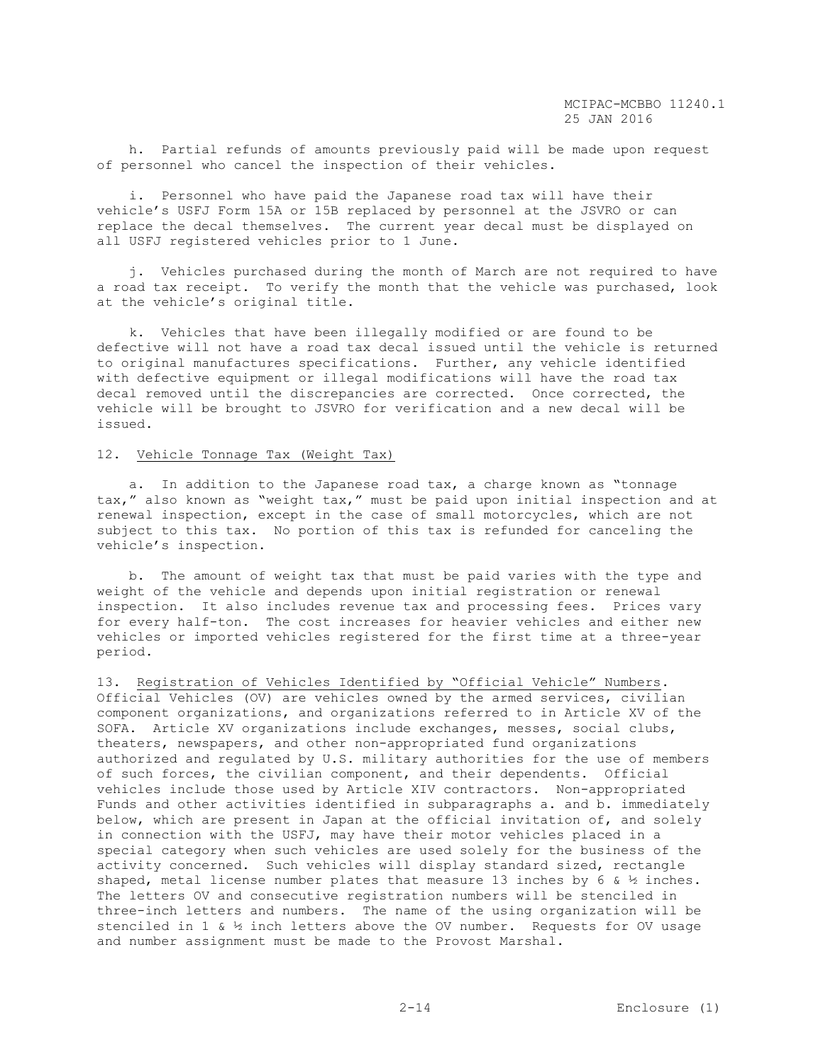h. Partial refunds of amounts previously paid will be made upon request of personnel who cancel the inspection of their vehicles.

 i. Personnel who have paid the Japanese road tax will have their vehicle's USFJ Form 15A or 15B replaced by personnel at the JSVRO or can replace the decal themselves. The current year decal must be displayed on all USFJ registered vehicles prior to 1 June.

 j. Vehicles purchased during the month of March are not required to have a road tax receipt. To verify the month that the vehicle was purchased, look at the vehicle's original title.

 k. Vehicles that have been illegally modified or are found to be defective will not have a road tax decal issued until the vehicle is returned to original manufactures specifications. Further, any vehicle identified with defective equipment or illegal modifications will have the road tax decal removed until the discrepancies are corrected. Once corrected, the vehicle will be brought to JSVRO for verification and a new decal will be issued.

# 12. Vehicle Tonnage Tax (Weight Tax)

 a. In addition to the Japanese road tax, a charge known as "tonnage tax," also known as "weight tax," must be paid upon initial inspection and at renewal inspection, except in the case of small motorcycles, which are not subject to this tax. No portion of this tax is refunded for canceling the vehicle's inspection.

 b. The amount of weight tax that must be paid varies with the type and weight of the vehicle and depends upon initial registration or renewal inspection. It also includes revenue tax and processing fees. Prices vary for every half-ton. The cost increases for heavier vehicles and either new vehicles or imported vehicles registered for the first time at a three-year period.

13. Registration of Vehicles Identified by "Official Vehicle" Numbers. Official Vehicles (OV) are vehicles owned by the armed services, civilian component organizations, and organizations referred to in Article XV of the SOFA. Article XV organizations include exchanges, messes, social clubs, theaters, newspapers, and other non-appropriated fund organizations authorized and regulated by U.S. military authorities for the use of members of such forces, the civilian component, and their dependents. Official vehicles include those used by Article XIV contractors. Non-appropriated Funds and other activities identified in subparagraphs a. and b. immediately below, which are present in Japan at the official invitation of, and solely in connection with the USFJ, may have their motor vehicles placed in a special category when such vehicles are used solely for the business of the activity concerned. Such vehicles will display standard sized, rectangle shaped, metal license number plates that measure 13 inches by 6 &  $\frac{1}{2}$  inches. The letters OV and consecutive registration numbers will be stenciled in three-inch letters and numbers. The name of the using organization will be stenciled in 1 &  $\frac{1}{2}$  inch letters above the OV number. Requests for OV usage and number assignment must be made to the Provost Marshal.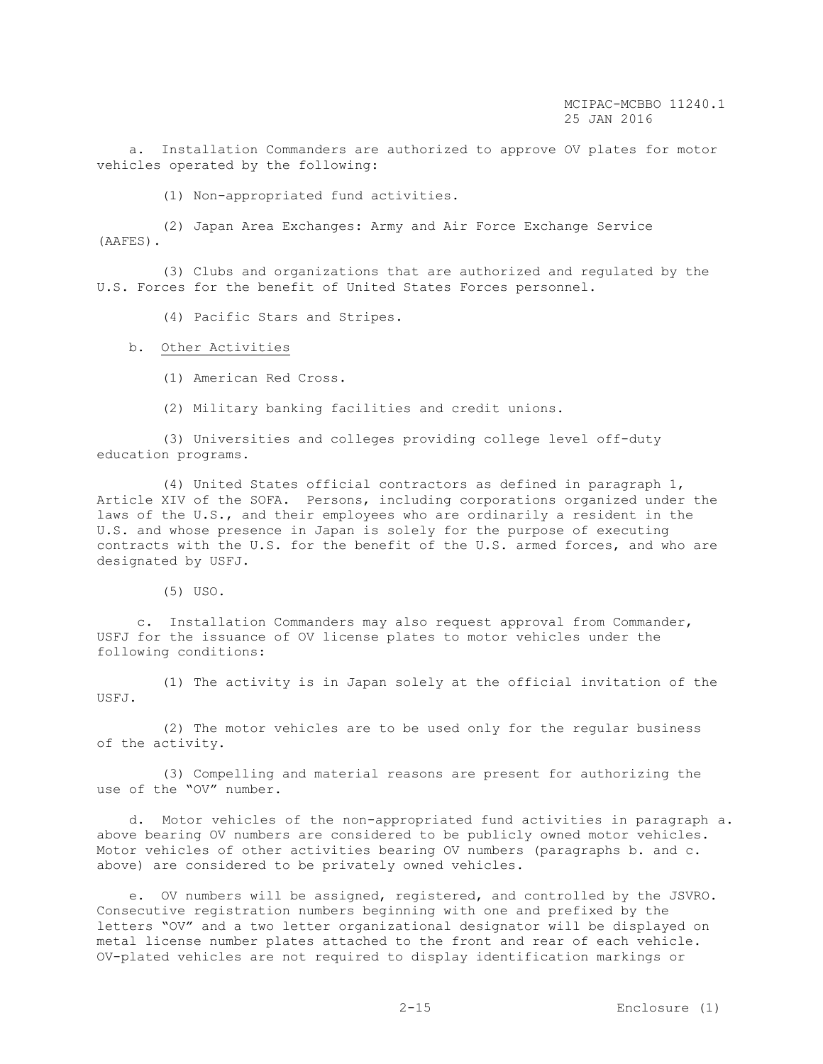a. Installation Commanders are authorized to approve OV plates for motor vehicles operated by the following:

(1) Non-appropriated fund activities.

 (2) Japan Area Exchanges: Army and Air Force Exchange Service (AAFES).

 (3) Clubs and organizations that are authorized and regulated by the U.S. Forces for the benefit of United States Forces personnel.

(4) Pacific Stars and Stripes.

## b. Other Activities

- (1) American Red Cross.
- (2) Military banking facilities and credit unions.

 (3) Universities and colleges providing college level off-duty education programs.

 (4) United States official contractors as defined in paragraph 1, Article XIV of the SOFA. Persons, including corporations organized under the laws of the U.S., and their employees who are ordinarily a resident in the U.S. and whose presence in Japan is solely for the purpose of executing contracts with the U.S. for the benefit of the U.S. armed forces, and who are designated by USFJ.

(5) USO.

 c. Installation Commanders may also request approval from Commander, USFJ for the issuance of OV license plates to motor vehicles under the following conditions:

 (1) The activity is in Japan solely at the official invitation of the USFJ.

 (2) The motor vehicles are to be used only for the regular business of the activity.

 (3) Compelling and material reasons are present for authorizing the use of the "OV" number.

 d. Motor vehicles of the non-appropriated fund activities in paragraph a. above bearing OV numbers are considered to be publicly owned motor vehicles. Motor vehicles of other activities bearing OV numbers (paragraphs b. and c. above) are considered to be privately owned vehicles.

 e. OV numbers will be assigned, registered, and controlled by the JSVRO. Consecutive registration numbers beginning with one and prefixed by the letters "OV" and a two letter organizational designator will be displayed on metal license number plates attached to the front and rear of each vehicle. OV-plated vehicles are not required to display identification markings or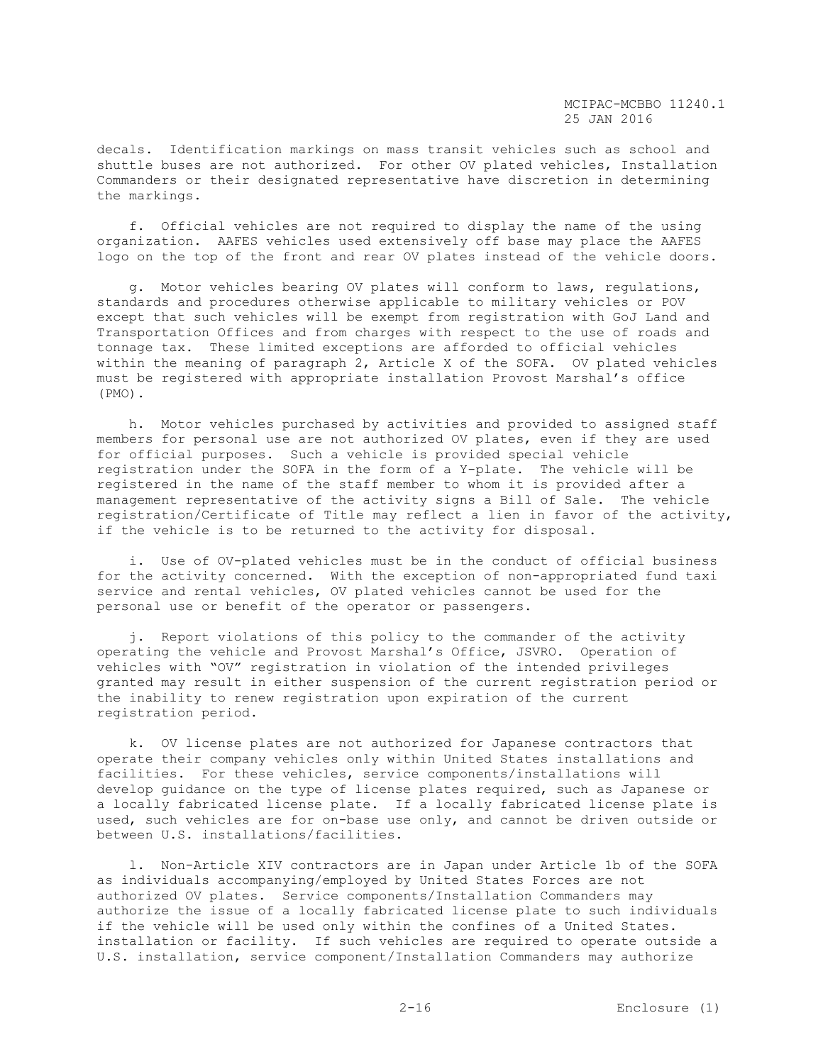decals. Identification markings on mass transit vehicles such as school and shuttle buses are not authorized. For other OV plated vehicles, Installation Commanders or their designated representative have discretion in determining the markings.

 f. Official vehicles are not required to display the name of the using organization. AAFES vehicles used extensively off base may place the AAFES logo on the top of the front and rear OV plates instead of the vehicle doors.

 g. Motor vehicles bearing OV plates will conform to laws, regulations, standards and procedures otherwise applicable to military vehicles or POV except that such vehicles will be exempt from registration with GoJ Land and Transportation Offices and from charges with respect to the use of roads and tonnage tax. These limited exceptions are afforded to official vehicles within the meaning of paragraph 2, Article X of the SOFA. OV plated vehicles must be registered with appropriate installation Provost Marshal's office (PMO).

 h. Motor vehicles purchased by activities and provided to assigned staff members for personal use are not authorized OV plates, even if they are used for official purposes. Such a vehicle is provided special vehicle registration under the SOFA in the form of a Y-plate. The vehicle will be registered in the name of the staff member to whom it is provided after a management representative of the activity signs a Bill of Sale. The vehicle registration/Certificate of Title may reflect a lien in favor of the activity, if the vehicle is to be returned to the activity for disposal.

 i. Use of OV-plated vehicles must be in the conduct of official business for the activity concerned. With the exception of non-appropriated fund taxi service and rental vehicles, OV plated vehicles cannot be used for the personal use or benefit of the operator or passengers.

 j. Report violations of this policy to the commander of the activity operating the vehicle and Provost Marshal's Office, JSVRO. Operation of vehicles with "OV" registration in violation of the intended privileges granted may result in either suspension of the current registration period or the inability to renew registration upon expiration of the current registration period.

 k. OV license plates are not authorized for Japanese contractors that operate their company vehicles only within United States installations and facilities. For these vehicles, service components/installations will develop guidance on the type of license plates required, such as Japanese or a locally fabricated license plate. If a locally fabricated license plate is used, such vehicles are for on-base use only, and cannot be driven outside or between U.S. installations/facilities.

 l. Non-Article XIV contractors are in Japan under Article 1b of the SOFA as individuals accompanying/employed by United States Forces are not authorized OV plates. Service components/Installation Commanders may authorize the issue of a locally fabricated license plate to such individuals if the vehicle will be used only within the confines of a United States. installation or facility. If such vehicles are required to operate outside a U.S. installation, service component/Installation Commanders may authorize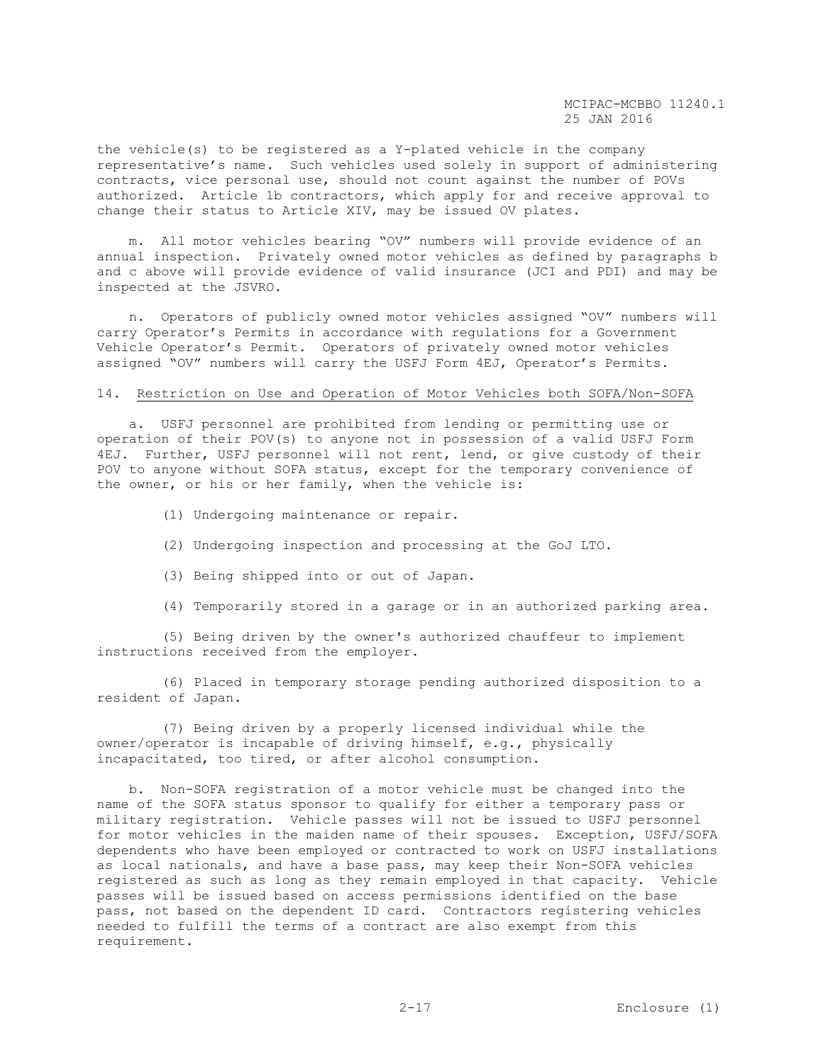the vehicle(s) to be registered as a Y-plated vehicle in the company representative's name. Such vehicles used solely in support of administering contracts, vice personal use, should not count against the number of POVs authorized. Article 1b contractors, which apply for and receive approval to change their status to Article XIV, may be issued OV plates.

 m. All motor vehicles bearing "OV" numbers will provide evidence of an annual inspection. Privately owned motor vehicles as defined by paragraphs b and c above will provide evidence of valid insurance (JCI and PDI) and may be inspected at the JSVRO.

 n. Operators of publicly owned motor vehicles assigned "OV" numbers will carry Operator's Permits in accordance with regulations for a Government Vehicle Operator's Permit. Operators of privately owned motor vehicles assigned "OV" numbers will carry the USFJ Form 4EJ, Operator's Permits.

## 14. Restriction on Use and Operation of Motor Vehicles both SOFA/Non-SOFA

 a. USFJ personnel are prohibited from lending or permitting use or operation of their POV(s) to anyone not in possession of a valid USFJ Form 4EJ. Further, USFJ personnel will not rent, lend, or give custody of their POV to anyone without SOFA status, except for the temporary convenience of the owner, or his or her family, when the vehicle is:

- (1) Undergoing maintenance or repair.
- (2) Undergoing inspection and processing at the GoJ LTO.
- (3) Being shipped into or out of Japan.
- (4) Temporarily stored in a garage or in an authorized parking area.

 (5) Being driven by the owner's authorized chauffeur to implement instructions received from the employer.

 (6) Placed in temporary storage pending authorized disposition to a resident of Japan.

 (7) Being driven by a properly licensed individual while the owner/operator is incapable of driving himself, e.g., physically incapacitated, too tired, or after alcohol consumption.

 b. Non-SOFA registration of a motor vehicle must be changed into the name of the SOFA status sponsor to qualify for either a temporary pass or military registration. Vehicle passes will not be issued to USFJ personnel for motor vehicles in the maiden name of their spouses. Exception, USFJ/SOFA dependents who have been employed or contracted to work on USFJ installations as local nationals, and have a base pass, may keep their Non-SOFA vehicles registered as such as long as they remain employed in that capacity. Vehicle passes will be issued based on access permissions identified on the base pass, not based on the dependent ID card. Contractors registering vehicles needed to fulfill the terms of a contract are also exempt from this requirement.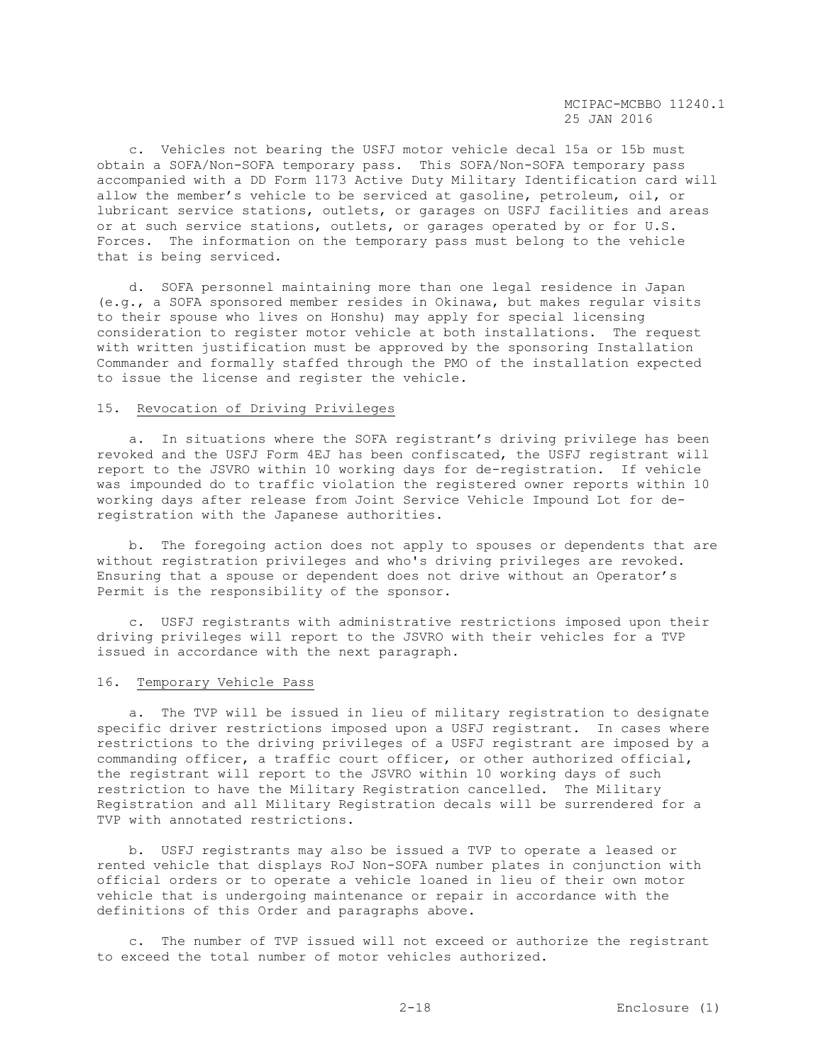c. Vehicles not bearing the USFJ motor vehicle decal 15a or 15b must obtain a SOFA/Non-SOFA temporary pass. This SOFA/Non-SOFA temporary pass accompanied with a DD Form 1173 Active Duty Military Identification card will allow the member's vehicle to be serviced at gasoline, petroleum, oil, or lubricant service stations, outlets, or garages on USFJ facilities and areas or at such service stations, outlets, or garages operated by or for U.S. Forces. The information on the temporary pass must belong to the vehicle that is being serviced.

 d. SOFA personnel maintaining more than one legal residence in Japan (e.g., a SOFA sponsored member resides in Okinawa, but makes regular visits to their spouse who lives on Honshu) may apply for special licensing consideration to register motor vehicle at both installations. The request with written justification must be approved by the sponsoring Installation Commander and formally staffed through the PMO of the installation expected to issue the license and register the vehicle.

#### 15. Revocation of Driving Privileges

 a. In situations where the SOFA registrant's driving privilege has been revoked and the USFJ Form 4EJ has been confiscated, the USFJ registrant will report to the JSVRO within 10 working days for de-registration. If vehicle was impounded do to traffic violation the registered owner reports within 10 working days after release from Joint Service Vehicle Impound Lot for deregistration with the Japanese authorities.

 b. The foregoing action does not apply to spouses or dependents that are without registration privileges and who's driving privileges are revoked. Ensuring that a spouse or dependent does not drive without an Operator's Permit is the responsibility of the sponsor.

 c. USFJ registrants with administrative restrictions imposed upon their driving privileges will report to the JSVRO with their vehicles for a TVP issued in accordance with the next paragraph.

## 16. Temporary Vehicle Pass

 a. The TVP will be issued in lieu of military registration to designate specific driver restrictions imposed upon a USFJ registrant. In cases where restrictions to the driving privileges of a USFJ registrant are imposed by a commanding officer, a traffic court officer, or other authorized official, the registrant will report to the JSVRO within 10 working days of such restriction to have the Military Registration cancelled. The Military Registration and all Military Registration decals will be surrendered for a TVP with annotated restrictions.

 b. USFJ registrants may also be issued a TVP to operate a leased or rented vehicle that displays RoJ Non-SOFA number plates in conjunction with official orders or to operate a vehicle loaned in lieu of their own motor vehicle that is undergoing maintenance or repair in accordance with the definitions of this Order and paragraphs above.

 c. The number of TVP issued will not exceed or authorize the registrant to exceed the total number of motor vehicles authorized.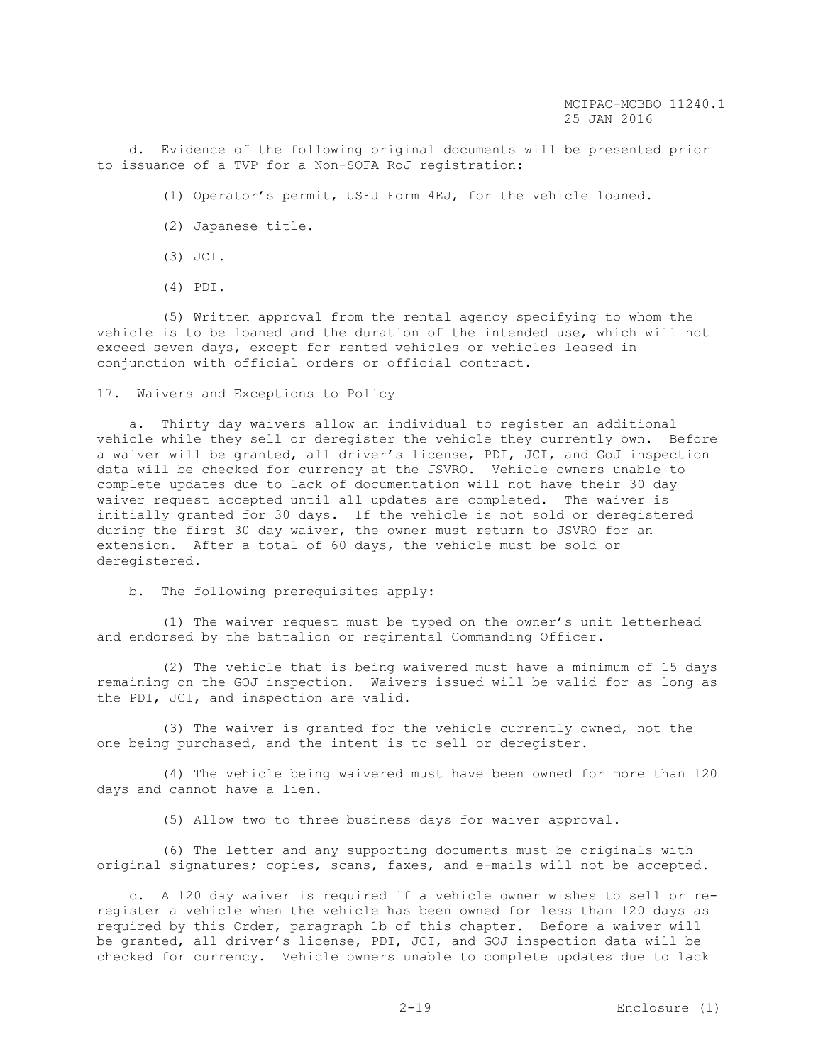d. Evidence of the following original documents will be presented prior to issuance of a TVP for a Non-SOFA RoJ registration:

- (1) Operator's permit, USFJ Form 4EJ, for the vehicle loaned.
- (2) Japanese title.
- (3) JCI.
- (4) PDI.

 (5) Written approval from the rental agency specifying to whom the vehicle is to be loaned and the duration of the intended use, which will not exceed seven days, except for rented vehicles or vehicles leased in conjunction with official orders or official contract.

## 17. Waivers and Exceptions to Policy

 a. Thirty day waivers allow an individual to register an additional vehicle while they sell or deregister the vehicle they currently own. Before a waiver will be granted, all driver's license, PDI, JCI, and GoJ inspection data will be checked for currency at the JSVRO. Vehicle owners unable to complete updates due to lack of documentation will not have their 30 day waiver request accepted until all updates are completed. The waiver is initially granted for 30 days. If the vehicle is not sold or deregistered during the first 30 day waiver, the owner must return to JSVRO for an extension. After a total of 60 days, the vehicle must be sold or deregistered.

b. The following prerequisites apply:

 (1) The waiver request must be typed on the owner's unit letterhead and endorsed by the battalion or regimental Commanding Officer.

 (2) The vehicle that is being waivered must have a minimum of 15 days remaining on the GOJ inspection. Waivers issued will be valid for as long as the PDI, JCI, and inspection are valid.

 (3) The waiver is granted for the vehicle currently owned, not the one being purchased, and the intent is to sell or deregister.

 (4) The vehicle being waivered must have been owned for more than 120 days and cannot have a lien.

(5) Allow two to three business days for waiver approval.

 (6) The letter and any supporting documents must be originals with original signatures; copies, scans, faxes, and e-mails will not be accepted.

 c. A 120 day waiver is required if a vehicle owner wishes to sell or reregister a vehicle when the vehicle has been owned for less than 120 days as required by this Order, paragraph 1b of this chapter. Before a waiver will be granted, all driver's license, PDI, JCI, and GOJ inspection data will be checked for currency. Vehicle owners unable to complete updates due to lack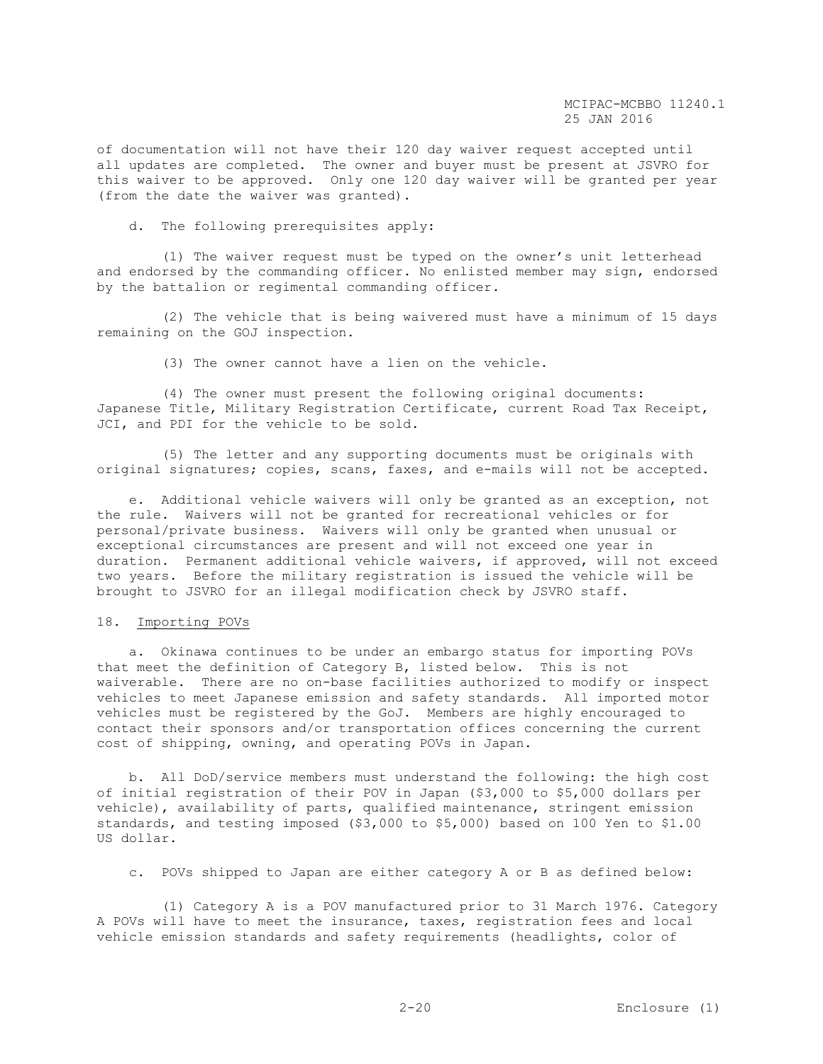of documentation will not have their 120 day waiver request accepted until all updates are completed. The owner and buyer must be present at JSVRO for this waiver to be approved. Only one 120 day waiver will be granted per year (from the date the waiver was granted).

d. The following prerequisites apply:

 (1) The waiver request must be typed on the owner's unit letterhead and endorsed by the commanding officer. No enlisted member may sign, endorsed by the battalion or regimental commanding officer.

 (2) The vehicle that is being waivered must have a minimum of 15 days remaining on the GOJ inspection.

(3) The owner cannot have a lien on the vehicle.

 (4) The owner must present the following original documents: Japanese Title, Military Registration Certificate, current Road Tax Receipt, JCI, and PDI for the vehicle to be sold.

 (5) The letter and any supporting documents must be originals with original signatures; copies, scans, faxes, and e-mails will not be accepted.

 e. Additional vehicle waivers will only be granted as an exception, not the rule. Waivers will not be granted for recreational vehicles or for personal/private business. Waivers will only be granted when unusual or exceptional circumstances are present and will not exceed one year in duration. Permanent additional vehicle waivers, if approved, will not exceed two years. Before the military registration is issued the vehicle will be brought to JSVRO for an illegal modification check by JSVRO staff.

# 18. Importing POVs

 a. Okinawa continues to be under an embargo status for importing POVs that meet the definition of Category B, listed below. This is not waiverable. There are no on-base facilities authorized to modify or inspect vehicles to meet Japanese emission and safety standards. All imported motor vehicles must be registered by the GoJ. Members are highly encouraged to contact their sponsors and/or transportation offices concerning the current cost of shipping, owning, and operating POVs in Japan.

 b. All DoD/service members must understand the following: the high cost of initial registration of their POV in Japan (\$3,000 to \$5,000 dollars per vehicle), availability of parts, qualified maintenance, stringent emission standards, and testing imposed (\$3,000 to \$5,000) based on 100 Yen to \$1.00 US dollar.

c. POVs shipped to Japan are either category A or B as defined below:

 (1) Category A is a POV manufactured prior to 31 March 1976. Category A POVs will have to meet the insurance, taxes, registration fees and local vehicle emission standards and safety requirements (headlights, color of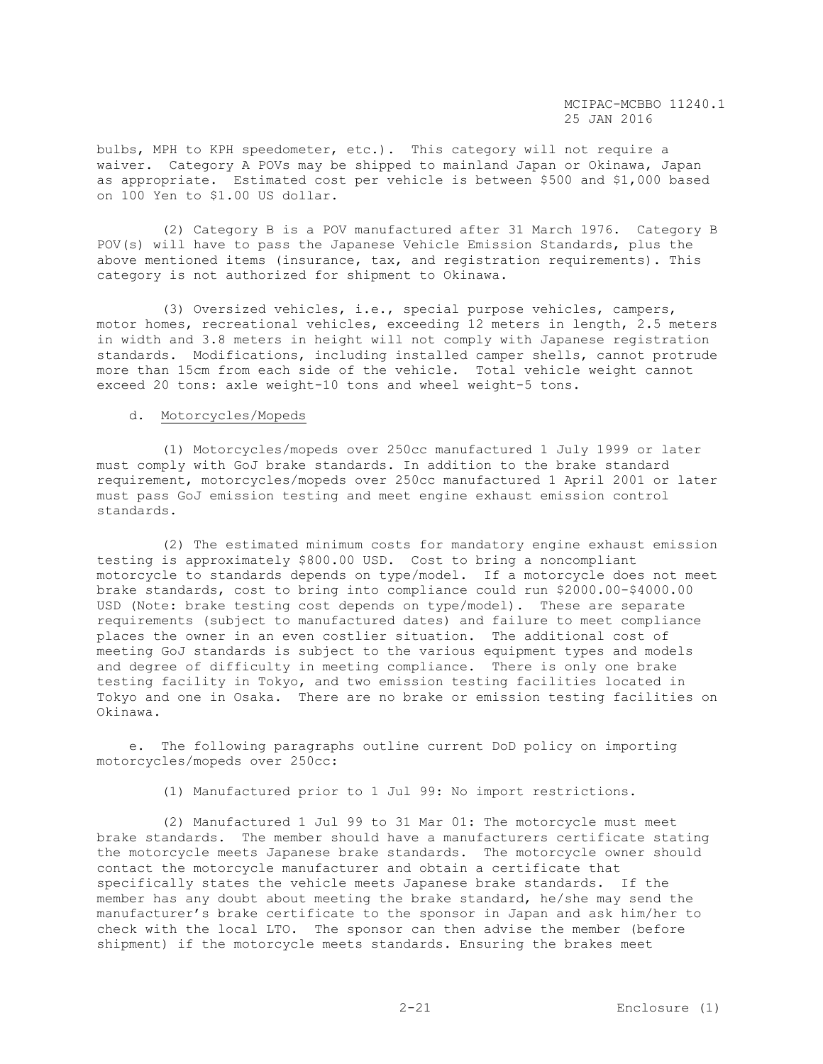bulbs, MPH to KPH speedometer, etc.). This category will not require a waiver. Category A POVs may be shipped to mainland Japan or Okinawa, Japan as appropriate. Estimated cost per vehicle is between \$500 and \$1,000 based on 100 Yen to \$1.00 US dollar.

 (2) Category B is a POV manufactured after 31 March 1976. Category B POV(s) will have to pass the Japanese Vehicle Emission Standards, plus the above mentioned items (insurance, tax, and registration requirements). This category is not authorized for shipment to Okinawa.

 (3) Oversized vehicles, i.e., special purpose vehicles, campers, motor homes, recreational vehicles, exceeding 12 meters in length, 2.5 meters in width and 3.8 meters in height will not comply with Japanese registration standards. Modifications, including installed camper shells, cannot protrude more than 15cm from each side of the vehicle. Total vehicle weight cannot exceed 20 tons: axle weight-10 tons and wheel weight-5 tons.

# d. Motorcycles/Mopeds

 (1) Motorcycles/mopeds over 250cc manufactured 1 July 1999 or later must comply with GoJ brake standards. In addition to the brake standard requirement, motorcycles/mopeds over 250cc manufactured 1 April 2001 or later must pass GoJ emission testing and meet engine exhaust emission control standards.

 (2) The estimated minimum costs for mandatory engine exhaust emission testing is approximately \$800.00 USD. Cost to bring a noncompliant motorcycle to standards depends on type/model. If a motorcycle does not meet brake standards, cost to bring into compliance could run \$2000.00-\$4000.00 USD (Note: brake testing cost depends on type/model). These are separate requirements (subject to manufactured dates) and failure to meet compliance places the owner in an even costlier situation. The additional cost of meeting GoJ standards is subject to the various equipment types and models and degree of difficulty in meeting compliance. There is only one brake testing facility in Tokyo, and two emission testing facilities located in Tokyo and one in Osaka. There are no brake or emission testing facilities on Okinawa.

 e. The following paragraphs outline current DoD policy on importing motorcycles/mopeds over 250cc:

(1) Manufactured prior to 1 Jul 99: No import restrictions.

 (2) Manufactured 1 Jul 99 to 31 Mar 01: The motorcycle must meet brake standards. The member should have a manufacturers certificate stating the motorcycle meets Japanese brake standards. The motorcycle owner should contact the motorcycle manufacturer and obtain a certificate that specifically states the vehicle meets Japanese brake standards. If the member has any doubt about meeting the brake standard, he/she may send the manufacturer's brake certificate to the sponsor in Japan and ask him/her to check with the local LTO. The sponsor can then advise the member (before shipment) if the motorcycle meets standards. Ensuring the brakes meet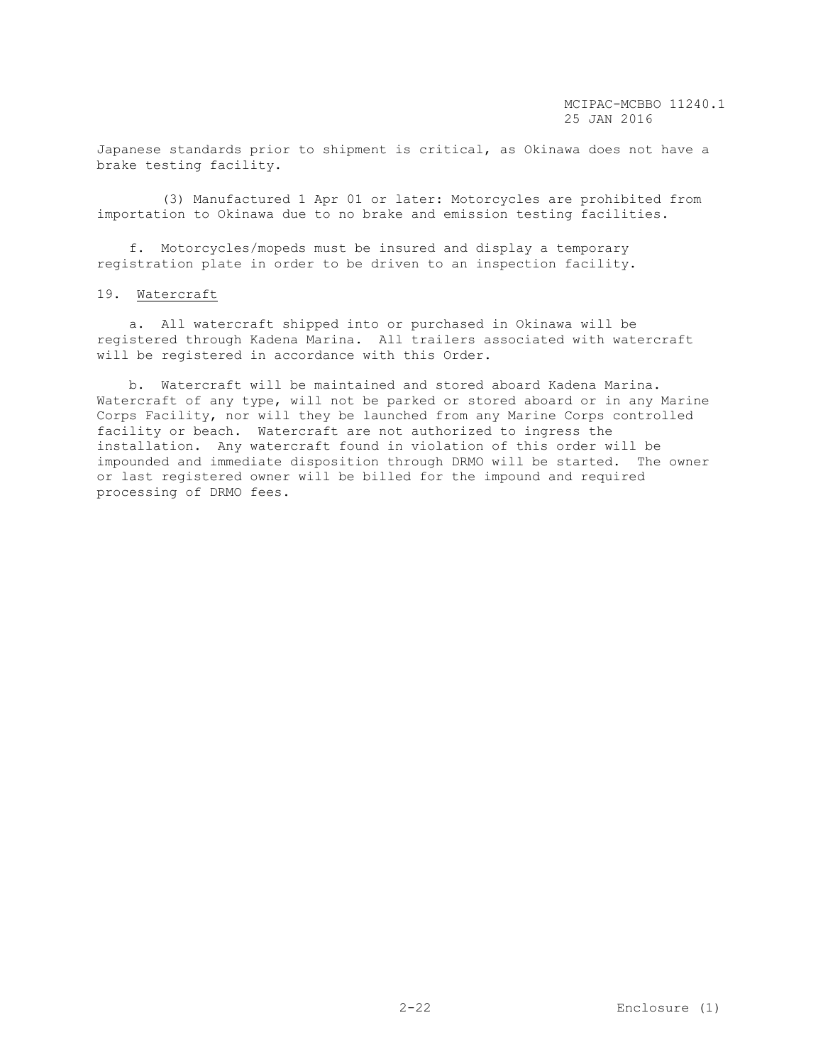Japanese standards prior to shipment is critical, as Okinawa does not have a brake testing facility.

 (3) Manufactured 1 Apr 01 or later: Motorcycles are prohibited from importation to Okinawa due to no brake and emission testing facilities.

 f. Motorcycles/mopeds must be insured and display a temporary registration plate in order to be driven to an inspection facility.

#### 19. Watercraft

 a. All watercraft shipped into or purchased in Okinawa will be registered through Kadena Marina. All trailers associated with watercraft will be registered in accordance with this Order.

 b. Watercraft will be maintained and stored aboard Kadena Marina. Watercraft of any type, will not be parked or stored aboard or in any Marine Corps Facility, nor will they be launched from any Marine Corps controlled facility or beach. Watercraft are not authorized to ingress the installation. Any watercraft found in violation of this order will be impounded and immediate disposition through DRMO will be started. The owner or last registered owner will be billed for the impound and required processing of DRMO fees.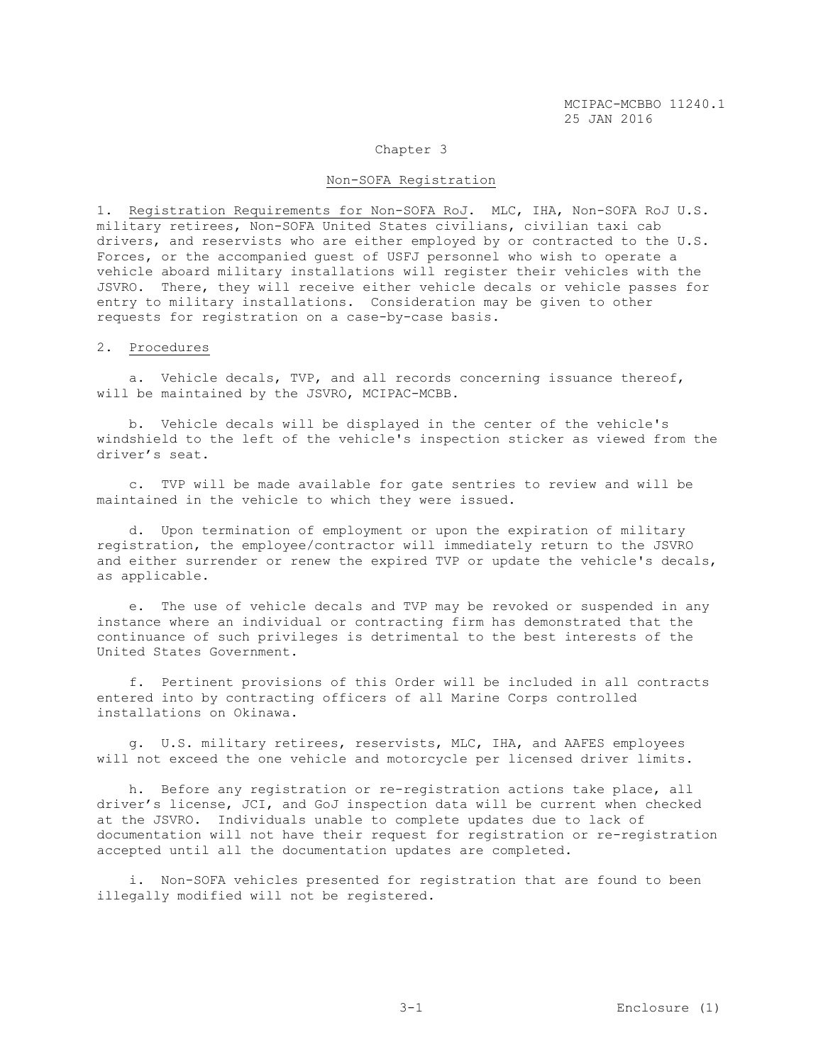#### Chapter 3

#### Non-SOFA Registration

1. Registration Requirements for Non-SOFA RoJ. MLC, IHA, Non-SOFA RoJ U.S. military retirees, Non-SOFA United States civilians, civilian taxi cab drivers, and reservists who are either employed by or contracted to the U.S. Forces, or the accompanied guest of USFJ personnel who wish to operate a vehicle aboard military installations will register their vehicles with the JSVRO. There, they will receive either vehicle decals or vehicle passes for entry to military installations. Consideration may be given to other requests for registration on a case-by-case basis.

# 2. Procedures

 a. Vehicle decals, TVP, and all records concerning issuance thereof, will be maintained by the JSVRO, MCIPAC-MCBB.

 b. Vehicle decals will be displayed in the center of the vehicle's windshield to the left of the vehicle's inspection sticker as viewed from the driver's seat.

 c. TVP will be made available for gate sentries to review and will be maintained in the vehicle to which they were issued.

 d. Upon termination of employment or upon the expiration of military registration, the employee/contractor will immediately return to the JSVRO and either surrender or renew the expired TVP or update the vehicle's decals, as applicable.

 e. The use of vehicle decals and TVP may be revoked or suspended in any instance where an individual or contracting firm has demonstrated that the continuance of such privileges is detrimental to the best interests of the United States Government.

 f. Pertinent provisions of this Order will be included in all contracts entered into by contracting officers of all Marine Corps controlled installations on Okinawa.

 g. U.S. military retirees, reservists, MLC, IHA, and AAFES employees will not exceed the one vehicle and motorcycle per licensed driver limits.

 h. Before any registration or re-registration actions take place, all driver's license, JCI, and GoJ inspection data will be current when checked at the JSVRO. Individuals unable to complete updates due to lack of documentation will not have their request for registration or re-registration accepted until all the documentation updates are completed.

 i. Non-SOFA vehicles presented for registration that are found to been illegally modified will not be registered.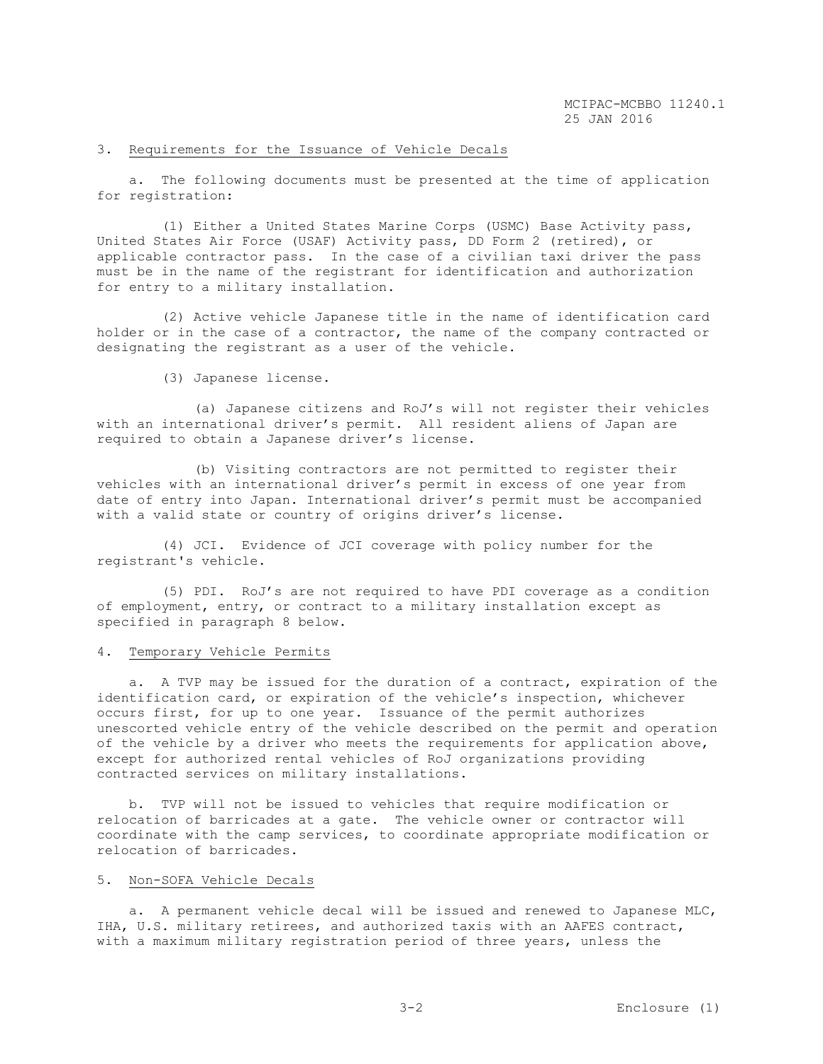# 3. Requirements for the Issuance of Vehicle Decals

 a. The following documents must be presented at the time of application for registration:

 (1) Either a United States Marine Corps (USMC) Base Activity pass, United States Air Force (USAF) Activity pass, DD Form 2 (retired), or applicable contractor pass. In the case of a civilian taxi driver the pass must be in the name of the registrant for identification and authorization for entry to a military installation.

 (2) Active vehicle Japanese title in the name of identification card holder or in the case of a contractor, the name of the company contracted or designating the registrant as a user of the vehicle.

(3) Japanese license.

 (a) Japanese citizens and RoJ's will not register their vehicles with an international driver's permit. All resident aliens of Japan are required to obtain a Japanese driver's license.

 (b) Visiting contractors are not permitted to register their vehicles with an international driver's permit in excess of one year from date of entry into Japan. International driver's permit must be accompanied with a valid state or country of origins driver's license.

 (4) JCI. Evidence of JCI coverage with policy number for the registrant's vehicle.

 (5) PDI. RoJ's are not required to have PDI coverage as a condition of employment, entry, or contract to a military installation except as specified in paragraph 8 below.

## 4. Temporary Vehicle Permits

 a. A TVP may be issued for the duration of a contract, expiration of the identification card, or expiration of the vehicle's inspection, whichever occurs first, for up to one year. Issuance of the permit authorizes unescorted vehicle entry of the vehicle described on the permit and operation of the vehicle by a driver who meets the requirements for application above, except for authorized rental vehicles of RoJ organizations providing contracted services on military installations.

 b. TVP will not be issued to vehicles that require modification or relocation of barricades at a gate. The vehicle owner or contractor will coordinate with the camp services, to coordinate appropriate modification or relocation of barricades.

## 5. Non-SOFA Vehicle Decals

a. A permanent vehicle decal will be issued and renewed to Japanese MLC, IHA, U.S. military retirees, and authorized taxis with an AAFES contract, with a maximum military registration period of three years, unless the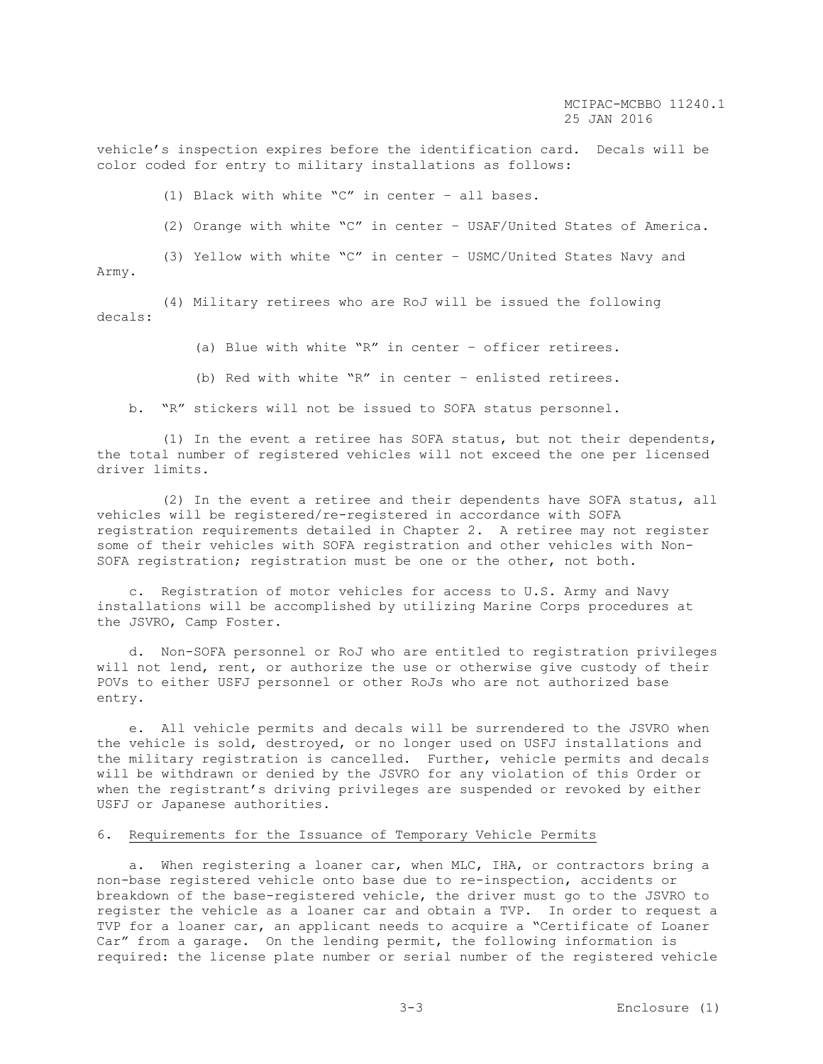vehicle's inspection expires before the identification card. Decals will be color coded for entry to military installations as follows:

(1) Black with white "C" in center – all bases.

(2) Orange with white "C" in center – USAF/United States of America.

 (3) Yellow with white "C" in center – USMC/United States Navy and Army.

 (4) Military retirees who are RoJ will be issued the following decals:

(a) Blue with white "R" in center – officer retirees.

(b) Red with white "R" in center – enlisted retirees.

b. "R" stickers will not be issued to SOFA status personnel.

 (1) In the event a retiree has SOFA status, but not their dependents, the total number of registered vehicles will not exceed the one per licensed driver limits.

 (2) In the event a retiree and their dependents have SOFA status, all vehicles will be registered/re-registered in accordance with SOFA registration requirements detailed in Chapter 2. A retiree may not register some of their vehicles with SOFA registration and other vehicles with Non-SOFA registration; registration must be one or the other, not both.

 c. Registration of motor vehicles for access to U.S. Army and Navy installations will be accomplished by utilizing Marine Corps procedures at the JSVRO, Camp Foster.

 d. Non-SOFA personnel or RoJ who are entitled to registration privileges will not lend, rent, or authorize the use or otherwise give custody of their POVs to either USFJ personnel or other RoJs who are not authorized base entry.

 e. All vehicle permits and decals will be surrendered to the JSVRO when the vehicle is sold, destroyed, or no longer used on USFJ installations and the military registration is cancelled. Further, vehicle permits and decals will be withdrawn or denied by the JSVRO for any violation of this Order or when the registrant's driving privileges are suspended or revoked by either USFJ or Japanese authorities.

# 6. Requirements for the Issuance of Temporary Vehicle Permits

 a. When registering a loaner car, when MLC, IHA, or contractors bring a non-base registered vehicle onto base due to re-inspection, accidents or breakdown of the base-registered vehicle, the driver must go to the JSVRO to register the vehicle as a loaner car and obtain a TVP. In order to request a TVP for a loaner car, an applicant needs to acquire a "Certificate of Loaner Car" from a garage. On the lending permit, the following information is required: the license plate number or serial number of the registered vehicle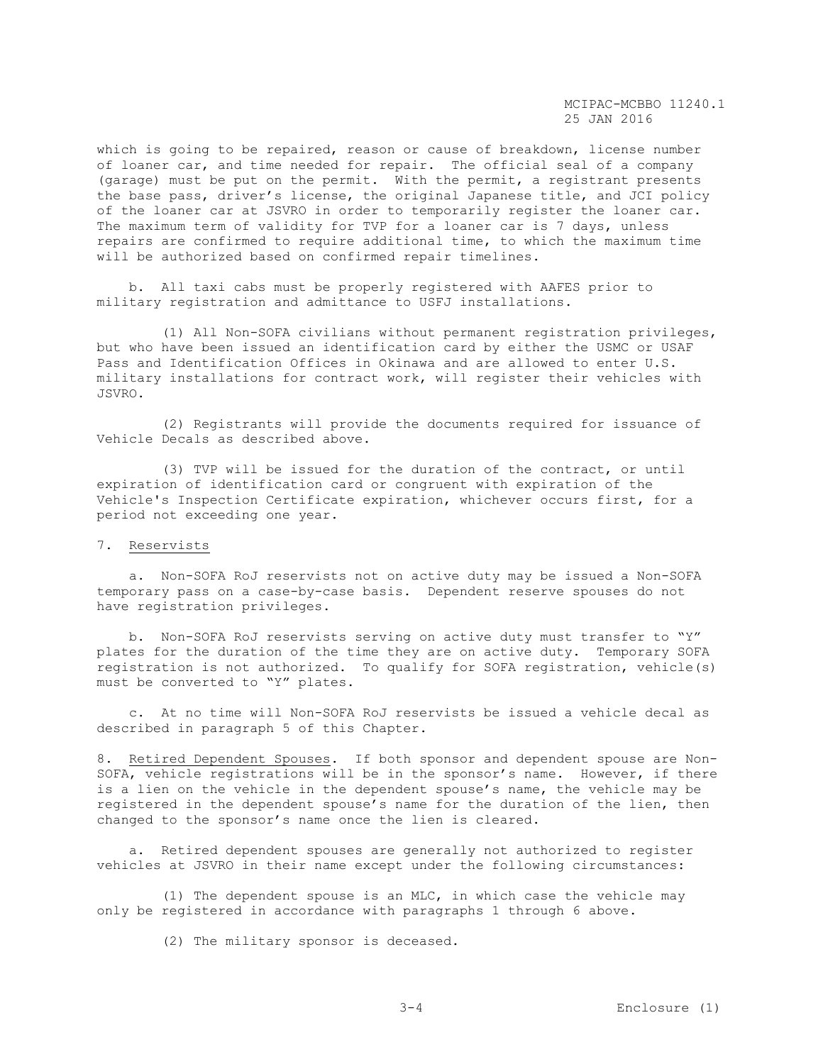which is going to be repaired, reason or cause of breakdown, license number of loaner car, and time needed for repair. The official seal of a company (garage) must be put on the permit. With the permit, a registrant presents the base pass, driver's license, the original Japanese title, and JCI policy of the loaner car at JSVRO in order to temporarily register the loaner car. The maximum term of validity for TVP for a loaner car is 7 days, unless repairs are confirmed to require additional time, to which the maximum time will be authorized based on confirmed repair timelines.

 b. All taxi cabs must be properly registered with AAFES prior to military registration and admittance to USFJ installations.

 (1) All Non-SOFA civilians without permanent registration privileges, but who have been issued an identification card by either the USMC or USAF Pass and Identification Offices in Okinawa and are allowed to enter U.S. military installations for contract work, will register their vehicles with JSVRO.

 (2) Registrants will provide the documents required for issuance of Vehicle Decals as described above.

 (3) TVP will be issued for the duration of the contract, or until expiration of identification card or congruent with expiration of the Vehicle's Inspection Certificate expiration, whichever occurs first, for a period not exceeding one year.

# 7. Reservists

 a. Non-SOFA RoJ reservists not on active duty may be issued a Non-SOFA temporary pass on a case-by-case basis. Dependent reserve spouses do not have registration privileges.

 b. Non-SOFA RoJ reservists serving on active duty must transfer to "Y" plates for the duration of the time they are on active duty. Temporary SOFA registration is not authorized. To qualify for SOFA registration, vehicle(s) must be converted to "Y" plates.

 c. At no time will Non-SOFA RoJ reservists be issued a vehicle decal as described in paragraph 5 of this Chapter.

8. Retired Dependent Spouses. If both sponsor and dependent spouse are Non-SOFA, vehicle registrations will be in the sponsor's name. However, if there is a lien on the vehicle in the dependent spouse's name, the vehicle may be registered in the dependent spouse's name for the duration of the lien, then changed to the sponsor's name once the lien is cleared.

 a. Retired dependent spouses are generally not authorized to register vehicles at JSVRO in their name except under the following circumstances:

 (1) The dependent spouse is an MLC, in which case the vehicle may only be registered in accordance with paragraphs 1 through 6 above.

(2) The military sponsor is deceased.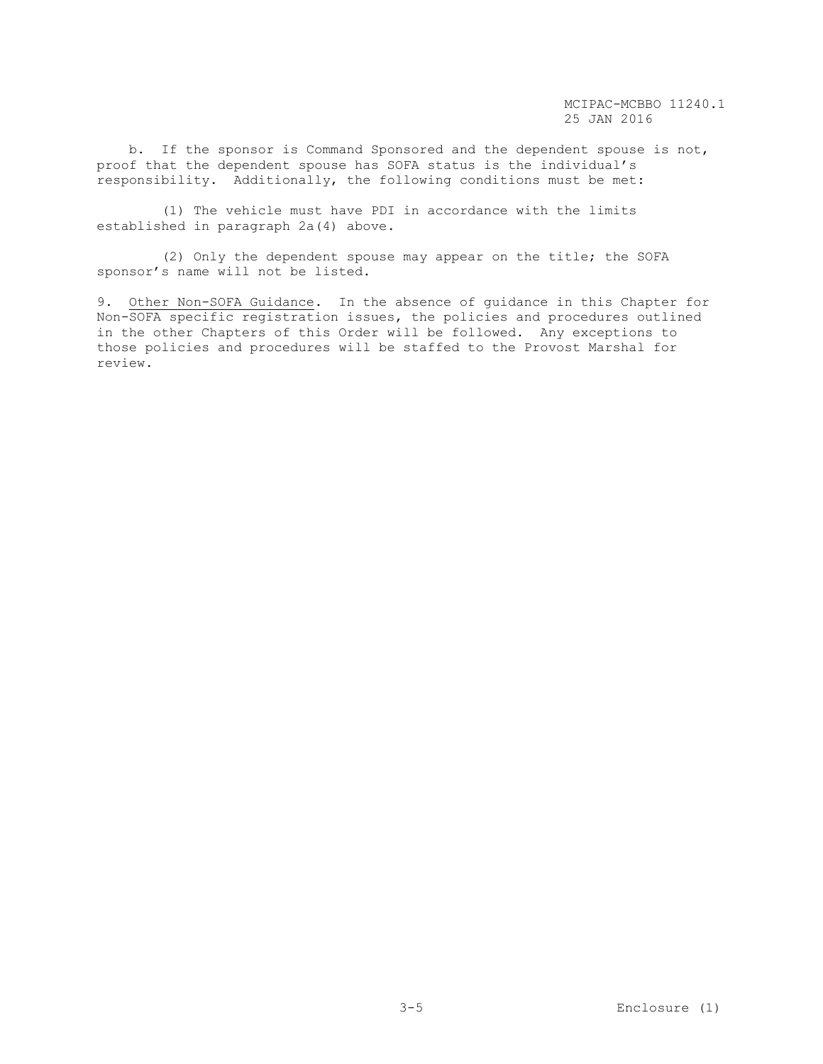b. If the sponsor is Command Sponsored and the dependent spouse is not, proof that the dependent spouse has SOFA status is the individual's responsibility. Additionally, the following conditions must be met:

 (1) The vehicle must have PDI in accordance with the limits established in paragraph 2a(4) above.

 (2) Only the dependent spouse may appear on the title; the SOFA sponsor's name will not be listed.

9. Other Non-SOFA Guidance. In the absence of guidance in this Chapter for Non-SOFA specific registration issues, the policies and procedures outlined in the other Chapters of this Order will be followed. Any exceptions to those policies and procedures will be staffed to the Provost Marshal for review.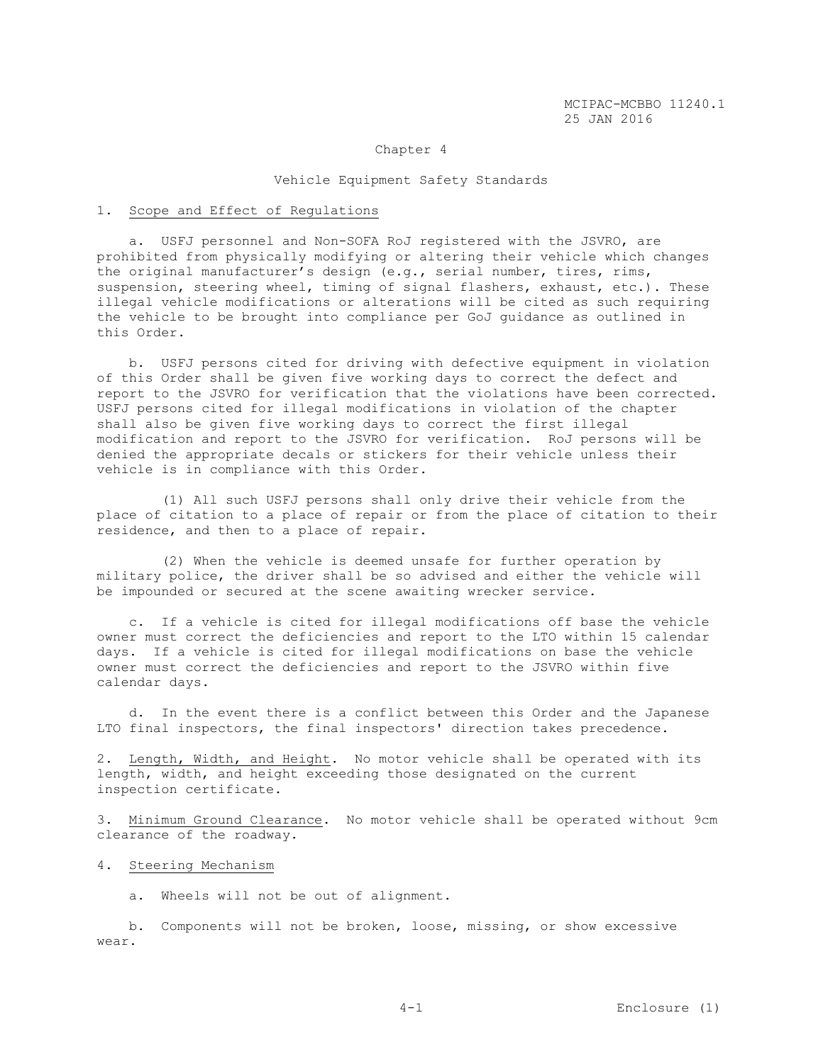#### Chapter 4

#### Vehicle Equipment Safety Standards

#### 1. Scope and Effect of Regulations

 a. USFJ personnel and Non-SOFA RoJ registered with the JSVRO, are prohibited from physically modifying or altering their vehicle which changes the original manufacturer's design (e.g., serial number, tires, rims, suspension, steering wheel, timing of signal flashers, exhaust, etc.). These illegal vehicle modifications or alterations will be cited as such requiring the vehicle to be brought into compliance per GoJ guidance as outlined in this Order.

 b. USFJ persons cited for driving with defective equipment in violation of this Order shall be given five working days to correct the defect and report to the JSVRO for verification that the violations have been corrected. USFJ persons cited for illegal modifications in violation of the chapter shall also be given five working days to correct the first illegal modification and report to the JSVRO for verification. RoJ persons will be denied the appropriate decals or stickers for their vehicle unless their vehicle is in compliance with this Order.

 (1) All such USFJ persons shall only drive their vehicle from the place of citation to a place of repair or from the place of citation to their residence, and then to a place of repair.

 (2) When the vehicle is deemed unsafe for further operation by military police, the driver shall be so advised and either the vehicle will be impounded or secured at the scene awaiting wrecker service.

 c. If a vehicle is cited for illegal modifications off base the vehicle owner must correct the deficiencies and report to the LTO within 15 calendar days. If a vehicle is cited for illegal modifications on base the vehicle owner must correct the deficiencies and report to the JSVRO within five calendar days.

 d. In the event there is a conflict between this Order and the Japanese LTO final inspectors, the final inspectors' direction takes precedence.

2. Length, Width, and Height. No motor vehicle shall be operated with its length, width, and height exceeding those designated on the current inspection certificate.

3. Minimum Ground Clearance. No motor vehicle shall be operated without 9cm clearance of the roadway.

## 4. Steering Mechanism

a. Wheels will not be out of alignment.

 b. Components will not be broken, loose, missing, or show excessive wear.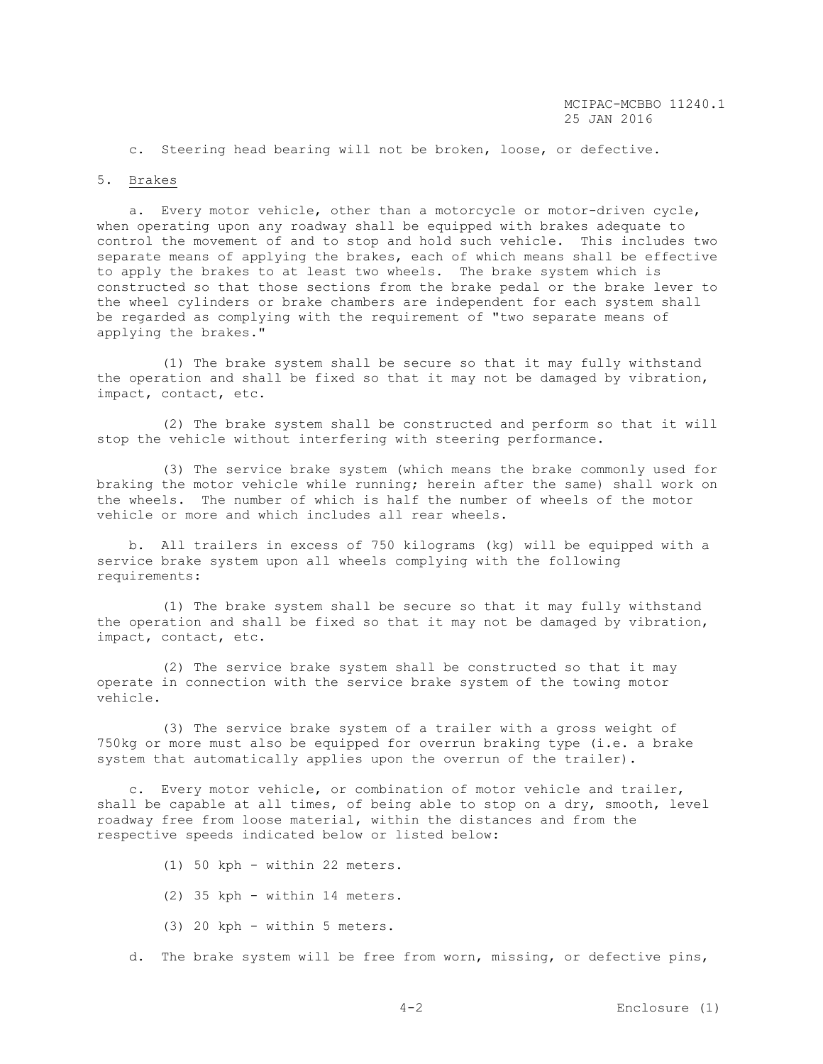c. Steering head bearing will not be broken, loose, or defective.

#### 5. Brakes

 a. Every motor vehicle, other than a motorcycle or motor-driven cycle, when operating upon any roadway shall be equipped with brakes adequate to control the movement of and to stop and hold such vehicle. This includes two separate means of applying the brakes, each of which means shall be effective to apply the brakes to at least two wheels. The brake system which is constructed so that those sections from the brake pedal or the brake lever to the wheel cylinders or brake chambers are independent for each system shall be regarded as complying with the requirement of "two separate means of applying the brakes."

 (1) The brake system shall be secure so that it may fully withstand the operation and shall be fixed so that it may not be damaged by vibration, impact, contact, etc.

 (2) The brake system shall be constructed and perform so that it will stop the vehicle without interfering with steering performance.

 (3) The service brake system (which means the brake commonly used for braking the motor vehicle while running; herein after the same) shall work on the wheels. The number of which is half the number of wheels of the motor vehicle or more and which includes all rear wheels.

 b. All trailers in excess of 750 kilograms (kg) will be equipped with a service brake system upon all wheels complying with the following requirements:

 (1) The brake system shall be secure so that it may fully withstand the operation and shall be fixed so that it may not be damaged by vibration, impact, contact, etc.

 (2) The service brake system shall be constructed so that it may operate in connection with the service brake system of the towing motor vehicle.

 (3) The service brake system of a trailer with a gross weight of 750kg or more must also be equipped for overrun braking type (i.e. a brake system that automatically applies upon the overrun of the trailer).

 c. Every motor vehicle, or combination of motor vehicle and trailer, shall be capable at all times, of being able to stop on a dry, smooth, level roadway free from loose material, within the distances and from the respective speeds indicated below or listed below:

- (1) 50 kph within 22 meters.
- (2) 35 kph within 14 meters.
- (3) 20 kph within 5 meters.
- d. The brake system will be free from worn, missing, or defective pins,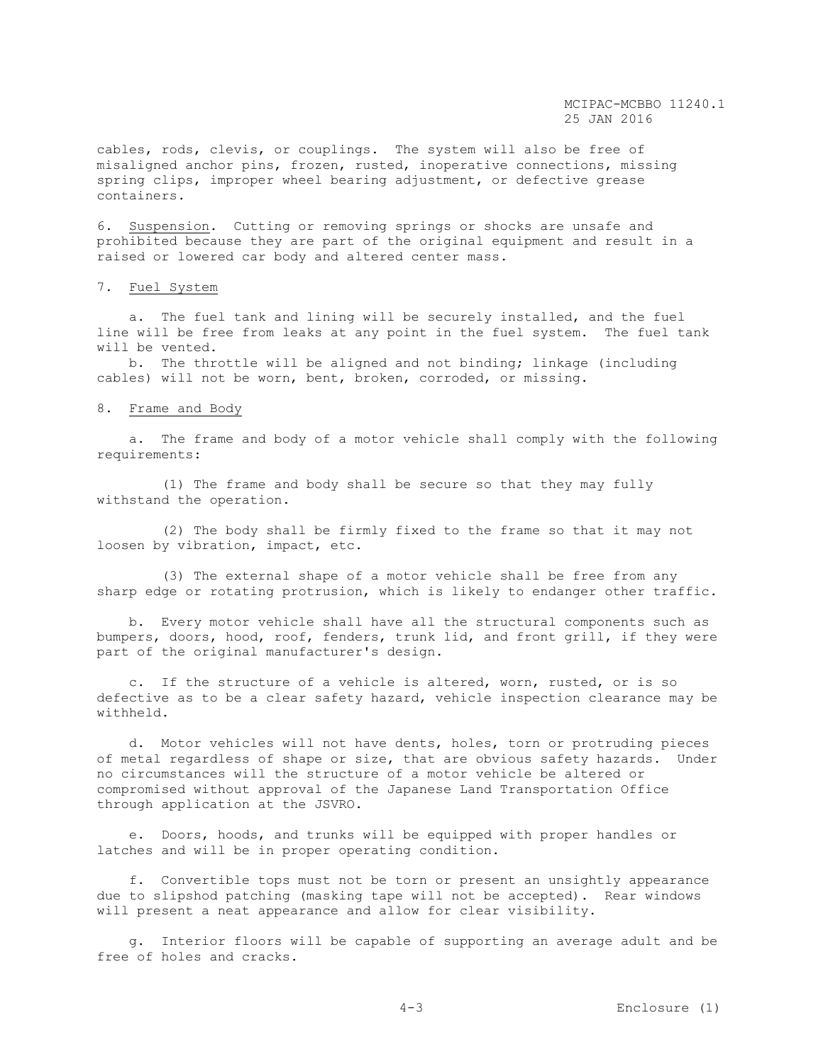cables, rods, clevis, or couplings. The system will also be free of misaligned anchor pins, frozen, rusted, inoperative connections, missing spring clips, improper wheel bearing adjustment, or defective grease containers.

6. Suspension. Cutting or removing springs or shocks are unsafe and prohibited because they are part of the original equipment and result in a raised or lowered car body and altered center mass.

### 7. Fuel System

 a. The fuel tank and lining will be securely installed, and the fuel line will be free from leaks at any point in the fuel system. The fuel tank will be vented.

 b. The throttle will be aligned and not binding; linkage (including cables) will not be worn, bent, broken, corroded, or missing.

#### 8. Frame and Body

 a. The frame and body of a motor vehicle shall comply with the following requirements:

 (1) The frame and body shall be secure so that they may fully withstand the operation.

 (2) The body shall be firmly fixed to the frame so that it may not loosen by vibration, impact, etc.

 (3) The external shape of a motor vehicle shall be free from any sharp edge or rotating protrusion, which is likely to endanger other traffic.

 b. Every motor vehicle shall have all the structural components such as bumpers, doors, hood, roof, fenders, trunk lid, and front grill, if they were part of the original manufacturer's design.

 c. If the structure of a vehicle is altered, worn, rusted, or is so defective as to be a clear safety hazard, vehicle inspection clearance may be withheld.

 d. Motor vehicles will not have dents, holes, torn or protruding pieces of metal regardless of shape or size, that are obvious safety hazards. Under no circumstances will the structure of a motor vehicle be altered or compromised without approval of the Japanese Land Transportation Office through application at the JSVRO.

 e. Doors, hoods, and trunks will be equipped with proper handles or latches and will be in proper operating condition.

 f. Convertible tops must not be torn or present an unsightly appearance due to slipshod patching (masking tape will not be accepted). Rear windows will present a neat appearance and allow for clear visibility.

 g. Interior floors will be capable of supporting an average adult and be free of holes and cracks.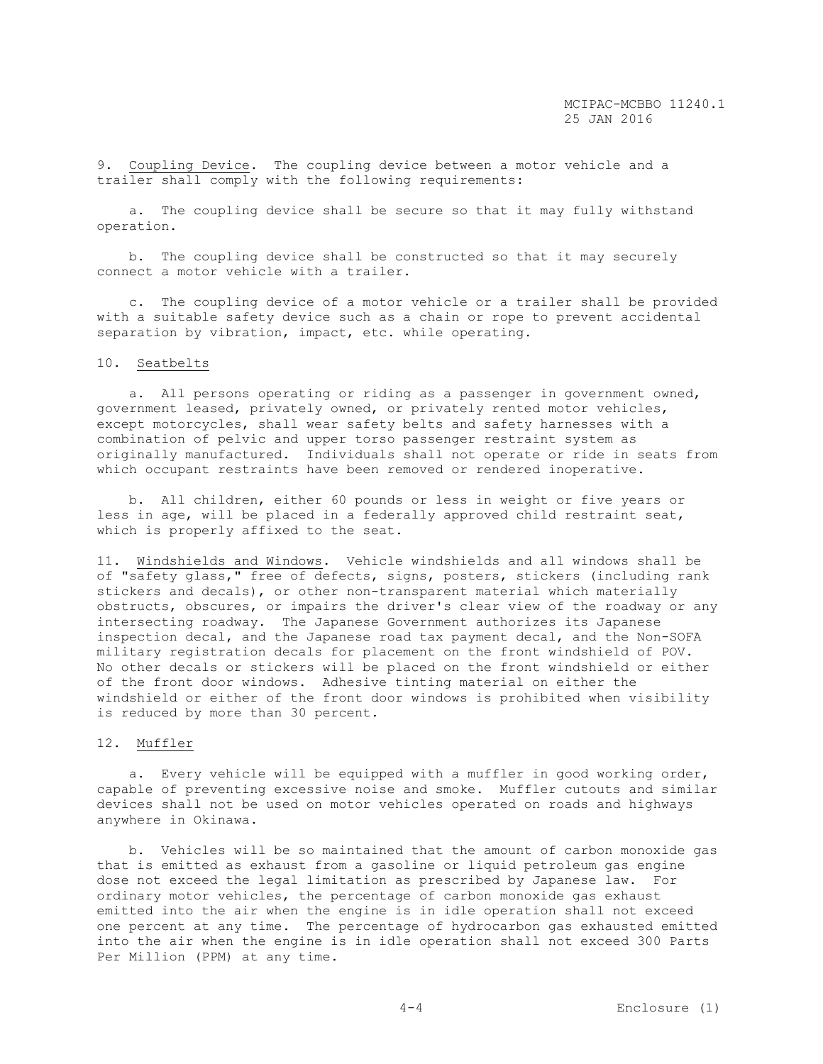9. Coupling Device. The coupling device between a motor vehicle and a trailer shall comply with the following requirements:

 a. The coupling device shall be secure so that it may fully withstand operation.

 b. The coupling device shall be constructed so that it may securely connect a motor vehicle with a trailer.

 c. The coupling device of a motor vehicle or a trailer shall be provided with a suitable safety device such as a chain or rope to prevent accidental separation by vibration, impact, etc. while operating.

# 10. Seatbelts

 a. All persons operating or riding as a passenger in government owned, government leased, privately owned, or privately rented motor vehicles, except motorcycles, shall wear safety belts and safety harnesses with a combination of pelvic and upper torso passenger restraint system as originally manufactured. Individuals shall not operate or ride in seats from which occupant restraints have been removed or rendered inoperative.

 b. All children, either 60 pounds or less in weight or five years or less in age, will be placed in a federally approved child restraint seat, which is properly affixed to the seat.

11. Windshields and Windows. Vehicle windshields and all windows shall be of "safety glass," free of defects, signs, posters, stickers (including rank stickers and decals), or other non-transparent material which materially obstructs, obscures, or impairs the driver's clear view of the roadway or any intersecting roadway. The Japanese Government authorizes its Japanese inspection decal, and the Japanese road tax payment decal, and the Non-SOFA military registration decals for placement on the front windshield of POV. No other decals or stickers will be placed on the front windshield or either of the front door windows. Adhesive tinting material on either the windshield or either of the front door windows is prohibited when visibility is reduced by more than 30 percent.

#### 12. Muffler

 a. Every vehicle will be equipped with a muffler in good working order, capable of preventing excessive noise and smoke. Muffler cutouts and similar devices shall not be used on motor vehicles operated on roads and highways anywhere in Okinawa.

 b. Vehicles will be so maintained that the amount of carbon monoxide gas that is emitted as exhaust from a gasoline or liquid petroleum gas engine dose not exceed the legal limitation as prescribed by Japanese law. For ordinary motor vehicles, the percentage of carbon monoxide gas exhaust emitted into the air when the engine is in idle operation shall not exceed one percent at any time. The percentage of hydrocarbon gas exhausted emitted into the air when the engine is in idle operation shall not exceed 300 Parts Per Million (PPM) at any time.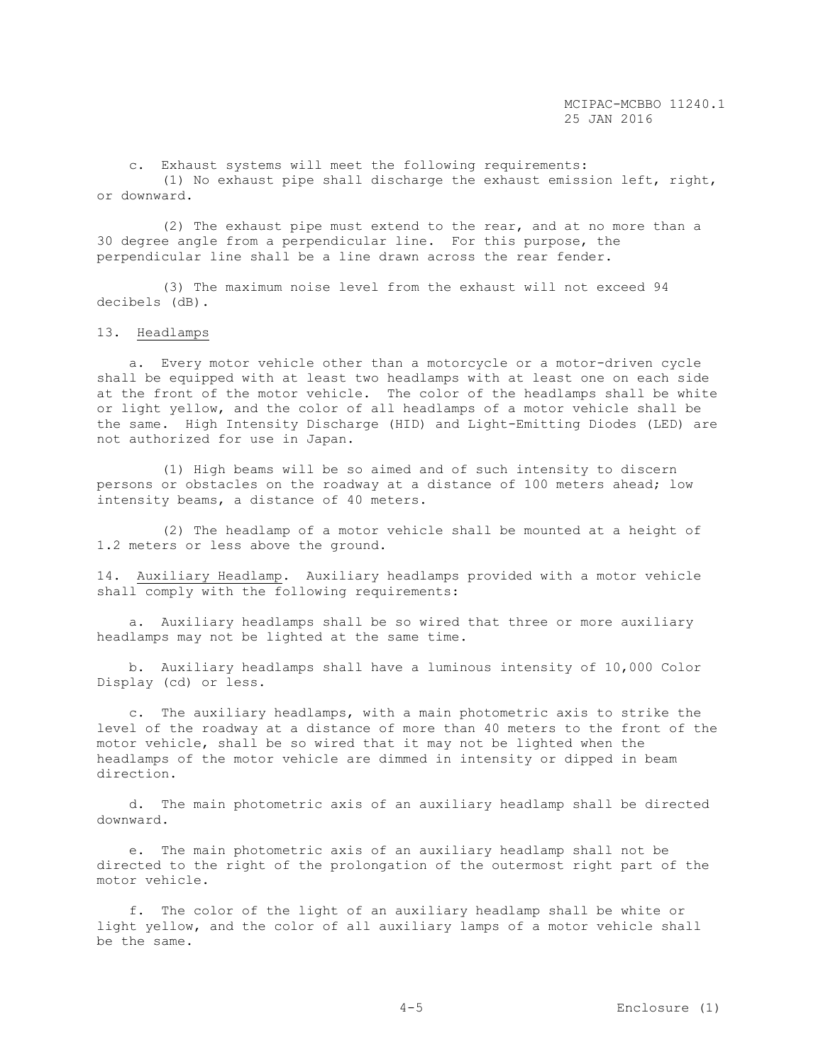c. Exhaust systems will meet the following requirements:

 (1) No exhaust pipe shall discharge the exhaust emission left, right, or downward.

 (2) The exhaust pipe must extend to the rear, and at no more than a 30 degree angle from a perpendicular line. For this purpose, the perpendicular line shall be a line drawn across the rear fender.

 (3) The maximum noise level from the exhaust will not exceed 94 decibels (dB).

# 13. Headlamps

 a. Every motor vehicle other than a motorcycle or a motor-driven cycle shall be equipped with at least two headlamps with at least one on each side at the front of the motor vehicle. The color of the headlamps shall be white or light yellow, and the color of all headlamps of a motor vehicle shall be the same. High Intensity Discharge (HID) and Light-Emitting Diodes (LED) are not authorized for use in Japan.

 (1) High beams will be so aimed and of such intensity to discern persons or obstacles on the roadway at a distance of 100 meters ahead; low intensity beams, a distance of 40 meters.

 (2) The headlamp of a motor vehicle shall be mounted at a height of 1.2 meters or less above the ground.

14. Auxiliary Headlamp. Auxiliary headlamps provided with a motor vehicle shall comply with the following requirements:

 a. Auxiliary headlamps shall be so wired that three or more auxiliary headlamps may not be lighted at the same time.

 b. Auxiliary headlamps shall have a luminous intensity of 10,000 Color Display (cd) or less.

 c. The auxiliary headlamps, with a main photometric axis to strike the level of the roadway at a distance of more than 40 meters to the front of the motor vehicle, shall be so wired that it may not be lighted when the headlamps of the motor vehicle are dimmed in intensity or dipped in beam direction.

 d. The main photometric axis of an auxiliary headlamp shall be directed downward.

 e. The main photometric axis of an auxiliary headlamp shall not be directed to the right of the prolongation of the outermost right part of the motor vehicle.

 f. The color of the light of an auxiliary headlamp shall be white or light yellow, and the color of all auxiliary lamps of a motor vehicle shall be the same.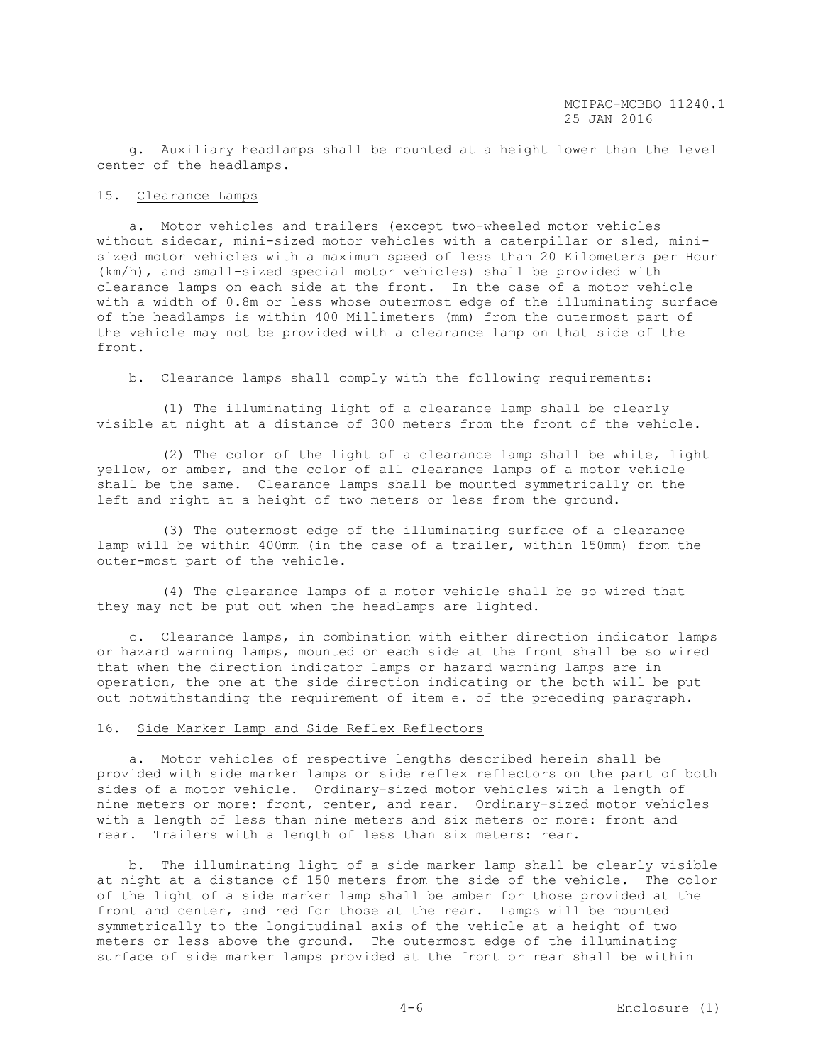g. Auxiliary headlamps shall be mounted at a height lower than the level center of the headlamps.

#### 15. Clearance Lamps

 a. Motor vehicles and trailers (except two-wheeled motor vehicles without sidecar, mini-sized motor vehicles with a caterpillar or sled, minisized motor vehicles with a maximum speed of less than 20 Kilometers per Hour (km/h), and small-sized special motor vehicles) shall be provided with clearance lamps on each side at the front. In the case of a motor vehicle with a width of 0.8m or less whose outermost edge of the illuminating surface of the headlamps is within 400 Millimeters (mm) from the outermost part of the vehicle may not be provided with a clearance lamp on that side of the front.

b. Clearance lamps shall comply with the following requirements:

 (1) The illuminating light of a clearance lamp shall be clearly visible at night at a distance of 300 meters from the front of the vehicle.

 (2) The color of the light of a clearance lamp shall be white, light yellow, or amber, and the color of all clearance lamps of a motor vehicle shall be the same. Clearance lamps shall be mounted symmetrically on the left and right at a height of two meters or less from the ground.

 (3) The outermost edge of the illuminating surface of a clearance lamp will be within 400mm (in the case of a trailer, within 150mm) from the outer-most part of the vehicle.

 (4) The clearance lamps of a motor vehicle shall be so wired that they may not be put out when the headlamps are lighted.

 c. Clearance lamps, in combination with either direction indicator lamps or hazard warning lamps, mounted on each side at the front shall be so wired that when the direction indicator lamps or hazard warning lamps are in operation, the one at the side direction indicating or the both will be put out notwithstanding the requirement of item e. of the preceding paragraph.

## 16. Side Marker Lamp and Side Reflex Reflectors

 a. Motor vehicles of respective lengths described herein shall be provided with side marker lamps or side reflex reflectors on the part of both sides of a motor vehicle. Ordinary-sized motor vehicles with a length of nine meters or more: front, center, and rear. Ordinary-sized motor vehicles with a length of less than nine meters and six meters or more: front and rear. Trailers with a length of less than six meters: rear.

 b. The illuminating light of a side marker lamp shall be clearly visible at night at a distance of 150 meters from the side of the vehicle. The color of the light of a side marker lamp shall be amber for those provided at the front and center, and red for those at the rear. Lamps will be mounted symmetrically to the longitudinal axis of the vehicle at a height of two meters or less above the ground. The outermost edge of the illuminating surface of side marker lamps provided at the front or rear shall be within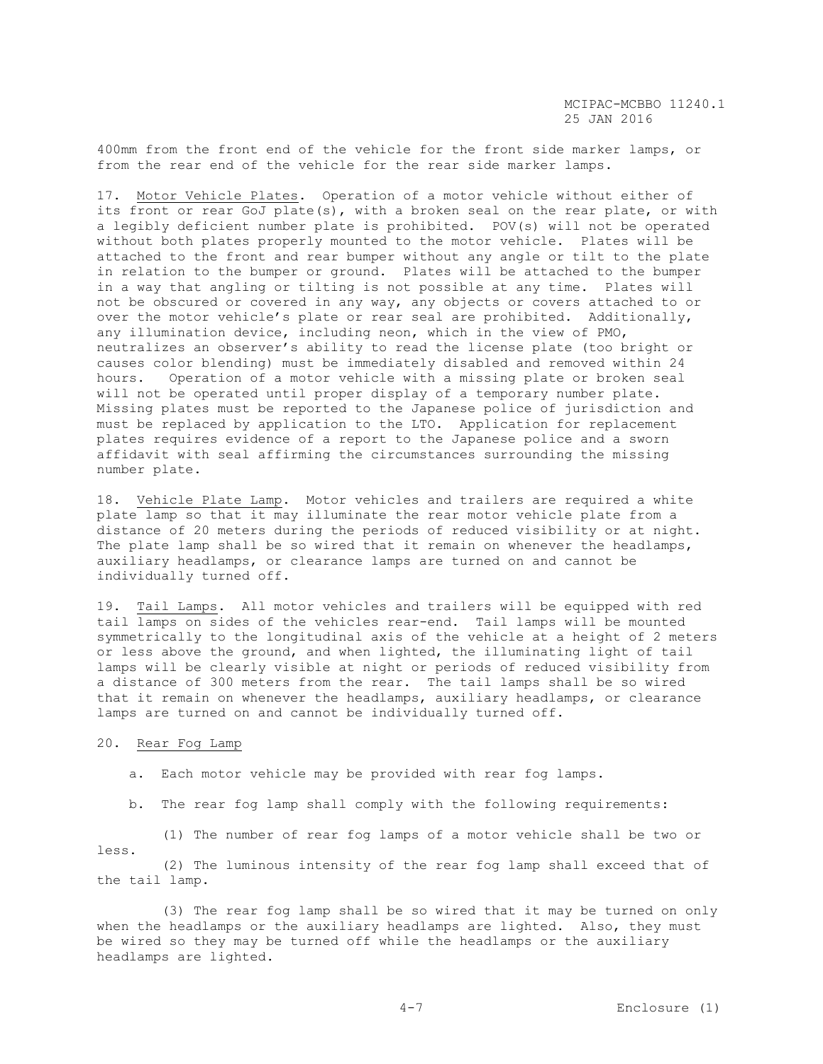400mm from the front end of the vehicle for the front side marker lamps, or from the rear end of the vehicle for the rear side marker lamps.

17. Motor Vehicle Plates. Operation of a motor vehicle without either of its front or rear GoJ plate(s), with a broken seal on the rear plate, or with a legibly deficient number plate is prohibited. POV(s) will not be operated without both plates properly mounted to the motor vehicle. Plates will be attached to the front and rear bumper without any angle or tilt to the plate in relation to the bumper or ground. Plates will be attached to the bumper in a way that angling or tilting is not possible at any time. Plates will not be obscured or covered in any way, any objects or covers attached to or over the motor vehicle's plate or rear seal are prohibited. Additionally, any illumination device, including neon, which in the view of PMO, neutralizes an observer's ability to read the license plate (too bright or causes color blending) must be immediately disabled and removed within 24 hours. Operation of a motor vehicle with a missing plate or broken seal will not be operated until proper display of a temporary number plate. Missing plates must be reported to the Japanese police of jurisdiction and must be replaced by application to the LTO. Application for replacement plates requires evidence of a report to the Japanese police and a sworn affidavit with seal affirming the circumstances surrounding the missing number plate.

18. Vehicle Plate Lamp. Motor vehicles and trailers are required a white plate lamp so that it may illuminate the rear motor vehicle plate from a distance of 20 meters during the periods of reduced visibility or at night. The plate lamp shall be so wired that it remain on whenever the headlamps, auxiliary headlamps, or clearance lamps are turned on and cannot be individually turned off.

19. Tail Lamps. All motor vehicles and trailers will be equipped with red tail lamps on sides of the vehicles rear-end. Tail lamps will be mounted symmetrically to the longitudinal axis of the vehicle at a height of 2 meters or less above the ground, and when lighted, the illuminating light of tail lamps will be clearly visible at night or periods of reduced visibility from a distance of 300 meters from the rear. The tail lamps shall be so wired that it remain on whenever the headlamps, auxiliary headlamps, or clearance lamps are turned on and cannot be individually turned off.

#### 20. Rear Fog Lamp

a. Each motor vehicle may be provided with rear fog lamps.

b. The rear fog lamp shall comply with the following requirements:

 (1) The number of rear fog lamps of a motor vehicle shall be two or less.

 (2) The luminous intensity of the rear fog lamp shall exceed that of the tail lamp.

 (3) The rear fog lamp shall be so wired that it may be turned on only when the headlamps or the auxiliary headlamps are lighted. Also, they must be wired so they may be turned off while the headlamps or the auxiliary headlamps are lighted.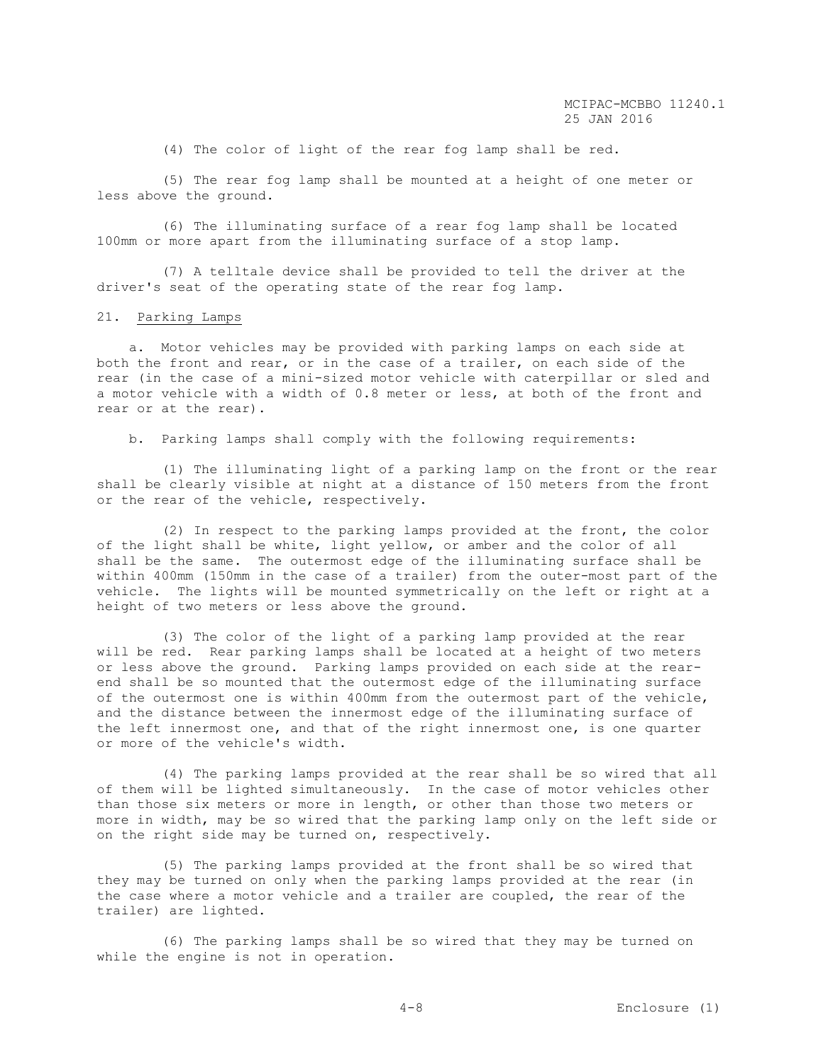(4) The color of light of the rear fog lamp shall be red.

 (5) The rear fog lamp shall be mounted at a height of one meter or less above the ground.

 (6) The illuminating surface of a rear fog lamp shall be located 100mm or more apart from the illuminating surface of a stop lamp.

 (7) A telltale device shall be provided to tell the driver at the driver's seat of the operating state of the rear fog lamp.

#### 21. Parking Lamps

 a. Motor vehicles may be provided with parking lamps on each side at both the front and rear, or in the case of a trailer, on each side of the rear (in the case of a mini-sized motor vehicle with caterpillar or sled and a motor vehicle with a width of 0.8 meter or less, at both of the front and rear or at the rear).

b. Parking lamps shall comply with the following requirements:

 (1) The illuminating light of a parking lamp on the front or the rear shall be clearly visible at night at a distance of 150 meters from the front or the rear of the vehicle, respectively.

 (2) In respect to the parking lamps provided at the front, the color of the light shall be white, light yellow, or amber and the color of all shall be the same. The outermost edge of the illuminating surface shall be within 400mm (150mm in the case of a trailer) from the outer-most part of the vehicle. The lights will be mounted symmetrically on the left or right at a height of two meters or less above the ground.

 (3) The color of the light of a parking lamp provided at the rear will be red. Rear parking lamps shall be located at a height of two meters or less above the ground. Parking lamps provided on each side at the rearend shall be so mounted that the outermost edge of the illuminating surface of the outermost one is within 400mm from the outermost part of the vehicle, and the distance between the innermost edge of the illuminating surface of the left innermost one, and that of the right innermost one, is one quarter or more of the vehicle's width.

 (4) The parking lamps provided at the rear shall be so wired that all of them will be lighted simultaneously. In the case of motor vehicles other than those six meters or more in length, or other than those two meters or more in width, may be so wired that the parking lamp only on the left side or on the right side may be turned on, respectively.

 (5) The parking lamps provided at the front shall be so wired that they may be turned on only when the parking lamps provided at the rear (in the case where a motor vehicle and a trailer are coupled, the rear of the trailer) are lighted.

 (6) The parking lamps shall be so wired that they may be turned on while the engine is not in operation.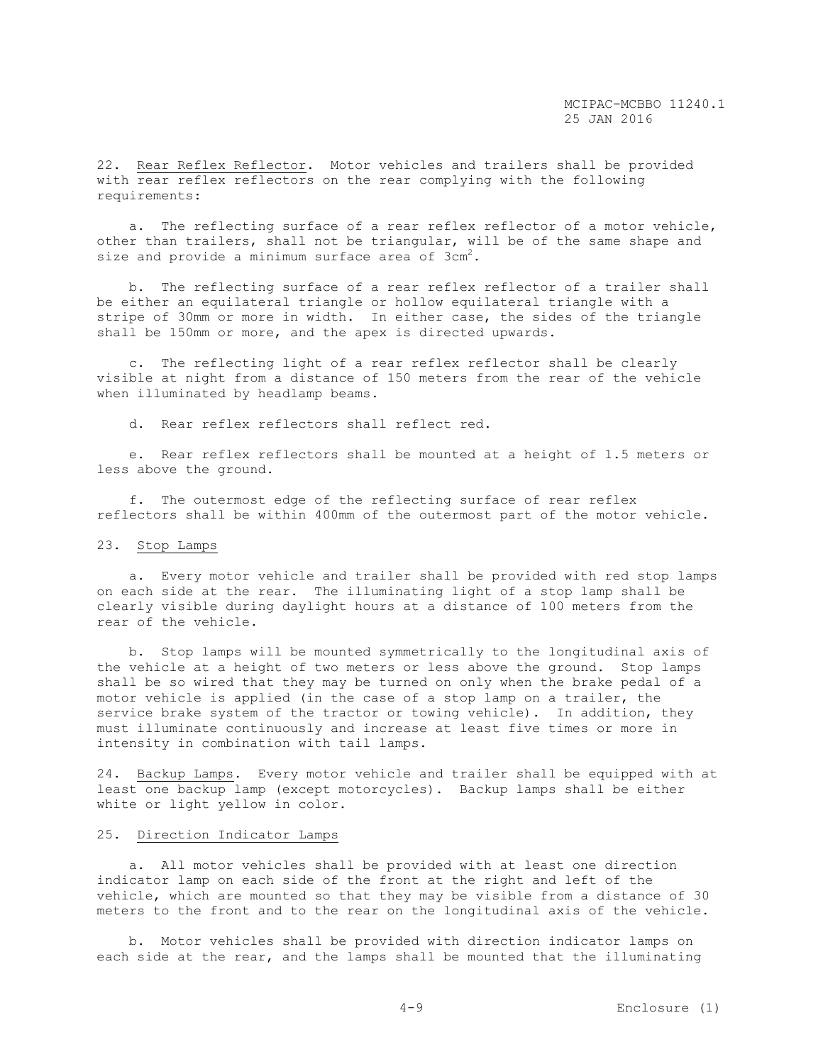22. Rear Reflex Reflector. Motor vehicles and trailers shall be provided with rear reflex reflectors on the rear complying with the following requirements:

 a. The reflecting surface of a rear reflex reflector of a motor vehicle, other than trailers, shall not be triangular, will be of the same shape and size and provide a minimum surface area of  $3 \text{cm}^2$ .

 b. The reflecting surface of a rear reflex reflector of a trailer shall be either an equilateral triangle or hollow equilateral triangle with a stripe of 30mm or more in width. In either case, the sides of the triangle shall be 150mm or more, and the apex is directed upwards.

 c. The reflecting light of a rear reflex reflector shall be clearly visible at night from a distance of 150 meters from the rear of the vehicle when illuminated by headlamp beams.

d. Rear reflex reflectors shall reflect red.

 e. Rear reflex reflectors shall be mounted at a height of 1.5 meters or less above the ground.

 f. The outermost edge of the reflecting surface of rear reflex reflectors shall be within 400mm of the outermost part of the motor vehicle.

## 23. Stop Lamps

 a. Every motor vehicle and trailer shall be provided with red stop lamps on each side at the rear. The illuminating light of a stop lamp shall be clearly visible during daylight hours at a distance of 100 meters from the rear of the vehicle.

 b. Stop lamps will be mounted symmetrically to the longitudinal axis of the vehicle at a height of two meters or less above the ground. Stop lamps shall be so wired that they may be turned on only when the brake pedal of a motor vehicle is applied (in the case of a stop lamp on a trailer, the service brake system of the tractor or towing vehicle). In addition, they must illuminate continuously and increase at least five times or more in intensity in combination with tail lamps.

24. Backup Lamps. Every motor vehicle and trailer shall be equipped with at least one backup lamp (except motorcycles). Backup lamps shall be either white or light yellow in color.

# 25. Direction Indicator Lamps

 a. All motor vehicles shall be provided with at least one direction indicator lamp on each side of the front at the right and left of the vehicle, which are mounted so that they may be visible from a distance of 30 meters to the front and to the rear on the longitudinal axis of the vehicle.

 b. Motor vehicles shall be provided with direction indicator lamps on each side at the rear, and the lamps shall be mounted that the illuminating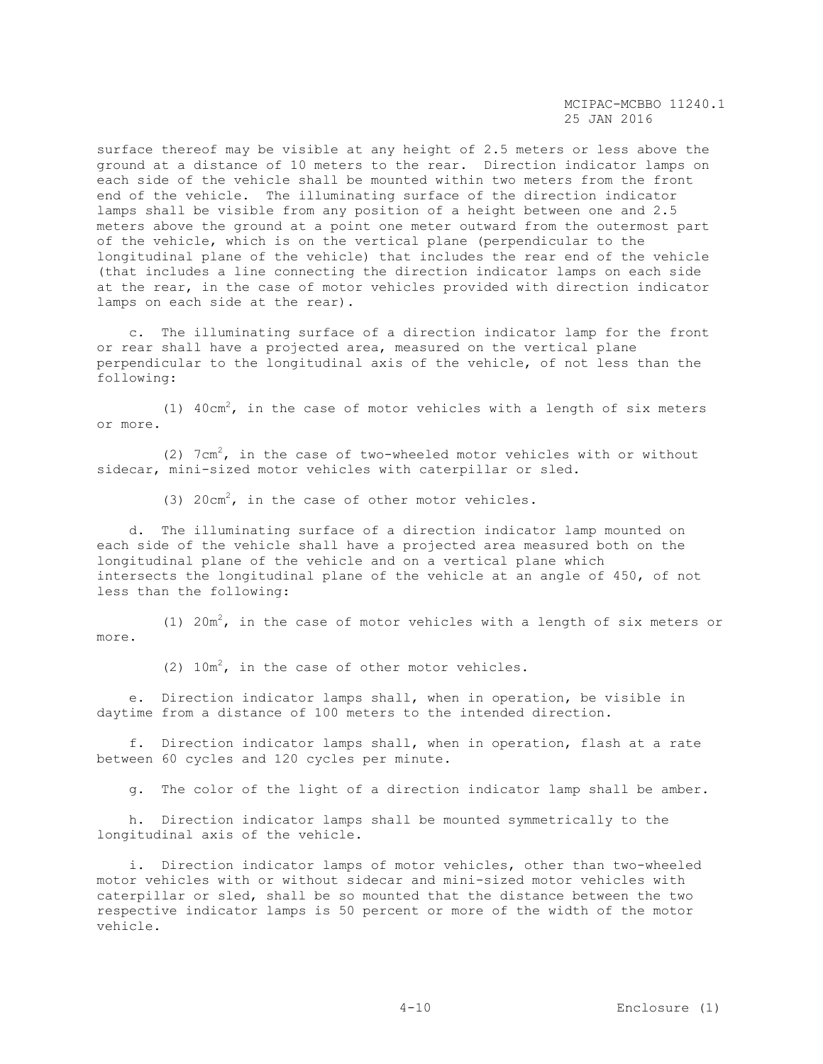surface thereof may be visible at any height of 2.5 meters or less above the ground at a distance of 10 meters to the rear. Direction indicator lamps on each side of the vehicle shall be mounted within two meters from the front end of the vehicle. The illuminating surface of the direction indicator lamps shall be visible from any position of a height between one and 2.5 meters above the ground at a point one meter outward from the outermost part of the vehicle, which is on the vertical plane (perpendicular to the longitudinal plane of the vehicle) that includes the rear end of the vehicle (that includes a line connecting the direction indicator lamps on each side at the rear, in the case of motor vehicles provided with direction indicator lamps on each side at the rear).

 c. The illuminating surface of a direction indicator lamp for the front or rear shall have a projected area, measured on the vertical plane perpendicular to the longitudinal axis of the vehicle, of not less than the following:

(1)  $40 \text{cm}^2$ , in the case of motor vehicles with a length of six meters or more.

(2)  $7 \text{cm}^2$ , in the case of two-wheeled motor vehicles with or without sidecar, mini-sized motor vehicles with caterpillar or sled.

(3) 20cm<sup>2</sup>, in the case of other motor vehicles.

 d. The illuminating surface of a direction indicator lamp mounted on each side of the vehicle shall have a projected area measured both on the longitudinal plane of the vehicle and on a vertical plane which intersects the longitudinal plane of the vehicle at an angle of 450, of not less than the following:

(1)  $20m^2$ , in the case of motor vehicles with a length of six meters or more.

(2)  $10m^2$ , in the case of other motor vehicles.

 e. Direction indicator lamps shall, when in operation, be visible in daytime from a distance of 100 meters to the intended direction.

 f. Direction indicator lamps shall, when in operation, flash at a rate between 60 cycles and 120 cycles per minute.

g. The color of the light of a direction indicator lamp shall be amber.

 h. Direction indicator lamps shall be mounted symmetrically to the longitudinal axis of the vehicle.

 i. Direction indicator lamps of motor vehicles, other than two-wheeled motor vehicles with or without sidecar and mini-sized motor vehicles with caterpillar or sled, shall be so mounted that the distance between the two respective indicator lamps is 50 percent or more of the width of the motor vehicle.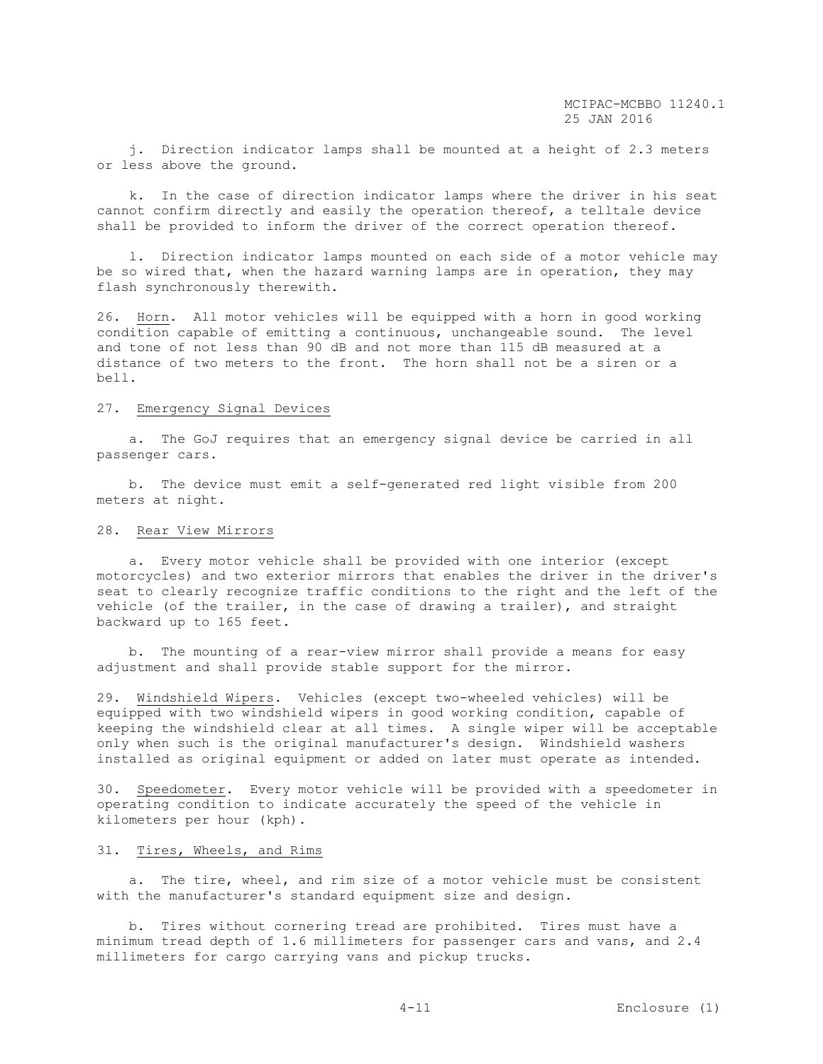j. Direction indicator lamps shall be mounted at a height of 2.3 meters or less above the ground.

 k. In the case of direction indicator lamps where the driver in his seat cannot confirm directly and easily the operation thereof, a telltale device shall be provided to inform the driver of the correct operation thereof.

 l. Direction indicator lamps mounted on each side of a motor vehicle may be so wired that, when the hazard warning lamps are in operation, they may flash synchronously therewith.

26. Horn. All motor vehicles will be equipped with a horn in good working condition capable of emitting a continuous, unchangeable sound. The level and tone of not less than 90 dB and not more than 115 dB measured at a distance of two meters to the front. The horn shall not be a siren or a bell.

# 27. Emergency Signal Devices

 a. The GoJ requires that an emergency signal device be carried in all passenger cars.

 b. The device must emit a self-generated red light visible from 200 meters at night.

## 28. Rear View Mirrors

 a. Every motor vehicle shall be provided with one interior (except motorcycles) and two exterior mirrors that enables the driver in the driver's seat to clearly recognize traffic conditions to the right and the left of the vehicle (of the trailer, in the case of drawing a trailer), and straight backward up to 165 feet.

 b. The mounting of a rear-view mirror shall provide a means for easy adjustment and shall provide stable support for the mirror.

29. Windshield Wipers. Vehicles (except two-wheeled vehicles) will be equipped with two windshield wipers in good working condition, capable of keeping the windshield clear at all times. A single wiper will be acceptable only when such is the original manufacturer's design. Windshield washers installed as original equipment or added on later must operate as intended.

30. Speedometer. Every motor vehicle will be provided with a speedometer in operating condition to indicate accurately the speed of the vehicle in kilometers per hour (kph).

# 31. Tires, Wheels, and Rims

 a. The tire, wheel, and rim size of a motor vehicle must be consistent with the manufacturer's standard equipment size and design.

 b. Tires without cornering tread are prohibited. Tires must have a minimum tread depth of 1.6 millimeters for passenger cars and vans, and 2.4 millimeters for cargo carrying vans and pickup trucks.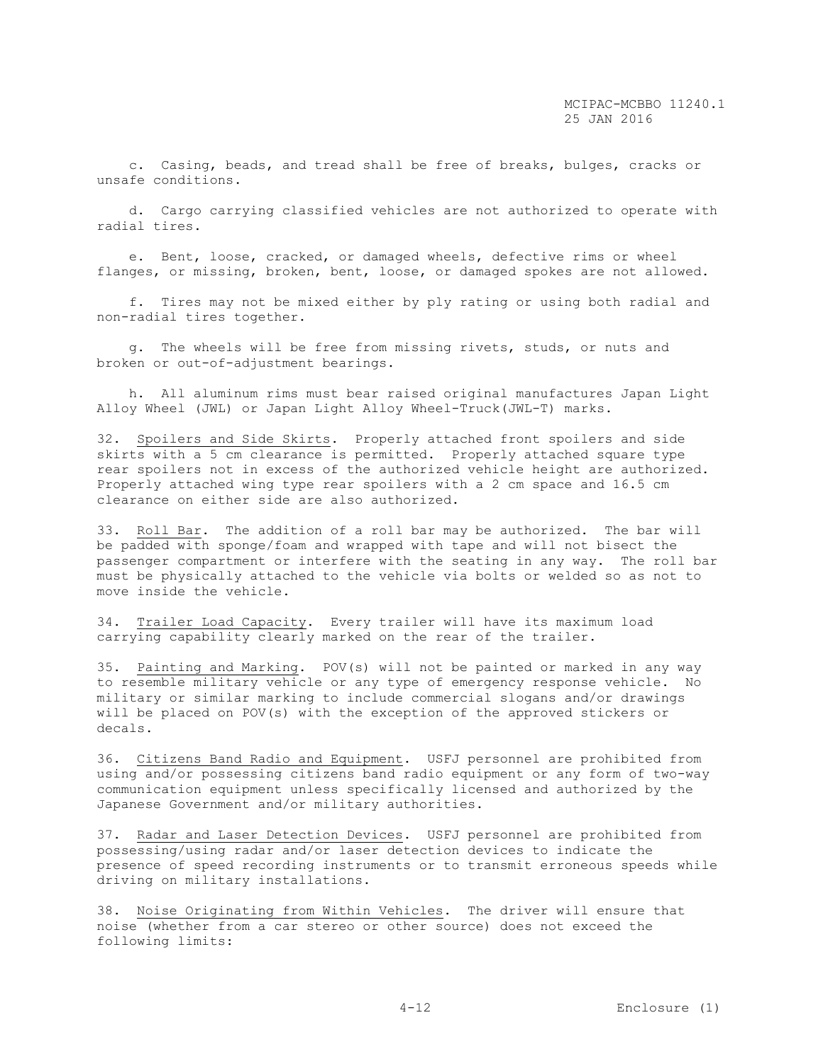c. Casing, beads, and tread shall be free of breaks, bulges, cracks or unsafe conditions.

 d. Cargo carrying classified vehicles are not authorized to operate with radial tires.

 e. Bent, loose, cracked, or damaged wheels, defective rims or wheel flanges, or missing, broken, bent, loose, or damaged spokes are not allowed.

 f. Tires may not be mixed either by ply rating or using both radial and non-radial tires together.

 g. The wheels will be free from missing rivets, studs, or nuts and broken or out-of-adjustment bearings.

 h. All aluminum rims must bear raised original manufactures Japan Light Alloy Wheel (JWL) or Japan Light Alloy Wheel-Truck(JWL-T) marks.

32. Spoilers and Side Skirts. Properly attached front spoilers and side skirts with a 5 cm clearance is permitted. Properly attached square type rear spoilers not in excess of the authorized vehicle height are authorized. Properly attached wing type rear spoilers with a 2 cm space and 16.5 cm clearance on either side are also authorized.

33. Roll Bar. The addition of a roll bar may be authorized. The bar will be padded with sponge/foam and wrapped with tape and will not bisect the passenger compartment or interfere with the seating in any way. The roll bar must be physically attached to the vehicle via bolts or welded so as not to move inside the vehicle.

34. Trailer Load Capacity. Every trailer will have its maximum load carrying capability clearly marked on the rear of the trailer.

35. Painting and Marking. POV(s) will not be painted or marked in any way to resemble military vehicle or any type of emergency response vehicle. No military or similar marking to include commercial slogans and/or drawings will be placed on POV(s) with the exception of the approved stickers or decals.

36. Citizens Band Radio and Equipment. USFJ personnel are prohibited from using and/or possessing citizens band radio equipment or any form of two-way communication equipment unless specifically licensed and authorized by the Japanese Government and/or military authorities.

37. Radar and Laser Detection Devices. USFJ personnel are prohibited from possessing/using radar and/or laser detection devices to indicate the presence of speed recording instruments or to transmit erroneous speeds while driving on military installations.

38. Noise Originating from Within Vehicles. The driver will ensure that noise (whether from a car stereo or other source) does not exceed the following limits: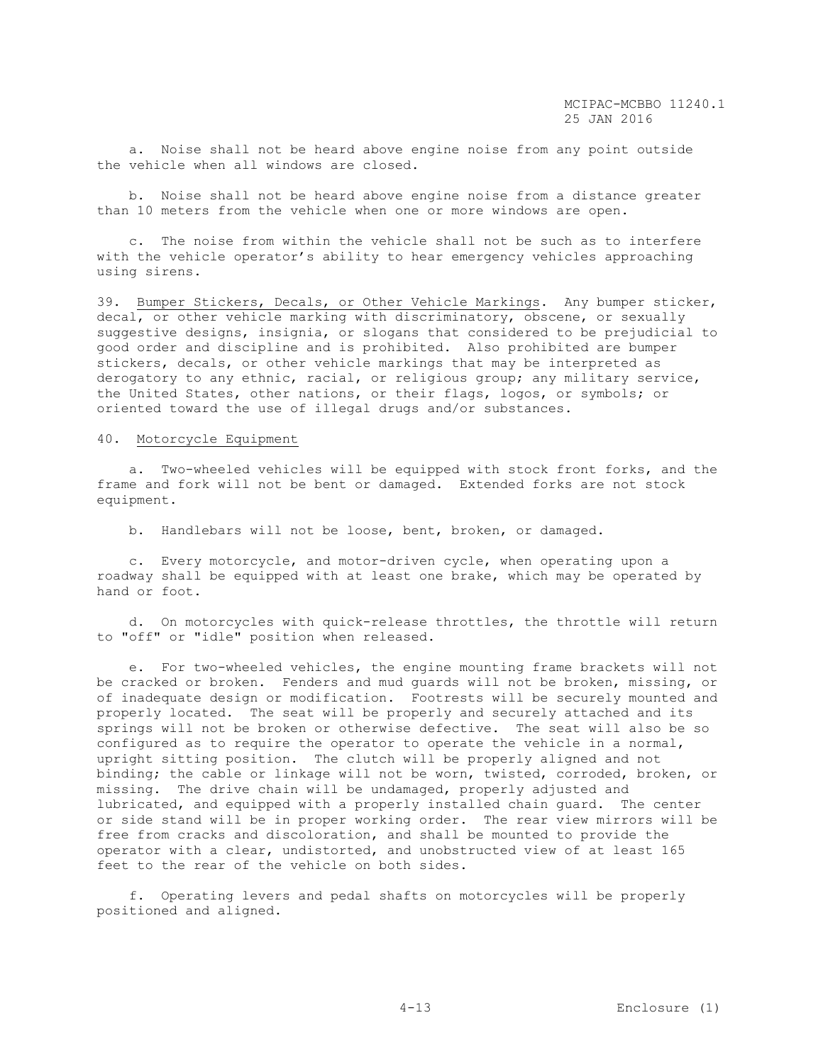a. Noise shall not be heard above engine noise from any point outside the vehicle when all windows are closed.

 b. Noise shall not be heard above engine noise from a distance greater than 10 meters from the vehicle when one or more windows are open.

 c. The noise from within the vehicle shall not be such as to interfere with the vehicle operator's ability to hear emergency vehicles approaching using sirens.

39. Bumper Stickers, Decals, or Other Vehicle Markings. Any bumper sticker, decal, or other vehicle marking with discriminatory, obscene, or sexually suggestive designs, insignia, or slogans that considered to be prejudicial to good order and discipline and is prohibited. Also prohibited are bumper stickers, decals, or other vehicle markings that may be interpreted as derogatory to any ethnic, racial, or religious group; any military service, the United States, other nations, or their flags, logos, or symbols; or oriented toward the use of illegal drugs and/or substances.

## 40. Motorcycle Equipment

 a. Two-wheeled vehicles will be equipped with stock front forks, and the frame and fork will not be bent or damaged. Extended forks are not stock equipment.

b. Handlebars will not be loose, bent, broken, or damaged.

 c. Every motorcycle, and motor-driven cycle, when operating upon a roadway shall be equipped with at least one brake, which may be operated by hand or foot.

 d. On motorcycles with quick-release throttles, the throttle will return to "off" or "idle" position when released.

 e. For two-wheeled vehicles, the engine mounting frame brackets will not be cracked or broken. Fenders and mud guards will not be broken, missing, or of inadequate design or modification. Footrests will be securely mounted and properly located. The seat will be properly and securely attached and its springs will not be broken or otherwise defective. The seat will also be so configured as to require the operator to operate the vehicle in a normal, upright sitting position. The clutch will be properly aligned and not binding; the cable or linkage will not be worn, twisted, corroded, broken, or missing. The drive chain will be undamaged, properly adjusted and lubricated, and equipped with a properly installed chain guard. The center or side stand will be in proper working order. The rear view mirrors will be free from cracks and discoloration, and shall be mounted to provide the operator with a clear, undistorted, and unobstructed view of at least 165 feet to the rear of the vehicle on both sides.

 f. Operating levers and pedal shafts on motorcycles will be properly positioned and aligned.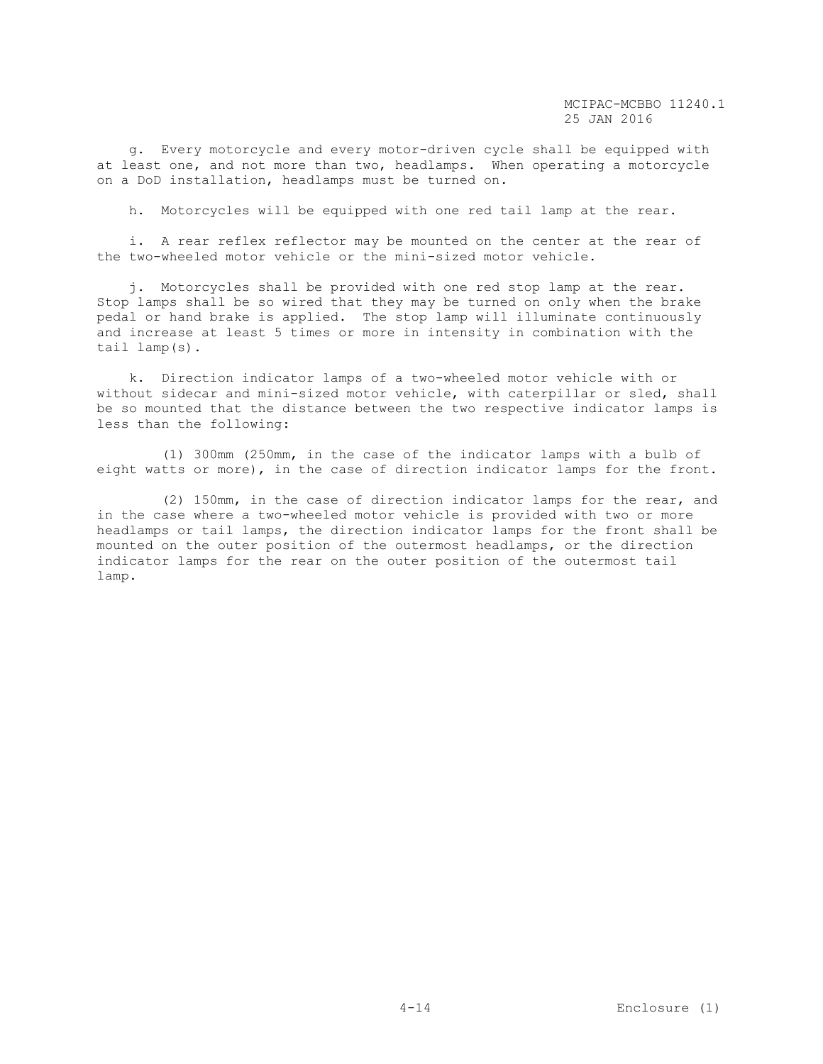g. Every motorcycle and every motor-driven cycle shall be equipped with at least one, and not more than two, headlamps. When operating a motorcycle on a DoD installation, headlamps must be turned on.

h. Motorcycles will be equipped with one red tail lamp at the rear.

 i. A rear reflex reflector may be mounted on the center at the rear of the two-wheeled motor vehicle or the mini-sized motor vehicle.

 j. Motorcycles shall be provided with one red stop lamp at the rear. Stop lamps shall be so wired that they may be turned on only when the brake pedal or hand brake is applied. The stop lamp will illuminate continuously and increase at least 5 times or more in intensity in combination with the tail lamp(s).

 k. Direction indicator lamps of a two-wheeled motor vehicle with or without sidecar and mini-sized motor vehicle, with caterpillar or sled, shall be so mounted that the distance between the two respective indicator lamps is less than the following:

 (1) 300mm (250mm, in the case of the indicator lamps with a bulb of eight watts or more), in the case of direction indicator lamps for the front.

 (2) 150mm, in the case of direction indicator lamps for the rear, and in the case where a two-wheeled motor vehicle is provided with two or more headlamps or tail lamps, the direction indicator lamps for the front shall be mounted on the outer position of the outermost headlamps, or the direction indicator lamps for the rear on the outer position of the outermost tail lamp.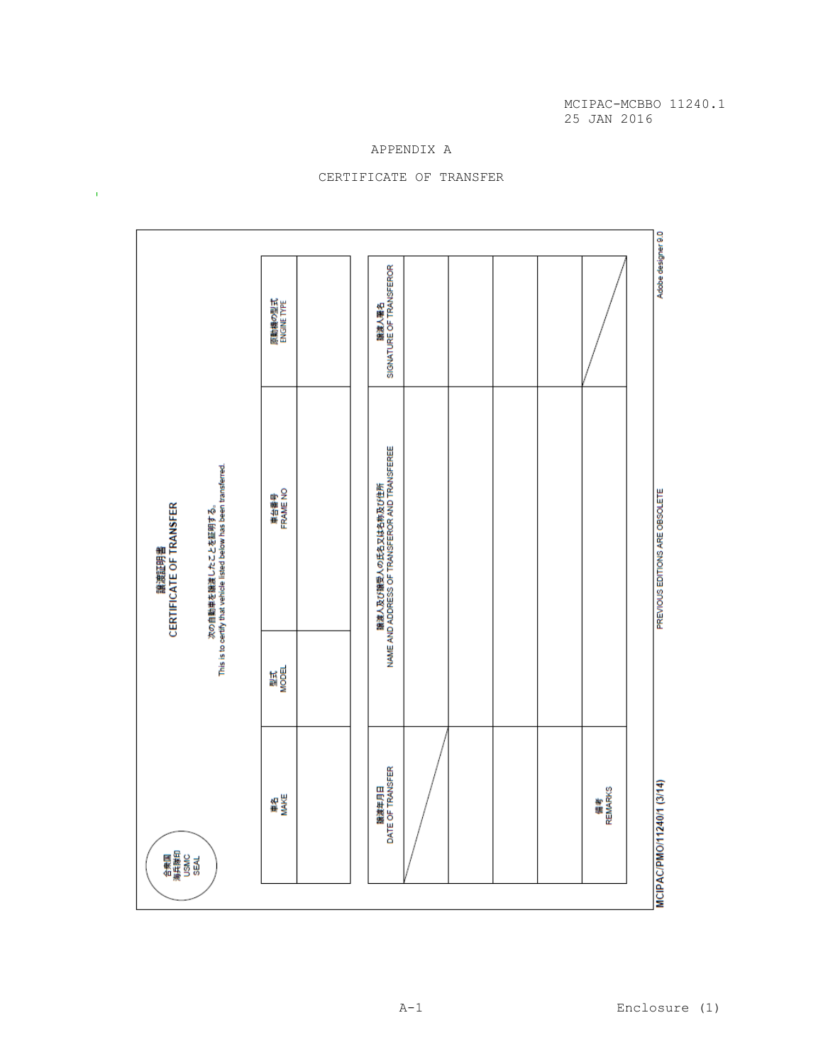# APPENDIX A



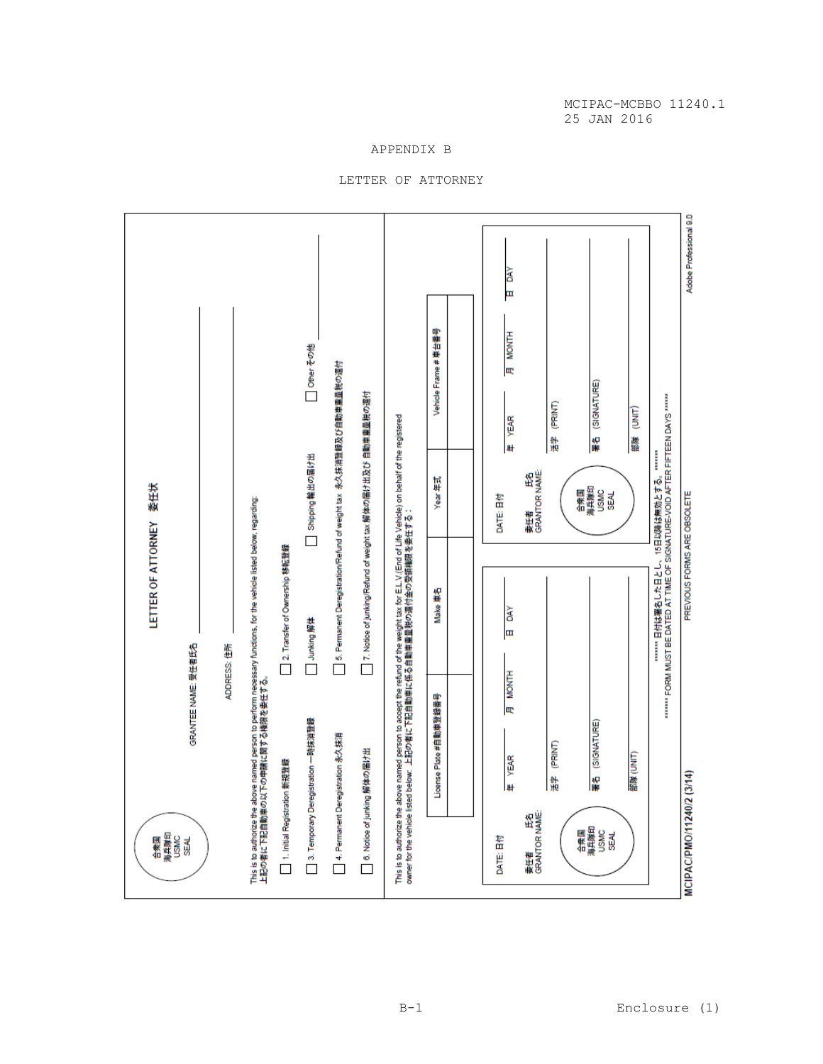Adobe Professional 9.0 **RKO** 匣 Vehicle Frame # 車台番号 **MONTH** Other その他 □ 5. Permanent DeregistrationRefund of weight tax 永久抹消登録及び自動車重量税の週付 Iœ 署名 (SIGNATURE) ◯ 7. Notice of junking/Refund of weight tax 解体の届け出及び 自動車重量税の週付 ……… FORM WIRE BE DYLED YI\_IME OF SIGMYLIAE=20 DYLEEH LEHEN DYX2 ………<br>……… FORM WIRE BE DYLED YI\_IME OF SIGMYLIAE=AOID YELEH LIEHEN DYX2 …… 活字 (PRINT) 部隊 (UNIT) 年 YEAR This is to authorize the above named person to accept the refund of the weight tax for E.L.V.(End of Life Vehicle) on behalf of the registered<br>owner for the vehicle listed below. 上記の者に下記自動車に係る自動車重量税の運付金の受領機限を委任する: Shipping 輸出の届け出 **委任者 氏名**<br>GRANTOR NAME: Year 年式 LETTER OF ATTORNEY 委任状 合衆国<br>海兵隊印<br>USMC<br>SEAL PREVIOUS FORMS ARE OBSOLETE DATE: EM This is to authorize the above named person to perform necessary functions, for the vehicle listed below, regarding:<br>上記の者に下記自動車の以下の申請に関する機関を委任する。 □ 2. Transfer of Ownership 移転登録 Make #2 **BAY** Junking 解体 ᇤ GRANTEE NAME: 受任者氏名 ADDRESS: 住所 Н МОМТН License Plate #自動車登録番号 3. Temporary Deregistration 一時抹消登録 署名 (SIGNATURE) □ 4. Permanent Deregistration 永久抹消 活字 (PRINT) □ 6. Notice of junking 解体の届け出 部隊 (UNIT) 年 YEAR □ 1. Initial Registration 新規登録 MCIPAC/PMO/11240/2 (3/14) 豪田神 氏名<br>GRANTOR NAME: 合衆国<br>海兵隊印<br>USMC<br>SEAL 合衆国<br>海兵隊印<br>USMC<br>SEAL DATE: EM

APPENDIX B LETTER OF ATTORNEY MCIPAC-MCBBO 11240.1 25 JAN 2016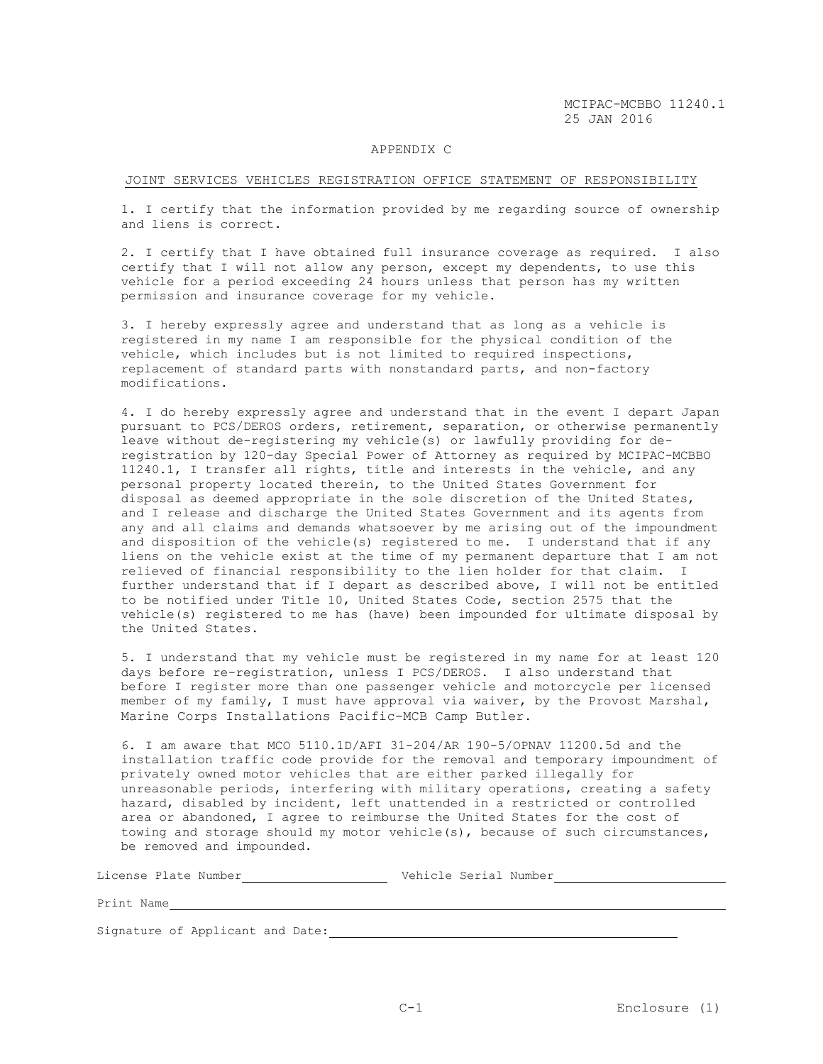#### APPENDIX C

#### JOINT SERVICES VEHICLES REGISTRATION OFFICE STATEMENT OF RESPONSIBILITY

1. I certify that the information provided by me regarding source of ownership and liens is correct.

2. I certify that I have obtained full insurance coverage as required. I also certify that I will not allow any person, except my dependents, to use this vehicle for a period exceeding 24 hours unless that person has my written permission and insurance coverage for my vehicle.

3. I hereby expressly agree and understand that as long as a vehicle is registered in my name I am responsible for the physical condition of the vehicle, which includes but is not limited to required inspections, replacement of standard parts with nonstandard parts, and non-factory modifications.

4. I do hereby expressly agree and understand that in the event I depart Japan pursuant to PCS/DEROS orders, retirement, separation, or otherwise permanently leave without de-registering my vehicle(s) or lawfully providing for deregistration by 120-day Special Power of Attorney as required by MCIPAC-MCBBO 11240.1, I transfer all rights, title and interests in the vehicle, and any personal property located therein, to the United States Government for disposal as deemed appropriate in the sole discretion of the United States, and I release and discharge the United States Government and its agents from any and all claims and demands whatsoever by me arising out of the impoundment and disposition of the vehicle(s) registered to me. I understand that if any liens on the vehicle exist at the time of my permanent departure that I am not relieved of financial responsibility to the lien holder for that claim. I further understand that if I depart as described above, I will not be entitled to be notified under Title 10, United States Code, section 2575 that the vehicle(s) registered to me has (have) been impounded for ultimate disposal by the United States.

5. I understand that my vehicle must be registered in my name for at least 120 days before re-registration, unless I PCS/DEROS. I also understand that before I register more than one passenger vehicle and motorcycle per licensed member of my family, I must have approval via waiver, by the Provost Marshal, Marine Corps Installations Pacific-MCB Camp Butler.

6. I am aware that MCO 5110.1D/AFI 31-204/AR 190-5/OPNAV 11200.5d and the installation traffic code provide for the removal and temporary impoundment of privately owned motor vehicles that are either parked illegally for unreasonable periods, interfering with military operations, creating a safety hazard, disabled by incident, left unattended in a restricted or controlled area or abandoned, I agree to reimburse the United States for the cost of towing and storage should my motor vehicle(s), because of such circumstances, be removed and impounded.

License Plate Number Vehicle Serial Number

Print Name

Signature of Applicant and Date: [19] The Masseum and Date: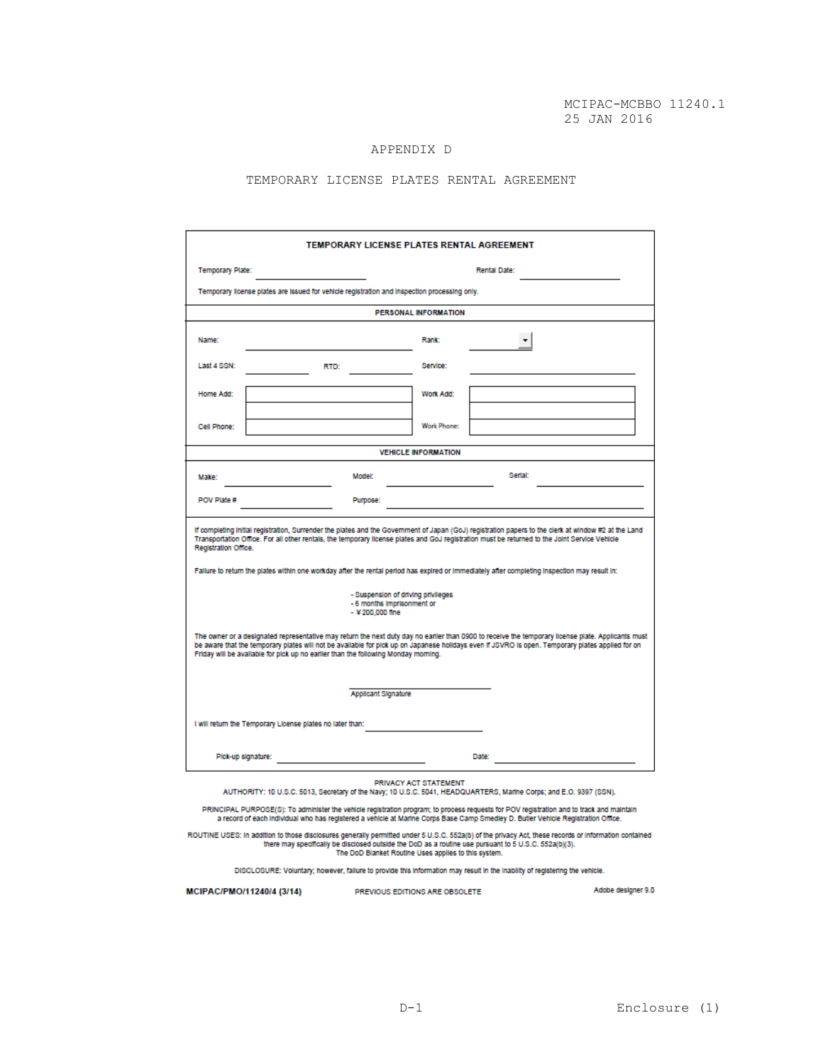# APPENDIX D

# TEMPORARY LICENSE PLATES RENTAL AGREEMENT

| TEMPORARY LICENSE PLATES RENTAL AGREEMENT                                                                                                                                                                                                                                                                                                                                                                                                                                      |                     |                    |         |  |  |  |  |
|--------------------------------------------------------------------------------------------------------------------------------------------------------------------------------------------------------------------------------------------------------------------------------------------------------------------------------------------------------------------------------------------------------------------------------------------------------------------------------|---------------------|--------------------|---------|--|--|--|--|
| <b>Temporary Plate:</b><br>Rental Date:                                                                                                                                                                                                                                                                                                                                                                                                                                        |                     |                    |         |  |  |  |  |
| Temporary license plates are issued for vehicle registration and inspection processing only.                                                                                                                                                                                                                                                                                                                                                                                   |                     |                    |         |  |  |  |  |
| <b>PERSONAL INFORMATION</b>                                                                                                                                                                                                                                                                                                                                                                                                                                                    |                     |                    |         |  |  |  |  |
| Name:                                                                                                                                                                                                                                                                                                                                                                                                                                                                          |                     | Rank:              |         |  |  |  |  |
| Last 4 SSN:                                                                                                                                                                                                                                                                                                                                                                                                                                                                    | RTD:                | Service:           |         |  |  |  |  |
| Home Add:                                                                                                                                                                                                                                                                                                                                                                                                                                                                      |                     | Work Add:          |         |  |  |  |  |
| Cell Phone:                                                                                                                                                                                                                                                                                                                                                                                                                                                                    |                     | <b>Work Phone:</b> |         |  |  |  |  |
| <b>VEHICLE INFORMATION</b>                                                                                                                                                                                                                                                                                                                                                                                                                                                     |                     |                    |         |  |  |  |  |
| Make:                                                                                                                                                                                                                                                                                                                                                                                                                                                                          | Model:              |                    | Serial: |  |  |  |  |
| POV Plate #                                                                                                                                                                                                                                                                                                                                                                                                                                                                    | Purpose:            |                    |         |  |  |  |  |
| If completing initial registration, Surrender the plates and the Government of Japan (GoJ) registration papers to the clerk at window #2 at the Land<br>Transportation Office. For all other rentals, the temporary license plates and GoJ registration must be returned to the Joint Service Vehicle<br>Registration Office.<br>Fallure to return the plates within one workday after the rental period has expired or immediately after completing inspection may result in: |                     |                    |         |  |  |  |  |
| - Suspension of driving privileges<br>- 6 months imprisonment or<br>$-$ ¥ 200,000 fine                                                                                                                                                                                                                                                                                                                                                                                         |                     |                    |         |  |  |  |  |
| The owner or a designated representative may return the next duty day no earlier than 0900 to receive the temporary license plate. Applicants must<br>be aware that the temporary plates will not be available for pick up on Japanese holidays even if JSVRO is open. Temporary plates applied for on<br>Friday will be available for pick up no earlier than the following Monday morning.                                                                                   |                     |                    |         |  |  |  |  |
|                                                                                                                                                                                                                                                                                                                                                                                                                                                                                | Applicant Signature |                    |         |  |  |  |  |
| I will return the Temporary License plates no later than:                                                                                                                                                                                                                                                                                                                                                                                                                      |                     |                    |         |  |  |  |  |
| Pick-up signature:                                                                                                                                                                                                                                                                                                                                                                                                                                                             |                     |                    | Date:   |  |  |  |  |
| PRIVACY ACT STATEMENT<br>AUTHORITY: 10 U.S.C. 5013, Secretary of the Navy; 10 U.S.C. 5041, HEADQUARTERS, Marine Corps; and E.O. 9397 (SSN).                                                                                                                                                                                                                                                                                                                                    |                     |                    |         |  |  |  |  |
| PRINCIPAL PURPOSE(S): To administer the vehicle registration program; to process requests for POV registration and to track and maintain<br>a record of each individual who has registered a vehicle at Marine Corps Base Camp Smedley D. Butler Vehicle Registration Office.                                                                                                                                                                                                  |                     |                    |         |  |  |  |  |

ROUTINE USES: In addition to those disclosures generally permitted under 5 U.S.C. 552a(b) of the privacy Act, these records or information contained<br>there may specifically be disclosed outside the DoD as a routine use purs

DISCLOSURE: Voluntary; however, failure to provide this information may result in the inability of registering the vehicle.

MCIPAC/PMO/11240/4 (3/14)

PREVIOUS EDITIONS ARE OBSOLETE

Adobe designer 9.0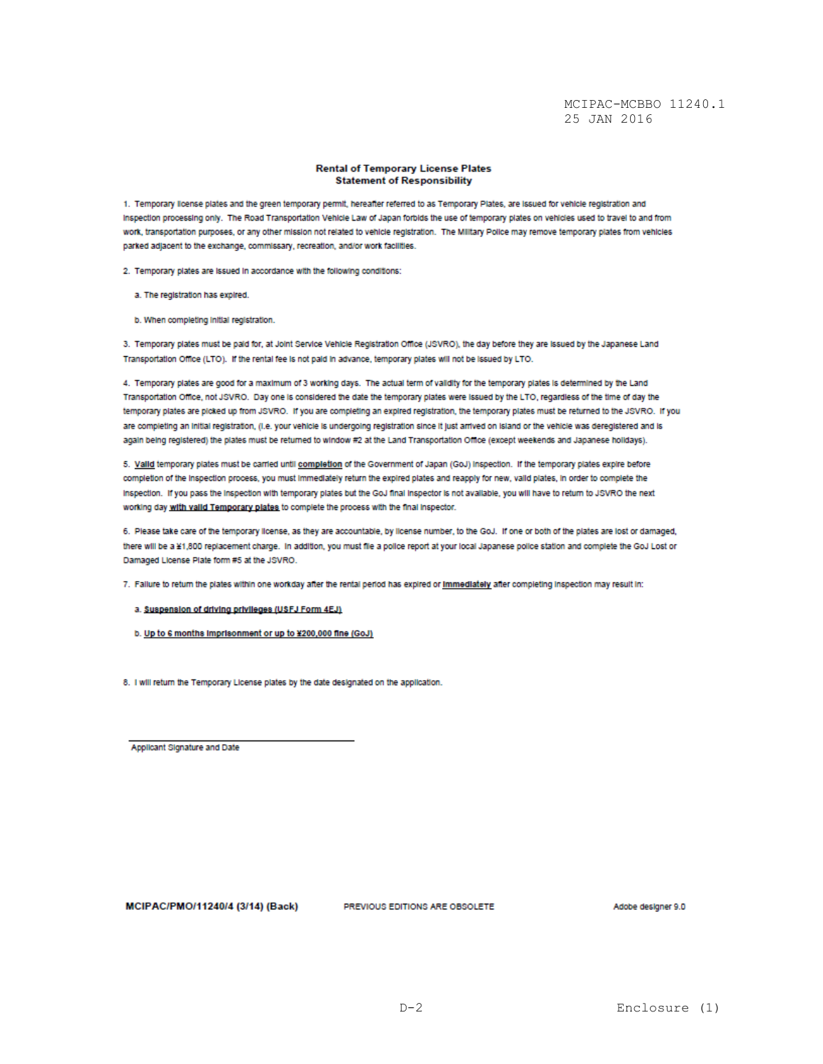#### **Rental of Temporary License Plates Statement of Responsibility**

1. Temporary license plates and the green temporary permit, hereafter referred to as Temporary Plates, are issued for vehicle registration and Inspection processing only. The Road Transportation Vehicle Law of Japan forbids the use of temporary plates on vehicles used to travel to and from work, transportation purposes, or any other mission not related to vehicle registration. The Military Police may remove temporary plates from vehicles parked adjacent to the exchange, commissary, recreation, and/or work facilities.

2. Temporary plates are issued in accordance with the following conditions:

a. The registration has expired.

b. When completing initial registration.

3. Temporary plates must be paid for, at Joint Service Vehicle Registration Office (JSVRO), the day before they are issued by the Japanese Land Transportation Office (LTO). If the rental fee is not paid in advance, temporary plates will not be issued by LTO.

4. Temporary plates are good for a maximum of 3 working days. The actual term of validity for the temporary plates is determined by the Land Transportation Office, not JSVRO. Day one is considered the date the temporary plates were issued by the LTO, regardless of the time of day the temporary plates are picked up from JSVRO. If you are completing an expired registration, the temporary plates must be returned to the JSVRO. If you are completing an initial registration, (i.e. your vehicle is undergoing registration since it just arrived on island or the vehicle was deregistered and is again being registered) the plates must be returned to window #2 at the Land Transportation Office (except weekends and Japanese holidays).

5. Valid temporary plates must be carried until completion of the Government of Japan (GoJ) inspection. If the temporary plates expire before completion of the inspection process, you must immediately return the expired plates and reapply for new, valid plates, in order to complete the Inspection. If you pass the inspection with temporary plates but the GoJ final inspector is not available, you will have to return to JSVRO the next working day with valid Temporary plates to complete the process with the final inspector.

6. Please take care of the temporary license, as they are accountable, by license number, to the GoJ. If one or both of the plates are lost or damaged, there will be a ¥1,800 replacement charge. In addition, you must file a police report at your local Japanese police station and complete the GoJ Lost or Damaged License Plate form #5 at the JSVRO.

7. Failure to return the plates within one workday after the rental period has expired or immediately after completing inspection may result in:

a. Suspension of driving privileges (USFJ Form 4EJ)

b. Up to 6 months imprisonment or up to ¥200,000 fine (GoJ)

8. I will return the Temporary License plates by the date designated on the application.

Applicant Signature and Date

MCIPAC/PMO/11240/4 (3/14) (Back)

PREVIOUS EDITIONS ARE OBSOLETE

Adobe designer 9.0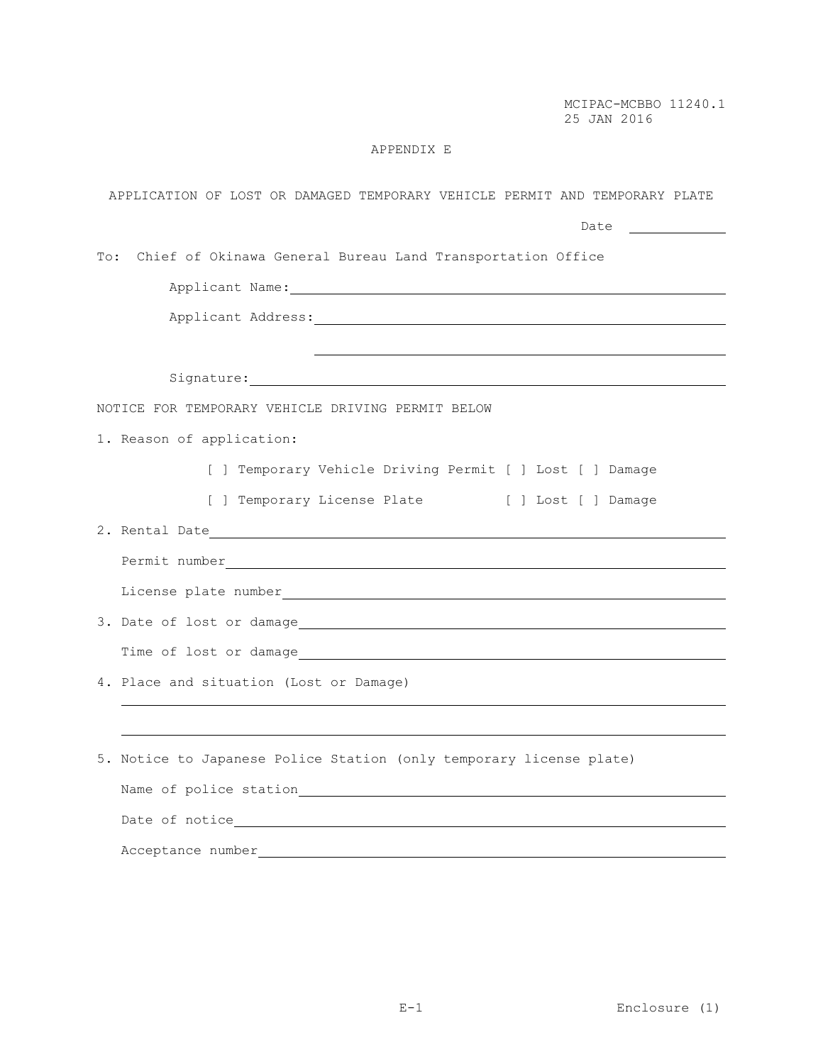# APPENDIX E

| APPLICATION OF LOST OR DAMAGED TEMPORARY VEHICLE PERMIT AND TEMPORARY PLATE                                                                                                                                                    |
|--------------------------------------------------------------------------------------------------------------------------------------------------------------------------------------------------------------------------------|
| Date <u>________</u>                                                                                                                                                                                                           |
| Chief of Okinawa General Bureau Land Transportation Office<br>To:                                                                                                                                                              |
|                                                                                                                                                                                                                                |
|                                                                                                                                                                                                                                |
|                                                                                                                                                                                                                                |
|                                                                                                                                                                                                                                |
| NOTICE FOR TEMPORARY VEHICLE DRIVING PERMIT BELOW                                                                                                                                                                              |
| 1. Reason of application:                                                                                                                                                                                                      |
| [ ] Temporary Vehicle Driving Permit [ ] Lost [ ] Damage                                                                                                                                                                       |
| [ ] Temporary License Plate [ ] Lost [ ] Damage                                                                                                                                                                                |
|                                                                                                                                                                                                                                |
|                                                                                                                                                                                                                                |
| License plate number_ example and the set of the set of the set of the set of the set of the set of the set of the set of the set of the set of the set of the set of the set of the set of the set of the set of the set of t |
|                                                                                                                                                                                                                                |
|                                                                                                                                                                                                                                |
| 4. Place and situation (Lost or Damage)                                                                                                                                                                                        |
|                                                                                                                                                                                                                                |
| 5. Notice to Japanese Police Station (only temporary license plate)                                                                                                                                                            |
|                                                                                                                                                                                                                                |
|                                                                                                                                                                                                                                |
| Acceptance number                                                                                                                                                                                                              |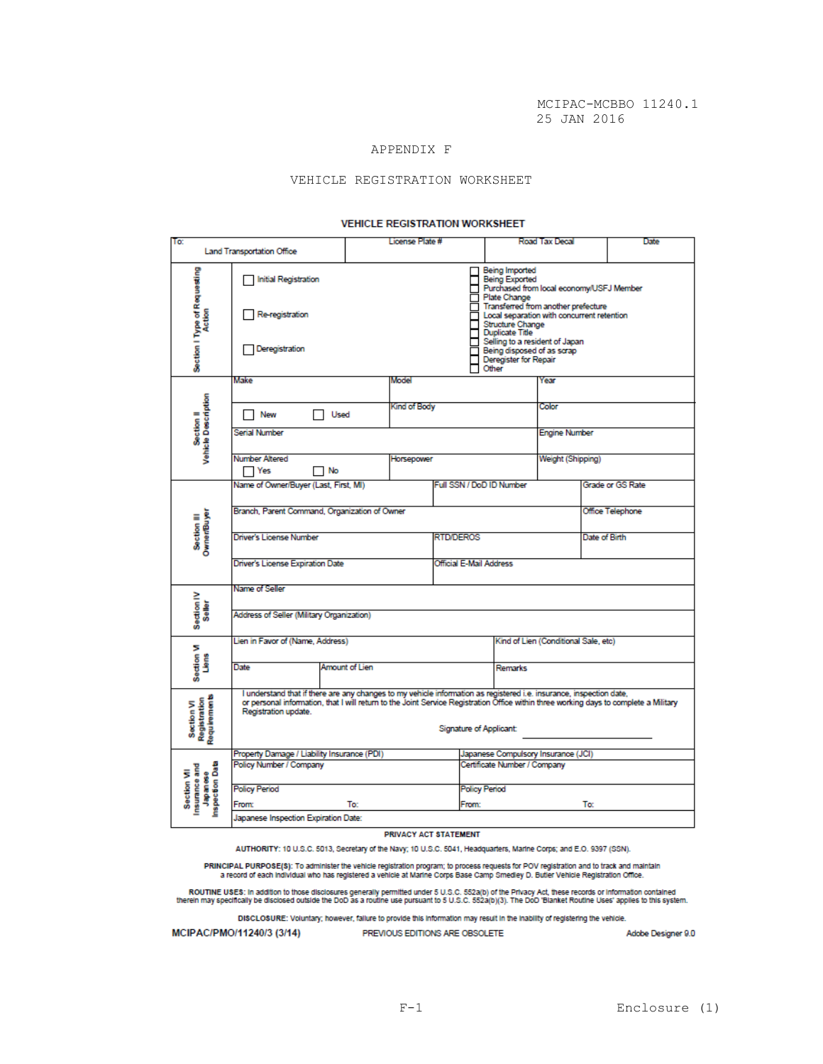# APPENDIX F

## VEHICLE REGISTRATION WORKSHEET

#### **VEHICLE REGISTRATION WORKSHEET**

| To:                                                         |                                                                                                                                                                                                                                                                                                                        |                                                                                                                                                                                                                                                                                                                                   | License Plate # |                          |                                      | Road Tax Decal    |  |               | Date             |
|-------------------------------------------------------------|------------------------------------------------------------------------------------------------------------------------------------------------------------------------------------------------------------------------------------------------------------------------------------------------------------------------|-----------------------------------------------------------------------------------------------------------------------------------------------------------------------------------------------------------------------------------------------------------------------------------------------------------------------------------|-----------------|--------------------------|--------------------------------------|-------------------|--|---------------|------------------|
| <b>Land Transportation Office</b>                           |                                                                                                                                                                                                                                                                                                                        |                                                                                                                                                                                                                                                                                                                                   |                 |                          |                                      |                   |  |               |                  |
| Section I Type of Requesting<br>Action                      | <b>Initial Registration</b><br>Re-registration<br>Deregistration                                                                                                                                                                                                                                                       | Being Imported<br><b>Being Exported</b><br>Purchased from local economy/USFJ Member<br>Plate Change<br>Transferred from another prefecture<br>Local separation with concurrent retention<br>Structure Change<br>Duplicate Title<br>Selling to a resident of Japan<br>Being disposed of as scrap<br>Deregister for Repair<br>Other |                 |                          |                                      |                   |  |               |                  |
|                                                             | Make                                                                                                                                                                                                                                                                                                                   | Model                                                                                                                                                                                                                                                                                                                             | Year            |                          |                                      |                   |  |               |                  |
| Vehicle Description<br>Section II                           |                                                                                                                                                                                                                                                                                                                        |                                                                                                                                                                                                                                                                                                                                   |                 |                          |                                      |                   |  |               |                  |
|                                                             | New<br>Used                                                                                                                                                                                                                                                                                                            | Kind of Body                                                                                                                                                                                                                                                                                                                      |                 |                          |                                      | Color             |  |               |                  |
|                                                             | Serial Number                                                                                                                                                                                                                                                                                                          |                                                                                                                                                                                                                                                                                                                                   |                 |                          | <b>Engine Number</b>                 |                   |  |               |                  |
|                                                             | Number Altered<br>No<br>Yes                                                                                                                                                                                                                                                                                            | Horsepower                                                                                                                                                                                                                                                                                                                        |                 |                          |                                      | Weight (Shipping) |  |               |                  |
|                                                             | Name of Owner/Buyer (Last, First, MI)                                                                                                                                                                                                                                                                                  |                                                                                                                                                                                                                                                                                                                                   |                 | Full SSN / DoD ID Number |                                      |                   |  |               | Grade or GS Rate |
|                                                             |                                                                                                                                                                                                                                                                                                                        |                                                                                                                                                                                                                                                                                                                                   |                 |                          |                                      |                   |  |               |                  |
|                                                             | Branch, Parent Command, Organization of Owner<br>Office Telephone                                                                                                                                                                                                                                                      |                                                                                                                                                                                                                                                                                                                                   |                 |                          |                                      |                   |  |               |                  |
| Section III<br>Owner/Buyer                                  | Driver's License Number                                                                                                                                                                                                                                                                                                |                                                                                                                                                                                                                                                                                                                                   |                 | <b>RTD/DEROS</b>         |                                      |                   |  | Date of Birth |                  |
|                                                             | Driver's License Expiration Date                                                                                                                                                                                                                                                                                       |                                                                                                                                                                                                                                                                                                                                   |                 |                          | Official E-Mail Address              |                   |  |               |                  |
|                                                             | Name of Seller                                                                                                                                                                                                                                                                                                         |                                                                                                                                                                                                                                                                                                                                   |                 |                          |                                      |                   |  |               |                  |
| Section IV<br>Seller                                        | Address of Seller (Military Organization)                                                                                                                                                                                                                                                                              |                                                                                                                                                                                                                                                                                                                                   |                 |                          |                                      |                   |  |               |                  |
| Section VI<br>Liens                                         | Lien in Favor of (Name, Address)                                                                                                                                                                                                                                                                                       |                                                                                                                                                                                                                                                                                                                                   |                 |                          | Kind of Lien (Conditional Sale, etc) |                   |  |               |                  |
|                                                             | Amount of Lien<br>Date                                                                                                                                                                                                                                                                                                 |                                                                                                                                                                                                                                                                                                                                   |                 |                          |                                      | Remarks           |  |               |                  |
| Requirements<br>Section VI<br>Registration                  | I understand that if there are any changes to my vehicle information as registered i.e. insurance, inspection date,<br>or personal information, that I will return to the Joint Service Registration Office within three working days to complete a Military<br>Registration update.<br><b>Signature of Applicant:</b> |                                                                                                                                                                                                                                                                                                                                   |                 |                          |                                      |                   |  |               |                  |
| Japanese<br>Inspection Data<br>insurance and<br>Section VII | Property Damage / Liability Insurance (PDI)                                                                                                                                                                                                                                                                            |                                                                                                                                                                                                                                                                                                                                   |                 |                          | Japanese Compulsory Insurance (JCI)  |                   |  |               |                  |
|                                                             | Policy Number / Company                                                                                                                                                                                                                                                                                                |                                                                                                                                                                                                                                                                                                                                   |                 |                          | Certificate Number / Company         |                   |  |               |                  |
|                                                             | <b>Policy Period</b>                                                                                                                                                                                                                                                                                                   |                                                                                                                                                                                                                                                                                                                                   |                 |                          | <b>Policy Period</b>                 |                   |  |               |                  |
|                                                             | To:<br>From:                                                                                                                                                                                                                                                                                                           |                                                                                                                                                                                                                                                                                                                                   |                 |                          | To:<br><b>From:</b>                  |                   |  |               |                  |
|                                                             | Japanese Inspection Expiration Date:                                                                                                                                                                                                                                                                                   |                                                                                                                                                                                                                                                                                                                                   |                 |                          |                                      |                   |  |               |                  |

#### PRIVACY ACT STATEMENT

AUTHORITY: 10 U.S.C. 5013, Secretary of the Navy; 10 U.S.C. 5041, Headquarters, Marine Corps; and E.O. 9397 (SSN).

PRINCIPAL PURPOSE(\$): To administer the vehicle registration program; to process requests for POV registration and to track and maintain<br>a record of each individual who has registered a vehicle at Marine Corps Base Camp Sm

ROUTINE USES: In addition to those disclosures generally permitted under 5 U.S.C. 552a(b) of the Privacy Act, these records or information contained<br>therein may specifically be disclosed outside the DoD as a routine use pu

DISCLOSURE: Voluntary; however, failure to provide this information may result in the inability of registering the vehicle.

MCIPAC/PMO/11240/3 (3/14)

PREVIOUS EDITIONS ARE OBSOLETE

Adobe Designer 9.0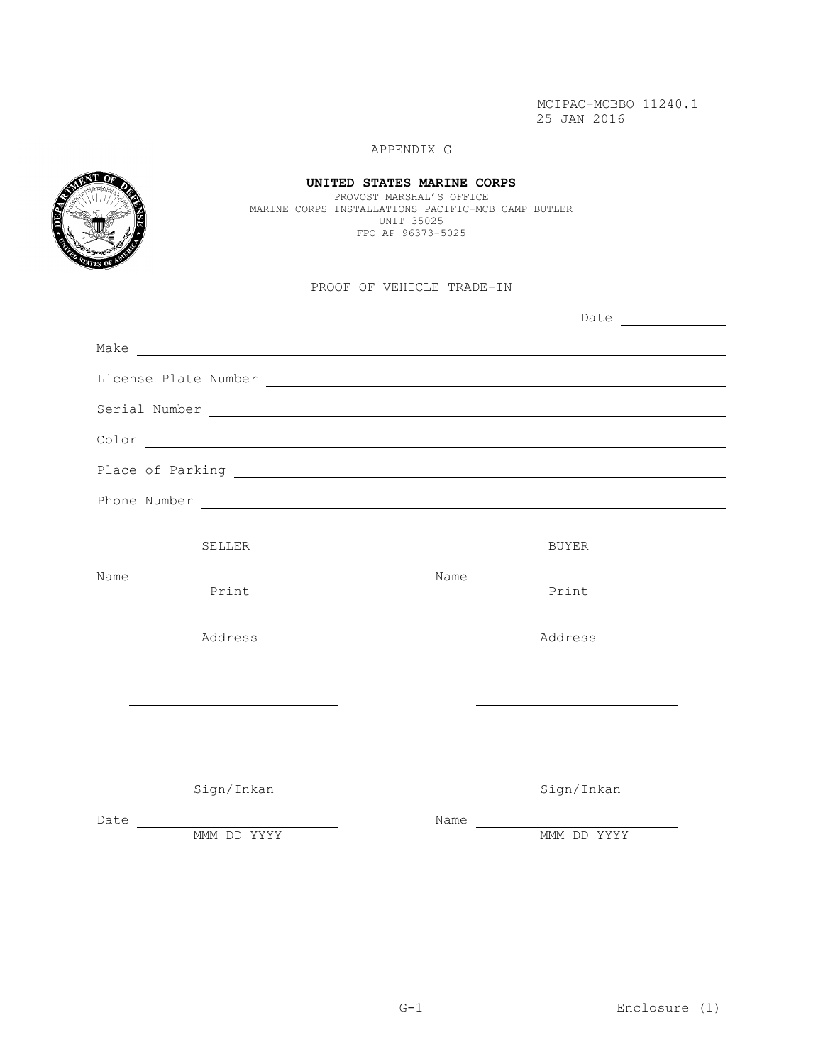# APPENDIX G